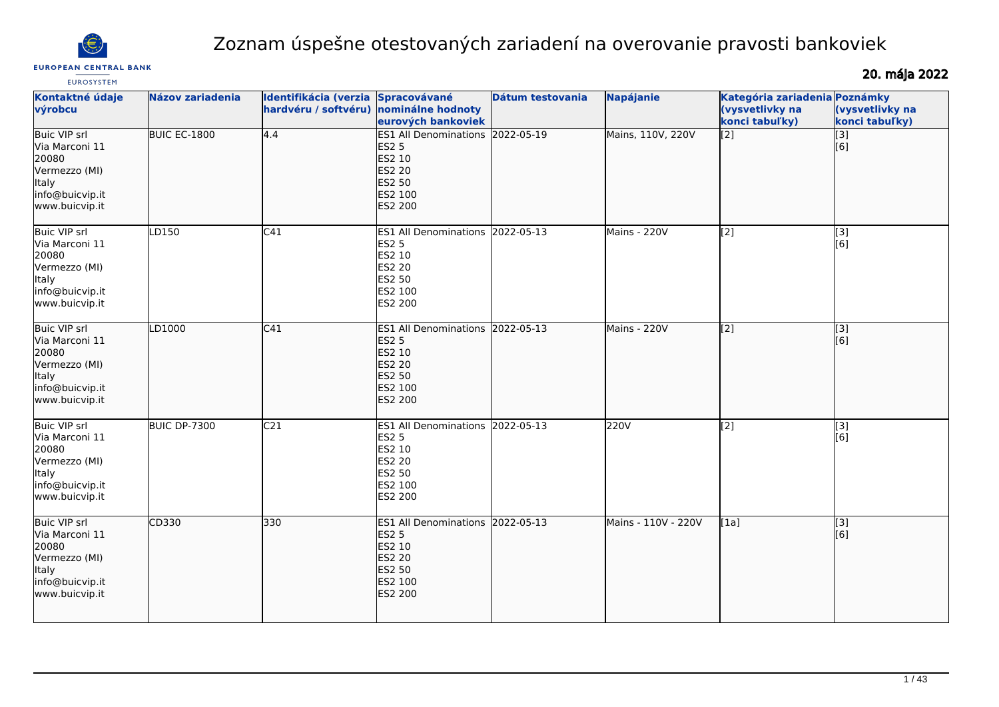

# Zoznam úspešne otestovaných zariadení na overovanie pravosti bankoviek

**EUROPEAN CENTRAL BANK** 

20. mája 2022

| <b>EUROSYSTEM</b>                                                                                                    |                         |                                                      |                                                                                                                    |                  |                     |                                                                    |                                   |
|----------------------------------------------------------------------------------------------------------------------|-------------------------|------------------------------------------------------|--------------------------------------------------------------------------------------------------------------------|------------------|---------------------|--------------------------------------------------------------------|-----------------------------------|
| Kontaktné údaje<br>výrobcu                                                                                           | <b>Názov zariadenia</b> | <b>Identifikácia (verzia</b><br>hardvéru / softvéru) | Spracovávané<br>nominálne hodnoty<br>eurových bankoviek                                                            | Dátum testovania | <b>Napájanie</b>    | Kategória zariadenia Poznámky<br>(vysvetlivky na<br>konci tabuľky) | (vysvetlivky na<br>konci tabuľky) |
| <b>Buic VIP srl</b><br>Via Marconi 11<br>20080<br>Vermezzo (MI)<br>Italy<br>info@buicvip.it<br>www.buicvip.it        | BUIC EC-1800            | 4.4                                                  | ES1 All Denominations 2022-05-19<br><b>ES2 5</b><br>ES2 10<br><b>ES2 20</b><br>ES2 50<br>ES2 100<br><b>ES2 200</b> |                  | Mains, 110V, 220V   | $\left[2\right]$                                                   | [3]<br>[6]                        |
| <b>Buic VIP srl</b><br>Via Marconi 11<br>20080<br>Vermezzo (MI)<br>Italy<br>info@buicvip.it<br>www.buicvip.it        | LD150                   | C41                                                  | ES1 All Denominations 2022-05-13<br>ES2 5<br>ES2 10<br><b>ES2 20</b><br>ES2 50<br>ES2 100<br>ES2 200               |                  | Mains - 220V        | $\sqrt{2}$                                                         | $[3]$<br>[6]                      |
| <b>Buic VIP srl</b><br>Via Marconi 11<br>20080<br>Vermezzo (MI)<br>ltaly<br>info@buicvip.it<br>www.buicvip.it        | LD1000                  | C41                                                  | ES1 All Denominations 2022-05-13<br><b>ES2 5</b><br>ES2 10<br><b>ES2 20</b><br>ES2 50<br>ES2 100<br>ES2 200        |                  | Mains - 220V        | $\overline{[2]}$                                                   | [3]<br>[6]                        |
| <b>Buic VIP srl</b><br>Via Marconi 11<br>20080<br>Vermezzo (MI)<br><b>Italy</b><br>info@buicvip.it<br>www.buicvip.it | <b>BUIC DP-7300</b>     | C <sub>21</sub>                                      | ES1 All Denominations 2022-05-13<br><b>ES2 5</b><br>ES2 10<br><b>ES2 20</b><br>ES2 50<br>ES2 100<br>ES2 200        |                  | 220V                | $\sqrt{2}$                                                         | $\overline{[3]}$<br>[6]           |
| <b>Buic VIP srl</b><br>Via Marconi 11<br>20080<br>Vermezzo (MI)<br><b>Italy</b><br>info@buicvip.it<br>www.buicvip.it | CD330                   | 330                                                  | ES1 All Denominations 2022-05-13<br><b>ES2 5</b><br>ES2 10<br>ES2 20<br><b>ES2 50</b><br>ES2 100<br>ES2 200        |                  | Mains - 110V - 220V | [1a]                                                               | $\overline{[}3]$<br>[6]           |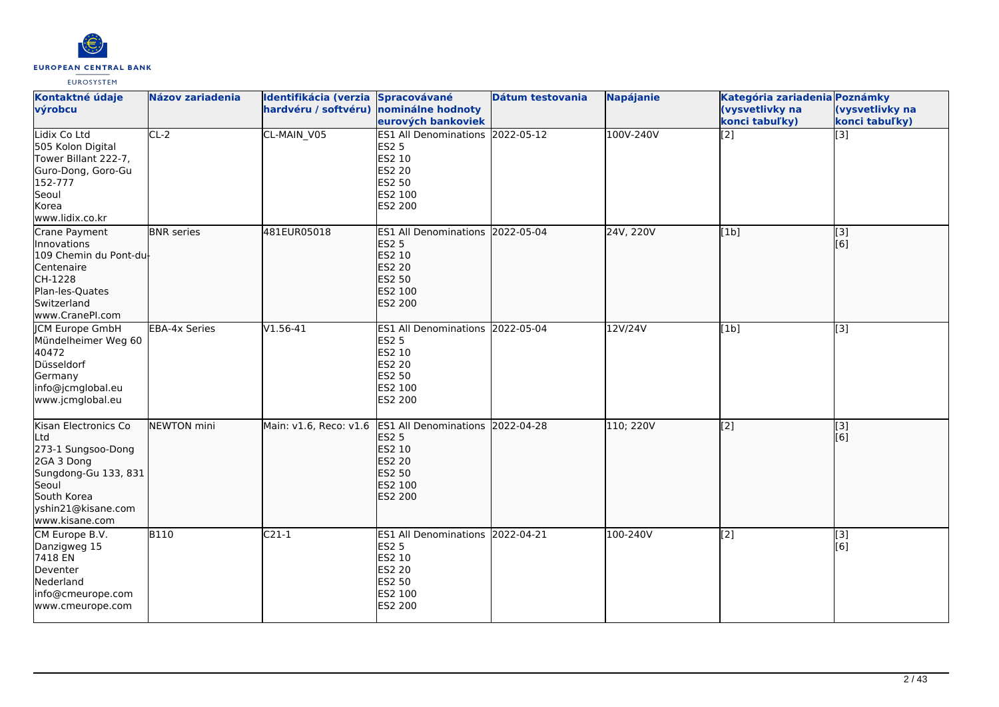

| Kontaktné údaje<br>výrobcu                                                                                                                              | <b>Názov zariadenia</b> | Identifikácia (verzia Spracovávané<br>hardvéru / softvéru) nominálne hodnoty | eurových bankoviek                                                                                                 | Dátum testovania | Napájanie | Kategória zariadenia Poznámky<br>(vysvetlivky na<br>konci tabuľky) | (vysvetlivky na<br>konci tabuľky) |
|---------------------------------------------------------------------------------------------------------------------------------------------------------|-------------------------|------------------------------------------------------------------------------|--------------------------------------------------------------------------------------------------------------------|------------------|-----------|--------------------------------------------------------------------|-----------------------------------|
| Lidix Co Ltd<br>505 Kolon Digital<br>Tower Billant 222-7,<br>Guro-Dong, Goro-Gu<br>152-777<br>Seoul<br>Korea<br>www.lidix.co.kr                         | $CL-2$                  | CL-MAIN_V05                                                                  | <b>ES1 All Denominations</b><br><b>ES2 5</b><br>ES2 10<br><b>ES2 20</b><br>ES2 50<br>ES2 100<br><b>ES2 200</b>     | 2022-05-12       | 100V-240V | $\overline{[2]}$                                                   | $\overline{[3]}$                  |
| Crane Payment<br>Innovations<br>109 Chemin du Pont-du-<br>Centenaire<br>CH-1228<br>Plan-les-Quates<br>Switzerland<br>www.CranePI.com                    | <b>BNR</b> series       | 481EUR05018                                                                  | ES1 All Denominations 2022-05-04<br><b>ES2 5</b><br>ES2 10<br>ES2 20<br><b>ES2 50</b><br>ES2 100<br>ES2 200        |                  | 24V, 220V | [1b]                                                               | $\overline{[}3]$<br>[6]           |
| <b>CM Europe GmbH</b><br>Mündelheimer Weg 60<br>40472<br>Düsseldorf<br>Germany<br>info@jcmglobal.eu<br>www.jcmglobal.eu                                 | <b>EBA-4x Series</b>    | $V1.56-41$                                                                   | ES1 All Denominations 2022-05-04<br><b>ES2 5</b><br>ES2 10<br><b>ES2 20</b><br>ES2 50<br>ES2 100<br>ES2 200        |                  | 12V/24V   | [1b]                                                               | $\overline{[3]}$                  |
| Kisan Electronics Co<br>Ltd<br>273-1 Sungsoo-Dong<br>2GA 3 Dong<br>Sungdong-Gu 133, 831<br>Seoul<br>South Korea<br>yshin21@kisane.com<br>www.kisane.com | NEWTON mini             | Main: v1.6, Reco: v1.6                                                       | ES1 All Denominations 2022-04-28<br><b>ES2 5</b><br>ES2 10<br><b>ES2 20</b><br>ES2 50<br>ES2 100<br><b>ES2 200</b> |                  | 110; 220V | $\overline{[2]}$                                                   | $\overline{[}3]$<br>[[6]          |
| CM Europe B.V.<br>Danzigweg 15<br>7418 EN<br>Deventer<br>Nederland<br>info@cmeurope.com<br>www.cmeurope.com                                             | <b>B110</b>             | $C21-1$                                                                      | ES1 All Denominations 2022-04-21<br><b>ES2 5</b><br>ES2 10<br><b>ES2 20</b><br>ES2 50<br>ES2 100<br>ES2 200        |                  | 100-240V  | $\overline{[2]}$                                                   | [3]<br>[6]                        |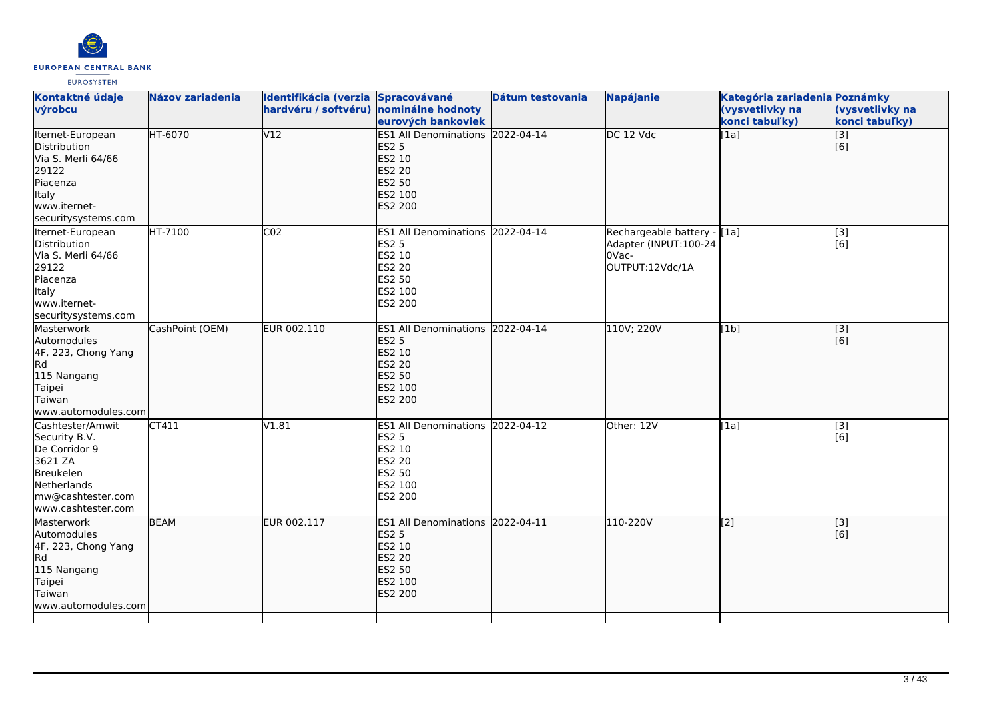

| Kontaktné údaje<br>výrobcu                                                                                                           | <b>Názov zariadenia</b> | Identifikácia (verzia Spracovávané<br>hardvéru / softvéru) nominálne hodnoty | eurových bankoviek                                                                                                 | Dátum testovania | <b>Napájanie</b>                                                                 | Kategória zariadenia Poznámky<br>(vysvetlivky na<br>konci tabuľky) | (vysvetlivky na<br>konci tabuľky) |
|--------------------------------------------------------------------------------------------------------------------------------------|-------------------------|------------------------------------------------------------------------------|--------------------------------------------------------------------------------------------------------------------|------------------|----------------------------------------------------------------------------------|--------------------------------------------------------------------|-----------------------------------|
| Iternet-European<br>Distribution<br>Via S. Merli 64/66<br>29122<br>Piacenza<br><b>Italy</b><br>www.iternet-<br>securitysystems.com   | HT-6070                 | V12                                                                          | ES1 All Denominations 2022-04-14<br><b>ES2 5</b><br>ES2 10<br><b>ES2 20</b><br><b>ES2 50</b><br>ES2 100<br>ES2 200 |                  | DC 12 Vdc                                                                        | [1a]                                                               | $\overline{[}3]$<br>[6]           |
| Iternet-European<br>Distribution<br>Via S. Merli 64/66<br>29122<br>Piacenza<br>Italy<br>www.iternet-<br>securitysystems.com          | <b>HT-7100</b>          | CO <sub>2</sub>                                                              | ES1 All Denominations 2022-04-14<br><b>ES2 5</b><br>ES2 10<br><b>ES2 20</b><br><b>ES2 50</b><br>ES2 100<br>ES2 200 |                  | Rechargeable battery - [1a]<br>Adapter (INPUT:100-24<br>0Vac-<br>OUTPUT:12Vdc/1A |                                                                    | $\overline{[}3]$<br>[6]           |
| Masterwork<br>Automodules<br>4F, 223, Chong Yang<br>Rd<br>115 Nangang<br>Taipei<br>Taiwan<br>www.automodules.com                     | CashPoint (OEM)         | EUR 002.110                                                                  | ES1 All Denominations 2022-04-14<br><b>ES2 5</b><br>ES2 10<br><b>ES2 20</b><br><b>ES2 50</b><br>ES2 100<br>ES2 200 |                  | 110V; 220V                                                                       | [1b]                                                               | $\overline{[3]}$<br>[[6]          |
| Cashtester/Amwit<br>Security B.V.<br>De Corridor 9<br>3621 ZA<br>Breukelen<br>Netherlands<br>mw@cashtester.com<br>www.cashtester.com | CT411                   | V1.81                                                                        | ES1 All Denominations 2022-04-12<br><b>ES2 5</b><br>ES2 10<br><b>ES2 20</b><br>ES2 50<br>ES2 100<br>ES2 200        |                  | Other: 12V                                                                       | [1a]                                                               | $\overline{[}3]$<br>[6]           |
| Masterwork<br>Automodules<br>4F, 223, Chong Yang<br>Rd<br>115 Nangang<br>Taipei<br>Taiwan<br>www.automodules.com                     | <b>BEAM</b>             | EUR 002.117                                                                  | ES1 All Denominations 2022-04-11<br><b>ES2 5</b><br>ES2 10<br>ES2 20<br>ES2 50<br>ES2 100<br>ES2 200               |                  | 110-220V                                                                         | $\sqrt{2}$                                                         | $\overline{[}3]$<br>[[6]          |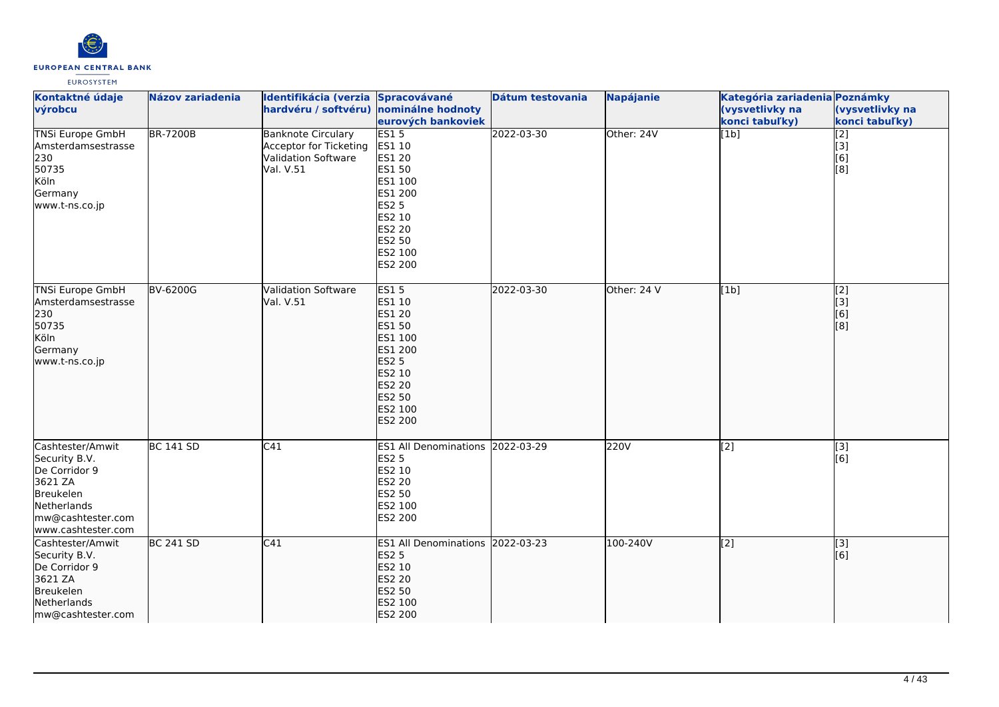

| Kontaktné údaje<br>výrobcu                                                                                                           | Názov zariadenia | Identifikácia (verzia Spracovávané<br>hardvéru / softvéru) nominálne hodnoty            | eurových bankoviek                                                                                                                                | Dátum testovania | <b>Napájanie</b> | Kategória zariadenia Poznámky<br>(vysvetlivky na<br>konci tabuľky) | (vysvetlivky na<br>konci tabuľky)     |
|--------------------------------------------------------------------------------------------------------------------------------------|------------------|-----------------------------------------------------------------------------------------|---------------------------------------------------------------------------------------------------------------------------------------------------|------------------|------------------|--------------------------------------------------------------------|---------------------------------------|
| <b>TNSi Europe GmbH</b><br>Amsterdamsestrasse<br>230<br>50735<br>Köln<br>Germany<br>www.t-ns.co.jp                                   | <b>BR-7200B</b>  | <b>Banknote Circulary</b><br>Acceptor for Ticketing<br>Validation Software<br>Val. V.51 | ES15<br>ES1 10<br>ES1 20<br>ES1 50<br>ES1 100<br>ES1 200<br><b>ES2 5</b><br>ES2 10<br><b>ES2 20</b><br>ES2 50<br>ES2 100<br>ES2 200               | 2022-03-30       | Other: 24V       | $\overline{[1b]}$                                                  | [2]<br>[3]<br>[6]<br>[8]              |
| <b>TNSi Europe GmbH</b><br>Amsterdamsestrasse<br>230<br>50735<br>Köln<br>Germany<br>www.t-ns.co.jp                                   | <b>BV-6200G</b>  | <b>Validation Software</b><br>Val. V.51                                                 | ES15<br>ES1 10<br>ES1 20<br>ES1 50<br>ES1 100<br>ES1 200<br><b>ES2 5</b><br>ES2 10<br><b>ES2 20</b><br><b>ES2 50</b><br>ES2 100<br><b>ES2 200</b> | 2022-03-30       | Other: 24 V      | [1b]                                                               | $\overline{[2]}$<br>[3]<br>[6]<br>[8] |
| Cashtester/Amwit<br>Security B.V.<br>De Corridor 9<br>3621 ZA<br>Breukelen<br>Netherlands<br>mw@cashtester.com<br>www.cashtester.com | <b>BC 141 SD</b> | C41                                                                                     | <b>ES1 All Denominations</b><br><b>ES2 5</b><br>ES2 10<br><b>ES2 20</b><br>ES2 50<br>ES2 100<br>ES2 200                                           | 2022-03-29       | 220V             | $\overline{[2]}$                                                   | $\overline{[3]}$<br>[6]               |
| Cashtester/Amwit<br>Security B.V.<br>De Corridor 9<br>3621 ZA<br>Breukelen<br>Netherlands<br>mw@cashtester.com                       | <b>BC 241 SD</b> | C41                                                                                     | ES1 All Denominations 2022-03-23<br><b>ES2 5</b><br>ES2 10<br><b>ES2 20</b><br>ES2 50<br>ES2 100<br><b>ES2 200</b>                                |                  | 100-240V         | $\sqrt{2}$                                                         | [3]<br>[6]                            |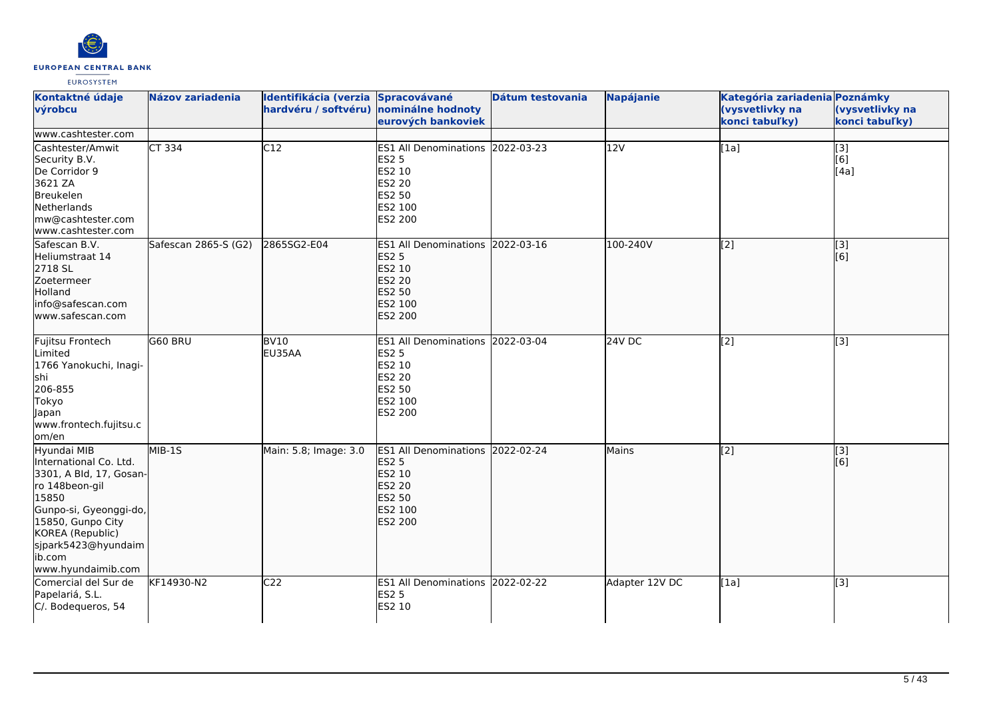

| Kontaktné údaje<br>výrobcu                                                                                                                                                                                            | Názov zariadenia     | Identifikácia (verzia Spracovávané<br>hardvéru / softvéru) nominálne hodnoty | eurových bankoviek                                                                                                 | Dátum testovania | <b>Napájanie</b> | Kategória zariadenia Poznámky<br>(vysvetlivky na<br>konci tabuľky) | (vysvetlivky na<br>konci tabuľky)              |
|-----------------------------------------------------------------------------------------------------------------------------------------------------------------------------------------------------------------------|----------------------|------------------------------------------------------------------------------|--------------------------------------------------------------------------------------------------------------------|------------------|------------------|--------------------------------------------------------------------|------------------------------------------------|
| www.cashtester.com                                                                                                                                                                                                    |                      |                                                                              |                                                                                                                    |                  |                  |                                                                    |                                                |
| Cashtester/Amwit<br>Security B.V.<br>De Corridor 9<br>3621 ZA<br>Breukelen<br>Netherlands<br>mw@cashtester.com<br>www.cashtester.com                                                                                  | CT 334               | C12                                                                          | ES1 All Denominations 2022-03-23<br><b>ES2 5</b><br>ES2 10<br><b>ES2 20</b><br><b>ES2 50</b><br>ES2 100<br>ES2 200 |                  | 12V              | [1a]                                                               | $\begin{bmatrix} 3 \\ 6 \end{bmatrix}$<br>[4a] |
| Safescan B.V.<br>Heliumstraat 14<br>2718 SL<br>Zoetermeer<br>Holland<br>info@safescan.com<br>www.safescan.com                                                                                                         | Safescan 2865-S (G2) | 2865SG2-E04                                                                  | ES1 All Denominations 2022-03-16<br><b>ES2 5</b><br>ES2 10<br>ES2 20<br><b>ES2 50</b><br>ES2 100<br><b>ES2 200</b> |                  | 100-240V         | $\overline{[2]}$                                                   | $\overline{[3]}$<br>[6]                        |
| Fujitsu Frontech<br>Limited<br>1766 Yanokuchi, Inagi-<br>shi<br>206-855<br>Tokyo<br>lapan<br>www.frontech.fujitsu.c<br>lom/en                                                                                         | G60 BRU              | <b>BV10</b><br>EU35AA                                                        | ES1 All Denominations 2022-03-04<br><b>ES2 5</b><br>ES2 10<br>ES2 20<br>ES2 50<br>ES2 100<br>ES2 200               |                  | 24V DC           | [2]                                                                | [3]                                            |
| Hyundai MIB<br>International Co. Ltd.<br>3301, A Bld, 17, Gosan-<br>ro 148beon-gil<br>15850<br>Gunpo-si, Gyeonggi-do,<br>15850, Gunpo City<br>KOREA (Republic)<br>sjpark5423@hyundaim<br>ib.com<br>www.hyundaimib.com | $MIB-15$             | Main: 5.8; Image: 3.0                                                        | ES1 All Denominations 2022-02-24<br><b>ES2 5</b><br>ES2 10<br>ES2 20<br>ES2 50<br>ES2 100<br><b>ES2 200</b>        |                  | Mains            | $\overline{[2]}$                                                   | [3]<br>[6]                                     |
| Comercial del Sur de<br>Papelariá, S.L.<br>C/. Bodequeros, 54                                                                                                                                                         | KF14930-N2           | C <sub>22</sub>                                                              | ES1 All Denominations 2022-02-22<br>ES2 5<br>ES2 10                                                                |                  | Adapter 12V DC   | [1a]                                                               | [3]                                            |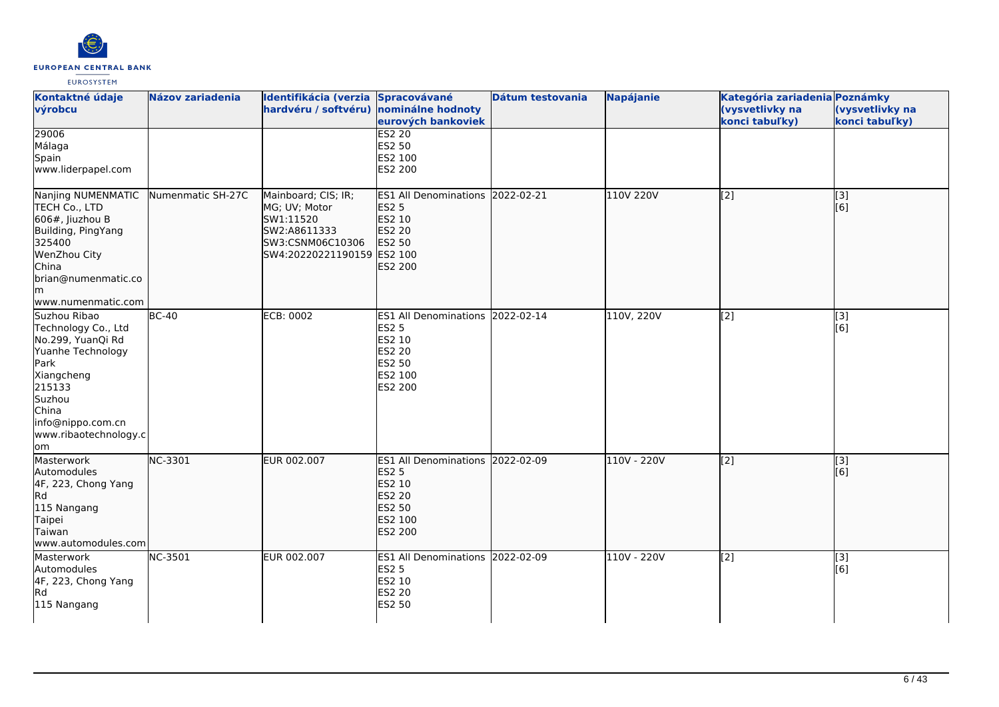

| Kontaktné údaje<br>výrobcu                                                                                                                                                                    | <b>Názov zariadenia</b> | Identifikácia (verzia Spracovávané<br>hardvéru / softvéru) nominálne hodnoty                                        | eurových bankoviek                                                                                                 | Dátum testovania | <b>Napájanie</b> | Kategória zariadenia Poznámky<br>(vysvetlivky na<br>konci tabuľky) | (vysvetlivky na<br>konci tabuľky) |
|-----------------------------------------------------------------------------------------------------------------------------------------------------------------------------------------------|-------------------------|---------------------------------------------------------------------------------------------------------------------|--------------------------------------------------------------------------------------------------------------------|------------------|------------------|--------------------------------------------------------------------|-----------------------------------|
| 29006<br>Málaga<br>Spain<br>www.liderpapel.com                                                                                                                                                |                         |                                                                                                                     | <b>ES2 20</b><br><b>ES2 50</b><br>ES2 100<br>ES2 200                                                               |                  |                  |                                                                    |                                   |
| Nanjing NUMENMATIC<br>TECH Co., LTD<br>$606$ #, Jiuzhou B<br>Building, PingYang<br>325400<br>WenZhou City<br>China<br>brian@numenmatic.co<br>m  <br>www.numenmatic.com                        | Numenmatic SH-27C       | Mainboard; CIS; IR;<br>MG; UV; Motor<br>SW1:11520<br>SW2:A8611333<br>SW3:CSNM06C10306<br>SW4:20220221190159 ES2 100 | <b>ES1 All Denominations</b><br><b>ES2 5</b><br>ES2 10<br><b>ES2 20</b><br><b>ES2 50</b><br><b>ES2 200</b>         | 2022-02-21       | 110V 220V        | [2]                                                                | [3]<br>[6]                        |
| Suzhou Ribao<br>Technology Co., Ltd<br>No.299, YuanQi Rd<br>Yuanhe Technology<br>Park<br>Xiangcheng<br>215133<br>Suzhou<br>China<br>info@nippo.com.cn<br>www.ribaotechnology.c<br><b>l</b> om | $BC-40$                 | ECB: 0002                                                                                                           | ES1 All Denominations 2022-02-14<br><b>ES2 5</b><br>ES2 10<br><b>ES2 20</b><br>ES2 50<br>ES2 100<br>ES2 200        |                  | 110V, 220V       | $[2]$                                                              | $[3]$<br>[6]                      |
| Masterwork<br>Automodules<br>4F, 223, Chong Yang<br>Rd<br>115 Nangang<br>Taipei<br>Taiwan<br>www.automodules.com                                                                              | NC-3301                 | EUR 002.007                                                                                                         | ES1 All Denominations 2022-02-09<br><b>ES2 5</b><br>ES2 10<br><b>ES2 20</b><br><b>ES2 50</b><br>ES2 100<br>ES2 200 |                  | 110V - 220V      | [2]                                                                | [3]<br>[6]                        |
| Masterwork<br>Automodules<br>4F, 223, Chong Yang<br>Rd<br>115 Nangang                                                                                                                         | <b>NC-3501</b>          | EUR 002.007                                                                                                         | ES1 All Denominations 2022-02-09<br><b>ES2 5</b><br>ES2 10<br><b>ES2 20</b><br><b>ES2 50</b>                       |                  | 110V - 220V      | [2]                                                                | [3]<br>[6]                        |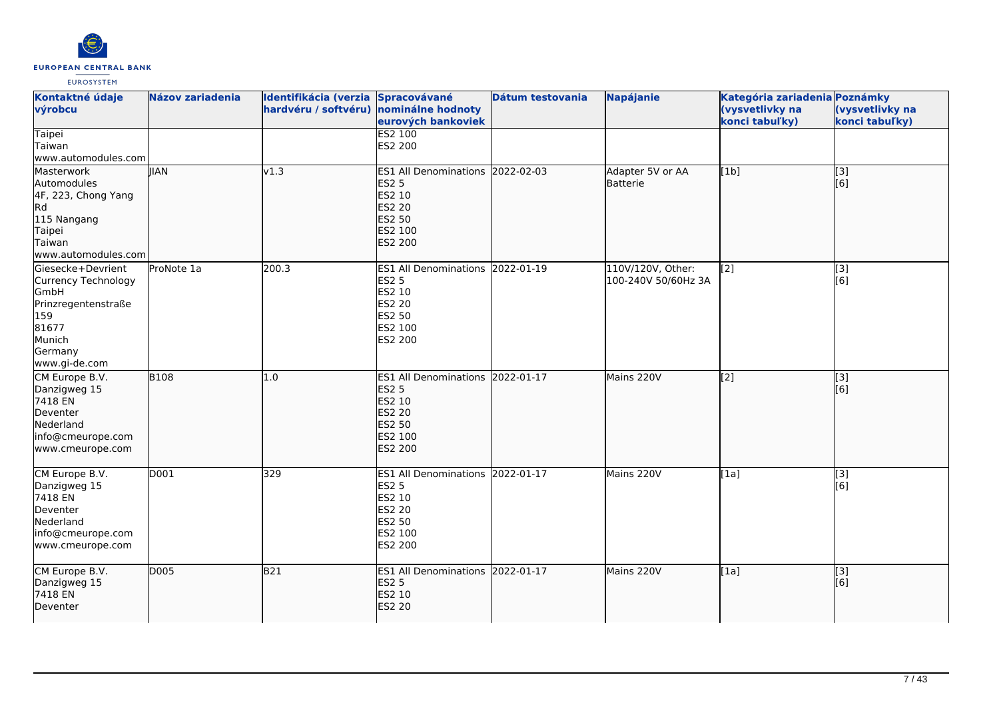

| Kontaktné údaje<br>výrobcu                                                                                                           | <b>Názov zariadenia</b> | Identifikácia (verzia Spracovávané<br>hardvéru / softvéru) nominálne hodnoty | eurových bankoviek                                                                                             | Dátum testovania | <b>Napájanie</b>                         | Kategória zariadenia Poznámky<br>(vysvetlivky na<br>konci tabuľky) | (vysvetlivky na<br>konci tabuľky) |
|--------------------------------------------------------------------------------------------------------------------------------------|-------------------------|------------------------------------------------------------------------------|----------------------------------------------------------------------------------------------------------------|------------------|------------------------------------------|--------------------------------------------------------------------|-----------------------------------|
| <b>Taipei</b><br>Taiwan<br>www.automodules.com                                                                                       |                         |                                                                              | <b>ES2 100</b><br>ES2 200                                                                                      |                  |                                          |                                                                    |                                   |
| Masterwork<br>Automodules<br>4F, 223, Chong Yang<br>Rd<br>115 Nangang<br>Taipei<br>Taiwan<br>www.automodules.com                     | <b>IIAN</b>             | v1.3                                                                         | ES1 All Denominations 2022-02-03<br><b>ES2 5</b><br>ES2 10<br>ES2 20<br>ES2 50<br>ES2 100<br><b>ES2 200</b>    |                  | Adapter 5V or AA<br>Batterie             | [1b]                                                               | $\overline{[3]}$<br>[6]           |
| Giesecke+Devrient<br>Currency Technology<br><b>GmbH</b><br>Prinzregentenstraße<br>159<br>81677<br>Munich<br>Germany<br>www.gi-de.com | ProNote 1a              | 200.3                                                                        | ES1 All Denominations 2022-01-19<br>ES2 5<br>ES2 10<br>ES2 20<br>ES2 50<br>ES2 100<br>ES2 200                  |                  | 110V/120V, Other:<br>100-240V 50/60Hz 3A | [2]                                                                | [3]<br>[6]                        |
| CM Europe B.V.<br>Danzigweg 15<br>7418 EN<br>Deventer<br>Nederland<br>info@cmeurope.com<br>www.cmeurope.com                          | <b>B108</b>             | 1.0                                                                          | <b>ES1 All Denominations</b><br><b>ES2 5</b><br>ES2 10<br><b>ES2 20</b><br>ES2 50<br>ES2 100<br><b>ES2 200</b> | 2022-01-17       | Mains 220V                               | $\sqrt{2}$                                                         | [3]<br>[6]                        |
| CM Europe B.V.<br>Danzigweg 15<br>7418 EN<br>Deventer<br>Nederland<br>info@cmeurope.com<br>www.cmeurope.com                          | D001                    | 329                                                                          | ES1 All Denominations 2022-01-17<br><b>ES2 5</b><br>ES2 10<br>ES2 20<br>ES2 50<br>ES2 100<br>ES2 200           |                  | Mains 220V                               | [1a]                                                               | $\overline{[3]}$<br>[6]           |
| CM Europe B.V.<br>Danzigweg 15<br>7418 EN<br>Deventer                                                                                | D005                    | B21                                                                          | ES1 All Denominations 2022-01-17<br><b>ES2 5</b><br><b>ES2 10</b><br><b>ES2 20</b>                             |                  | Mains 220V                               | [1a]                                                               | [3]<br>[6]                        |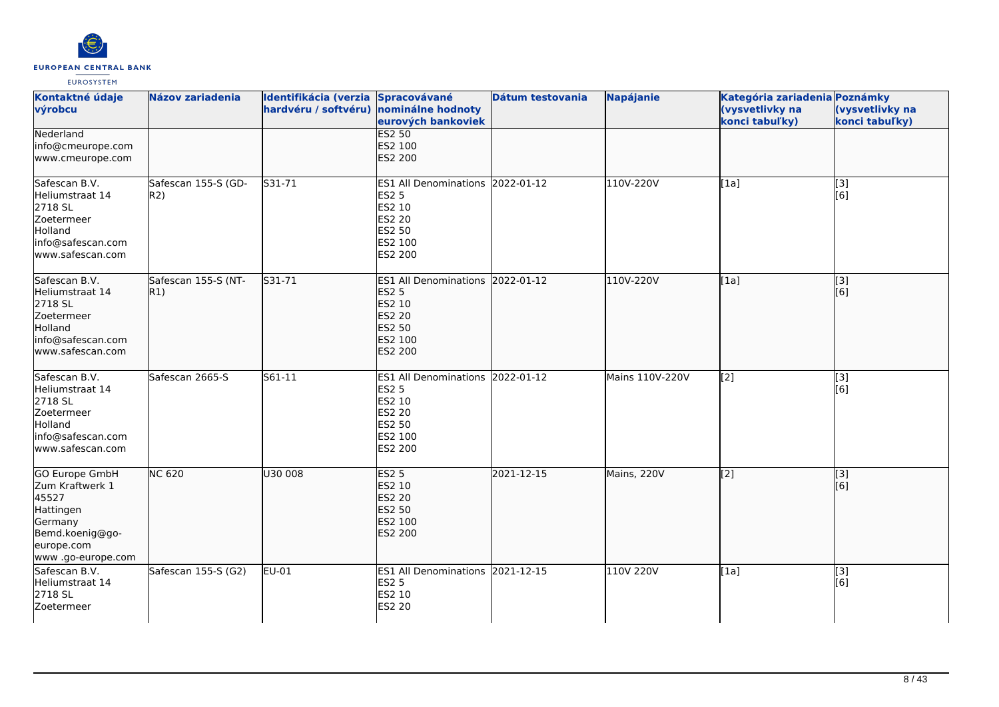

| Kontaktné údaje<br>výrobcu                                                                                                       | <b>Názov zariadenia</b>    | Identifikácia (verzia Spracovávané<br>hardvéru / softvéru) nominálne hodnoty | eurových bankoviek                                                                                                 | Dátum testovania | <b>Napájanie</b> | Kategória zariadenia Poznámky<br>(vysvetlivky na<br>konci tabuľky) | (vysvetlivky na<br>konci tabuľky) |
|----------------------------------------------------------------------------------------------------------------------------------|----------------------------|------------------------------------------------------------------------------|--------------------------------------------------------------------------------------------------------------------|------------------|------------------|--------------------------------------------------------------------|-----------------------------------|
| Nederland<br>info@cmeurope.com<br>www.cmeurope.com                                                                               |                            |                                                                              | <b>ES2 50</b><br>ES2 100<br>ES2 200                                                                                |                  |                  |                                                                    |                                   |
| Safescan B.V.<br>Heliumstraat 14<br>2718 SL<br>Zoetermeer<br>Holland<br>info@safescan.com<br>lwww.safescan.com                   | Safescan 155-S (GD-<br>R2) | S31-71                                                                       | ES1 All Denominations 2022-01-12<br><b>ES2 5</b><br>ES2 10<br><b>ES2 20</b><br>ES2 50<br>ES2 100<br>ES2 200        |                  | 110V-220V        | [1a]                                                               | $\overline{[3]}$<br>[6]           |
| Safescan B.V.<br>Heliumstraat 14<br>2718 SL<br>Zoetermeer<br>Holland<br>info@safescan.com<br>www.safescan.com                    | Safescan 155-S (NT-<br>R1) | S31-71                                                                       | ES1 All Denominations 2022-01-12<br><b>ES2 5</b><br>ES2 10<br><b>ES2 20</b><br>ES2 50<br>ES2 100<br>ES2 200        |                  | 110V-220V        | [1a]                                                               | $\overline{[3]}$<br>[6]           |
| Safescan B.V.<br>Heliumstraat 14<br>2718 SL<br>Zoetermeer<br>Holland<br>info@safescan.com<br>www.safescan.com                    | Safescan 2665-S            | S61-11                                                                       | ES1 All Denominations 2022-01-12<br><b>ES2 5</b><br>ES2 10<br><b>ES2 20</b><br><b>ES2 50</b><br>ES2 100<br>ES2 200 |                  | Mains 110V-220V  | [2]                                                                | [3]<br>[6]                        |
| <b>GO Europe GmbH</b><br>Zum Kraftwerk 1<br>45527<br>Hattingen<br>Germany<br>Bemd.koenig@go-<br>europe.com<br>www .go-europe.com | <b>NC 620</b>              | U30 008                                                                      | <b>ES2 5</b><br>ES2 10<br><b>ES2 20</b><br><b>ES2 50</b><br>ES2 100<br><b>ES2 200</b>                              | 2021-12-15       | Mains, 220V      | $\overline{[2]}$                                                   | $\overline{[}3]$<br>[6]           |
| Safescan B.V.<br>Heliumstraat 14<br>2718 SL<br>Zoetermeer                                                                        | Safescan 155-S (G2)        | EU-01                                                                        | ES1 All Denominations 2021-12-15<br><b>ES2 5</b><br>ES2 10<br><b>ES2 20</b>                                        |                  | 110V 220V        | [1a]                                                               | $[3]$<br>[6]                      |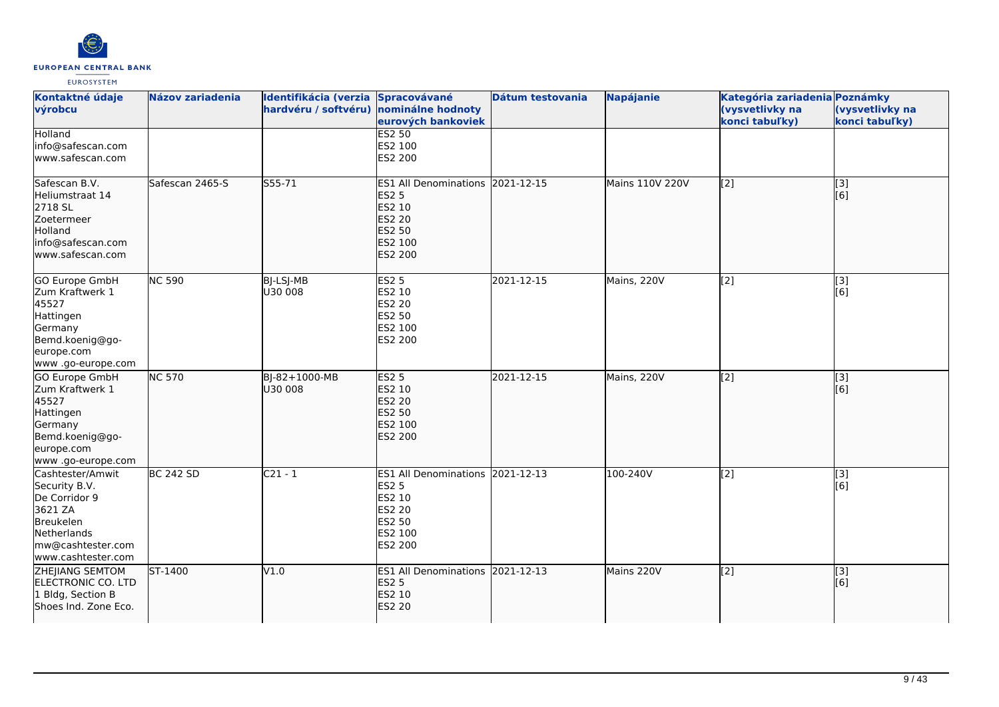

| Kontaktné údaje<br>výrobcu                                                                                                           | <b>Názov zariadenia</b> | Identifikácia (verzia Spracovávané<br>hardvéru / softvéru) nominálne hodnoty | eurových bankoviek                                                                                             | Dátum testovania | <b>Napájanie</b> | Kategória zariadenia Poznámky<br>(vysvetlivky na<br>konci tabuľky) | (vysvetlivky na<br>konci tabuľky) |
|--------------------------------------------------------------------------------------------------------------------------------------|-------------------------|------------------------------------------------------------------------------|----------------------------------------------------------------------------------------------------------------|------------------|------------------|--------------------------------------------------------------------|-----------------------------------|
| Holland<br>info@safescan.com<br>www.safescan.com                                                                                     |                         |                                                                              | <b>ES2 50</b><br>ES2 100<br>ES2 200                                                                            |                  |                  |                                                                    |                                   |
| Safescan B.V.<br>Heliumstraat 14<br>2718 SL<br>Zoetermeer<br>Holland<br>info@safescan.com<br>www.safescan.com                        | Safescan 2465-S         | $555 - 71$                                                                   | <b>ES1 All Denominations</b><br><b>ES2 5</b><br>ES2 10<br><b>ES2 20</b><br><b>ES2 50</b><br>ES2 100<br>ES2 200 | 2021-12-15       | Mains 110V 220V  | $\overline{[2]}$                                                   | $\overline{[}3]$<br>[6]           |
| <b>GO Europe GmbH</b><br>Zum Kraftwerk 1<br>45527<br>Hattingen<br>Germany<br>Bemd.koenig@go-<br>europe.com<br>www.go-europe.com      | <b>NC 590</b>           | BJ-LSJ-MB<br>U30 008                                                         | <b>ES2 5</b><br><b>ES2 10</b><br><b>ES2 20</b><br>ES2 50<br>ES2 100<br>ES2 200                                 | 2021-12-15       | Mains, 220V      | $\overline{[2]}$                                                   | $\overline{[3]}$<br>[6]           |
| GO Europe GmbH<br>Zum Kraftwerk 1<br>45527<br>Hattingen<br>Germany<br>Bemd.koenig@go-<br>europe.com<br>www.go-europe.com             | <b>NC 570</b>           | BJ-82+1000-MB<br>U30 008                                                     | <b>ES2 5</b><br>ES2 10<br><b>ES2 20</b><br><b>ES2 50</b><br>ES2 100<br>ES2 200                                 | 2021-12-15       | Mains, 220V      | $\left[2\right]$                                                   | [3]<br>[6]                        |
| Cashtester/Amwit<br>Security B.V.<br>De Corridor 9<br>3621 ZA<br>Breukelen<br>Netherlands<br>mw@cashtester.com<br>www.cashtester.com | <b>BC 242 SD</b>        | $C21 - 1$                                                                    | ES1 All Denominations 2021-12-13<br><b>ES2 5</b><br>ES2 10<br><b>ES2 20</b><br>ES2 50<br>ES2 100<br>ES2 200    |                  | 100-240V         | $\overline{[2]}$                                                   | $\overline{[3]}$<br>[6]           |
| <b>ZHEJIANG SEMTOM</b><br>ELECTRONIC CO. LTD<br>1 Bldg, Section B<br>Shoes Ind. Zone Eco.                                            | ST-1400                 | V1.0                                                                         | <b>ES1</b> All Denominations<br><b>ES2 5</b><br>ES2 10<br><b>ES2 20</b>                                        | 2021-12-13       | Mains 220V       | [2]                                                                | [3]<br>[6]                        |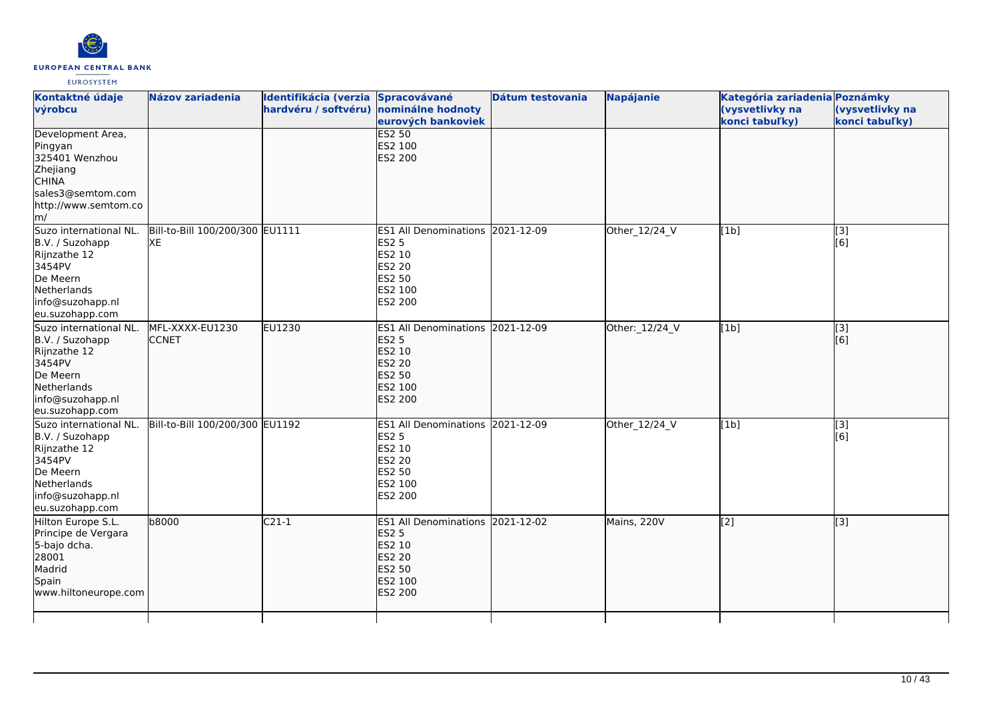

| Kontaktné údaje<br>výrobcu                                                                                                                | <b>Názov zariadenia</b>                | Identifikácia (verzia Spracovávané<br>hardvéru / softvéru) nominálne hodnoty | eurových bankoviek                                                                                          | Dátum testovania | Napájanie      | Kategória zariadenia Poznámky<br>(vysvetlivky na<br>konci tabuľky) | (vysvetlivky na<br>konci tabuľky) |
|-------------------------------------------------------------------------------------------------------------------------------------------|----------------------------------------|------------------------------------------------------------------------------|-------------------------------------------------------------------------------------------------------------|------------------|----------------|--------------------------------------------------------------------|-----------------------------------|
| Development Area,<br>Pingyan<br>325401 Wenzhou<br>Zhejiang<br><b>CHINA</b><br>sales3@semtom.com<br>http://www.semtom.co<br>$\mathsf{Im}/$ |                                        |                                                                              | <b>ES2 50</b><br>ES2 100<br><b>ES2 200</b>                                                                  |                  |                |                                                                    |                                   |
| Suzo international NL.<br>B.V. / Suzohapp<br>Rijnzathe 12<br>3454PV<br>De Meern<br>Netherlands<br>info@suzohapp.nl<br>eu.suzohapp.com     | Bill-to-Bill 100/200/300 EU1111<br>lxe |                                                                              | ES1 All Denominations 2021-12-09<br><b>ES2 5</b><br>ES2 10<br><b>ES2 20</b><br>ES2 50<br>ES2 100<br>ES2 200 |                  | Other_12/24_V  | [1b]                                                               | [3]<br>[6]                        |
| Suzo international NL.<br>B.V. / Suzohapp<br>Rijnzathe 12<br>3454PV<br>De Meern<br>Netherlands<br>info@suzohapp.nl<br>eu.suzohapp.com     | MFL-XXXX-EU1230<br><b>CCNET</b>        | EU1230                                                                       | ES1 All Denominations 2021-12-09<br><b>ES2 5</b><br>ES2 10<br><b>ES2 20</b><br>ES2 50<br>ES2 100<br>ES2 200 |                  | Other: 12/24_V | [1b]                                                               | [3]<br>[6]                        |
| Suzo international NL.<br>B.V. / Suzohapp<br>Rijnzathe 12<br>3454PV<br>De Meern<br>Netherlands<br>info@suzohapp.nl<br>eu.suzohapp.com     | Bill-to-Bill 100/200/300 EU1192        |                                                                              | ES1 All Denominations 2021-12-09<br><b>ES2 5</b><br>ES2 10<br>ES2 20<br>ES2 50<br>ES2 100<br>ES2 200        |                  | Other_12/24_V  | [1b]                                                               | $\overline{[}3]$<br>[6]           |
| Hilton Europe S.L.<br>Principe de Vergara<br>5-bajo dcha.<br>28001<br>Madrid<br>Spain<br>www.hiltoneurope.com                             | <b>b8000</b>                           | $C21-1$                                                                      | ES1 All Denominations 2021-12-02<br><b>ES2 5</b><br>ES2 10<br><b>ES2 20</b><br>ES2 50<br>ES2 100<br>ES2 200 |                  | Mains, 220V    | $\sqrt{2}$                                                         | [3]                               |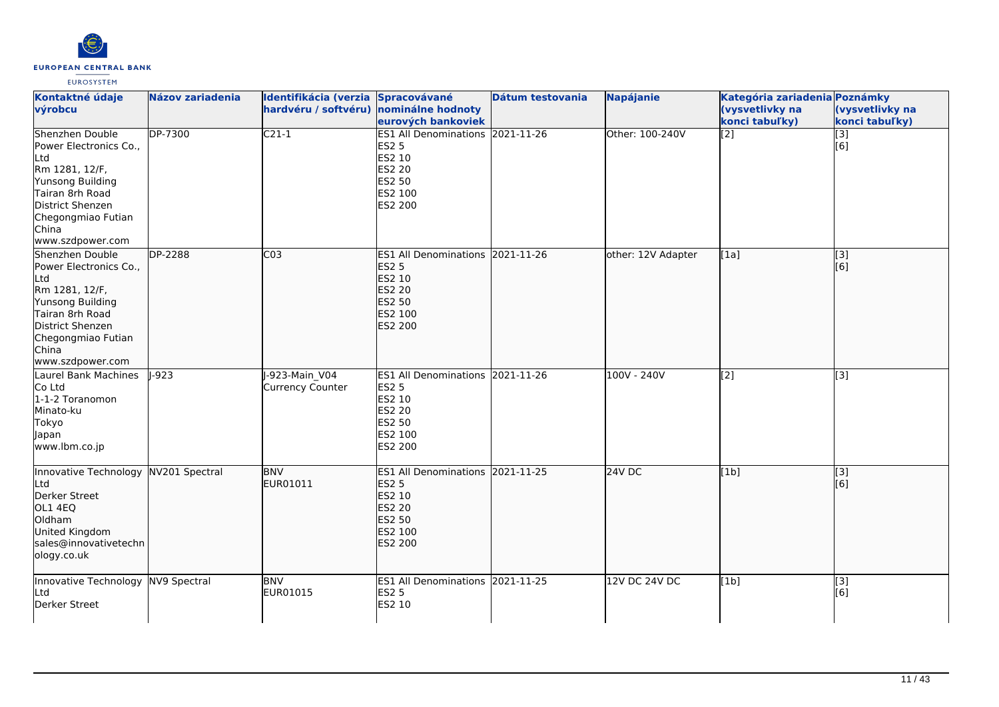

| Kontaktné údaje<br>výrobcu                                                                                                                                                       | Názov zariadenia | Identifikácia (verzia Spracovávané<br>hardvéru / softvéru) nominálne hodnoty | eurových bankoviek                                                                                                        | Dátum testovania | <b>Napájanie</b>   | Kategória zariadenia Poznámky<br>(vysvetlivky na<br>konci tabuľky) | (vysvetlivky na<br>konci tabuľky) |
|----------------------------------------------------------------------------------------------------------------------------------------------------------------------------------|------------------|------------------------------------------------------------------------------|---------------------------------------------------------------------------------------------------------------------------|------------------|--------------------|--------------------------------------------------------------------|-----------------------------------|
| Shenzhen Double<br>Power Electronics Co.,<br>Ltd<br>Rm 1281, 12/F,<br>Yunsong Building<br>Tairan 8rh Road<br>District Shenzen<br>Chegongmiao Futian<br>China<br>www.szdpower.com | DP-7300          | $C21-1$                                                                      | ES1 All Denominations 2021-11-26<br><b>ES2 5</b><br>ES2 10<br><b>ES2 20</b><br><b>ES2 50</b><br>ES2 100<br>ES2 200        |                  | Other: 100-240V    | $\overline{[2]}$                                                   | $\overline{[}3]$<br>[6]           |
| Shenzhen Double<br>Power Electronics Co.,<br>Ltd<br>Rm 1281, 12/F,<br>Yunsong Building<br>Tairan 8rh Road<br>District Shenzen<br>Chegongmiao Futian<br>China<br>www.szdpower.com | DP-2288          | CO <sub>3</sub>                                                              | <b>ES1 All Denominations</b><br><b>ES2 5</b><br>ES2 10<br><b>ES2 20</b><br><b>ES2 50</b><br>ES2 100<br><b>ES2 200</b>     | 2021-11-26       | other: 12V Adapter | [[1a]                                                              | $\overline{[}3]$<br>[[6]          |
| Laurel Bank Machines<br>Co Ltd<br>1-1-2 Toranomon<br>Minato-ku<br>Tokyo<br>Japan<br>www.lbm.co.jp                                                                                | $1-923$          | -923-Main V04<br><b>Currency Counter</b>                                     | ES1 All Denominations 2021-11-26<br><b>ES2 5</b><br>ES2 10<br><b>ES2 20</b><br><b>ES2 50</b><br>ES2 100<br><b>ES2 200</b> |                  | $100V - 240V$      | $\overline{[2]}$                                                   | $\overline{[3]}$                  |
| Innovative Technology<br>Ltd<br>Derker Street<br>OL1 4EQ<br>Oldham<br>United Kingdom<br>sales@innovativetechn<br>ology.co.uk                                                     | NV201 Spectral   | <b>BNV</b><br>EUR01011                                                       | ES1 All Denominations 2021-11-25<br><b>ES2 5</b><br>ES2 10<br><b>ES2 20</b><br><b>ES2 50</b><br>ES2 100<br>ES2 200        |                  | $24V$ DC           | [1b]                                                               | $\overline{[3]}$<br>[6]           |
| Innovative Technology NV9 Spectral<br>Ltd<br>Derker Street                                                                                                                       |                  | <b>BNV</b><br>EUR01015                                                       | ES1 All Denominations 2021-11-25<br><b>ES2 5</b><br>ES2 10                                                                |                  | 12V DC 24V DC      | [1b]                                                               | [3]<br>[6]                        |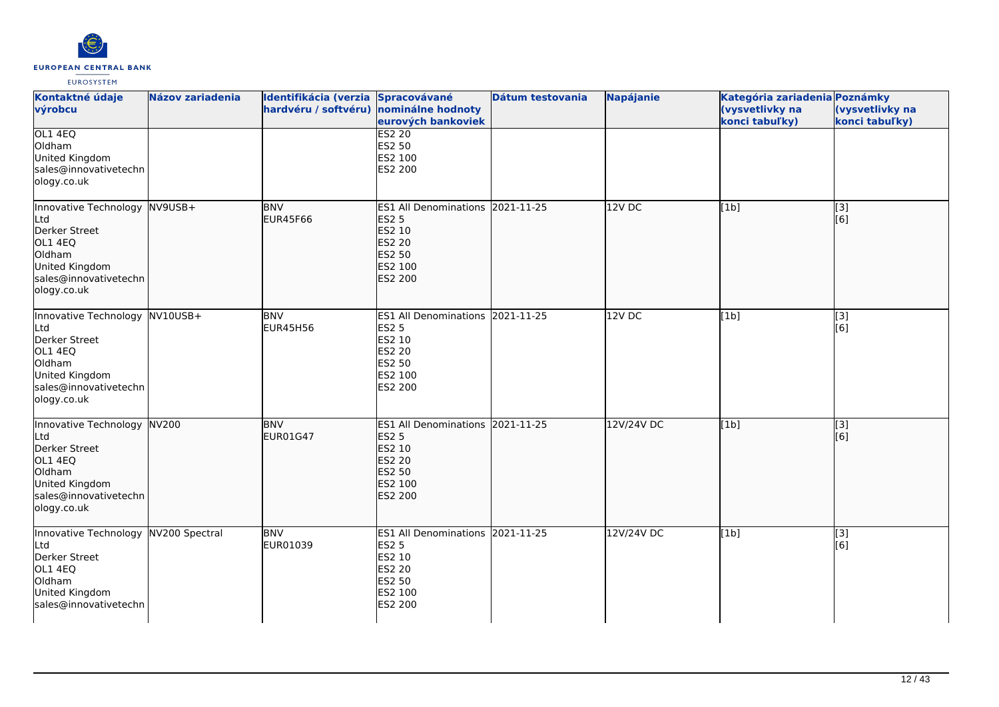

| Kontaktné údaje<br>výrobcu                                                                                                            | Názov zariadenia | Identifikácia (verzia Spracovávané<br>hardvéru / softvéru) nominálne hodnoty | eurových bankoviek                                                                                                 | Dátum testovania | Napájanie  | Kategória zariadenia Poznámky<br>(vysvetlivky na<br>konci tabuľky) | (vysvetlivky na<br>konci tabuľky)  |
|---------------------------------------------------------------------------------------------------------------------------------------|------------------|------------------------------------------------------------------------------|--------------------------------------------------------------------------------------------------------------------|------------------|------------|--------------------------------------------------------------------|------------------------------------|
| OL1 4EQ<br>Oldham<br>United Kingdom<br>sales@innovativetechn<br>ology.co.uk                                                           |                  |                                                                              | <b>ES2 20</b><br>ES2 50<br>ES2 100<br>ES2 200                                                                      |                  |            |                                                                    |                                    |
| Innovative Technology NV9USB+<br>Ltd<br>Derker Street<br>OL1 4EQ<br>Oldham<br>United Kingdom<br>sales@innovativetechn<br>ology.co.uk  |                  | <b>BNV</b><br><b>EUR45F66</b>                                                | <b>ES1 All Denominations</b><br><b>ES2 5</b><br>ES2 10<br>ES2 20<br><b>ES2 50</b><br>ES2 100<br><b>ES2 200</b>     | 2021-11-25       | 12V DC     | [1b]                                                               | [3]<br>$\overline{[}6\overline{)}$ |
| Innovative Technology NV10USB+<br>Ltd<br>Derker Street<br>OL1 4EQ<br>Oldham<br>United Kingdom<br>sales@innovativetechn<br>ology.co.uk |                  | <b>BNV</b><br><b>EUR45H56</b>                                                | ES1 All Denominations 2021-11-25<br><b>ES2 5</b><br>ES2 10<br><b>ES2 20</b><br>ES2 50<br>ES2 100<br>ES2 200        |                  | 12VDC      | [1b]                                                               | [3]<br>[6]                         |
| Innovative Technology NV200<br>Ltd<br>Derker Street<br>OL1 4EQ<br>Oldham<br>United Kingdom<br>sales@innovativetechn<br>ology.co.uk    |                  | <b>BNV</b><br><b>EUR01G47</b>                                                | ES1 All Denominations 2021-11-25<br><b>ES2 5</b><br>ES2 10<br><b>ES2 20</b><br>ES2 50<br>ES2 100<br><b>ES2 200</b> |                  | 12V/24V DC | [1b]                                                               | $\overline{[}3]$<br>[6]            |
| Innovative Technology NV200 Spectral<br>Ltd<br>Derker Street<br>OL1 4EQ<br>Oldham<br>United Kingdom<br>sales@innovativetechn          |                  | <b>BNV</b><br>EUR01039                                                       | <b>ES1 All Denominations</b><br><b>ES2 5</b><br>ES2 10<br><b>ES2 20</b><br><b>ES2 50</b><br>ES2 100<br>ES2 200     | 2021-11-25       | 12V/24V DC | [1b]                                                               | [3]<br>[6]                         |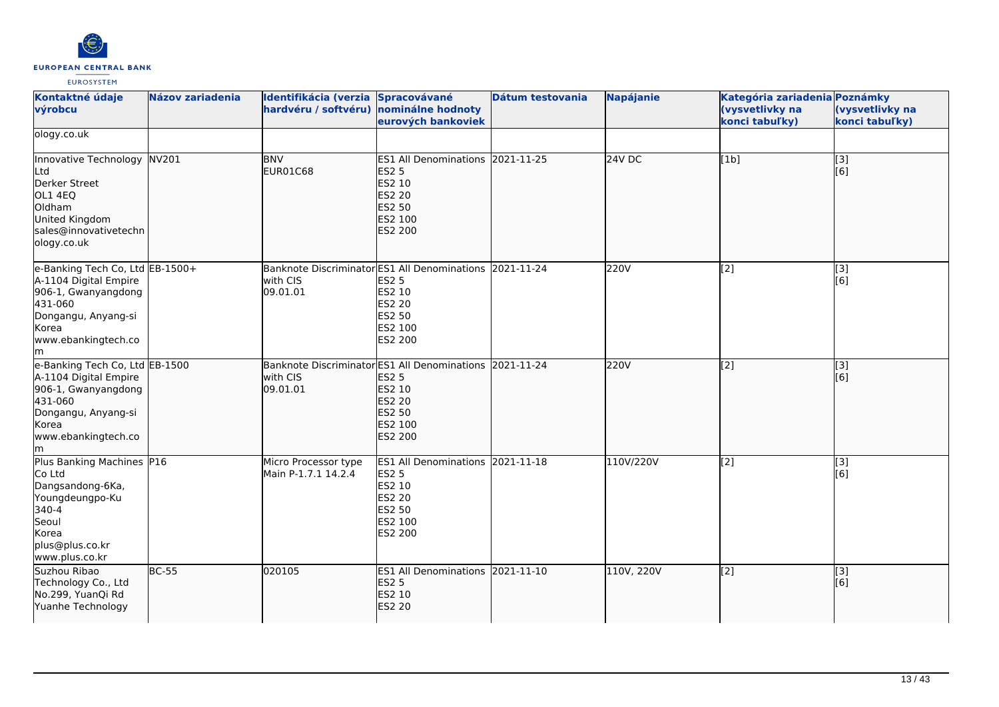

| Kontaktné údaje<br>výrobcu                                                                                                                             | <b>Názov zariadenia</b> | Identifikácia (verzia Spracovávané<br>hardvéru / softvéru)                      | nominálne hodnoty<br>eurových bankoviek                                                                            | Dátum testovania | <b>Napájanie</b> | Kategória zariadenia Poznámky<br>(vysvetlivky na<br>konci tabuľky) | (vysvetlivky na<br>konci tabuľky)                     |
|--------------------------------------------------------------------------------------------------------------------------------------------------------|-------------------------|---------------------------------------------------------------------------------|--------------------------------------------------------------------------------------------------------------------|------------------|------------------|--------------------------------------------------------------------|-------------------------------------------------------|
| ology.co.uk                                                                                                                                            |                         |                                                                                 |                                                                                                                    |                  |                  |                                                                    |                                                       |
| Innovative Technology NV201<br>Ltd<br>Derker Street<br>OL1 4EQ<br>Oldham<br>United Kingdom<br>sales@innovativetechn<br>ology.co.uk                     |                         | <b>BNV</b><br>EUR01C68                                                          | ES1 All Denominations 2021-11-25<br><b>ES2 5</b><br>ES2 10<br><b>ES2 20</b><br>ES2 50<br>ES2 100<br>ES2 200        |                  | <b>24V DC</b>    | [1b]                                                               | $\begin{bmatrix} 1 & 3 \\ 6 & 1 \end{bmatrix}$        |
| e-Banking Tech Co, Ltd EB-1500+<br>A-1104 Digital Empire<br>906-1, Gwanyangdong<br>431-060<br>Dongangu, Anyang-si<br>Korea<br>www.ebankingtech.co<br>m |                         | Banknote Discriminator ES1 All Denominations 2021-11-24<br>with CIS<br>09.01.01 | <b>ES2 5</b><br>ES2 10<br><b>ES2 20</b><br><b>ES2 50</b><br>ES2 100<br>ES2 200                                     |                  | 220V             | $\overline{[2]}$                                                   | $\left[ \begin{matrix} 3 \end{matrix} \right]$<br>[6] |
| e-Banking Tech Co, Ltd EB-1500<br>A-1104 Digital Empire<br>906-1, Gwanyangdong<br>431-060<br>Dongangu, Anyang-si<br>Korea<br>www.ebankingtech.co<br>m  |                         | Banknote Discriminator ES1 All Denominations 2021-11-24<br>with CIS<br>09.01.01 | <b>ES2 5</b><br>ES2 10<br><b>ES2 20</b><br><b>ES2 50</b><br>ES2 100<br>ES2 200                                     |                  | 220V             | $\overline{[2]}$                                                   | $\overline{[3]}$<br>[6]                               |
| Plus Banking Machines P16<br>Co Ltd<br>Dangsandong-6Ka,<br>Youngdeungpo-Ku<br>340-4<br>Seoul<br>Korea<br>plus@plus.co.kr<br>www.plus.co.kr             |                         | Micro Processor type<br>Main P-1.7.1 14.2.4                                     | ES1 All Denominations 2021-11-18<br><b>ES2 5</b><br><b>ES2 10</b><br><b>ES2 20</b><br>ES2 50<br>ES2 100<br>ES2 200 |                  | 110V/220V        | $\overline{[2]}$                                                   | [3]<br>[6]                                            |
| Suzhou Ribao<br>Technology Co., Ltd<br>No.299, YuanQi Rd<br>Yuanhe Technology                                                                          | <b>BC-55</b>            | 020105                                                                          | ES1 All Denominations 2021-11-10<br><b>ES2 5</b><br>ES2 10<br><b>ES2 20</b>                                        |                  | 110V, 220V       | $\sqrt{2}$                                                         | [3]<br>[6]                                            |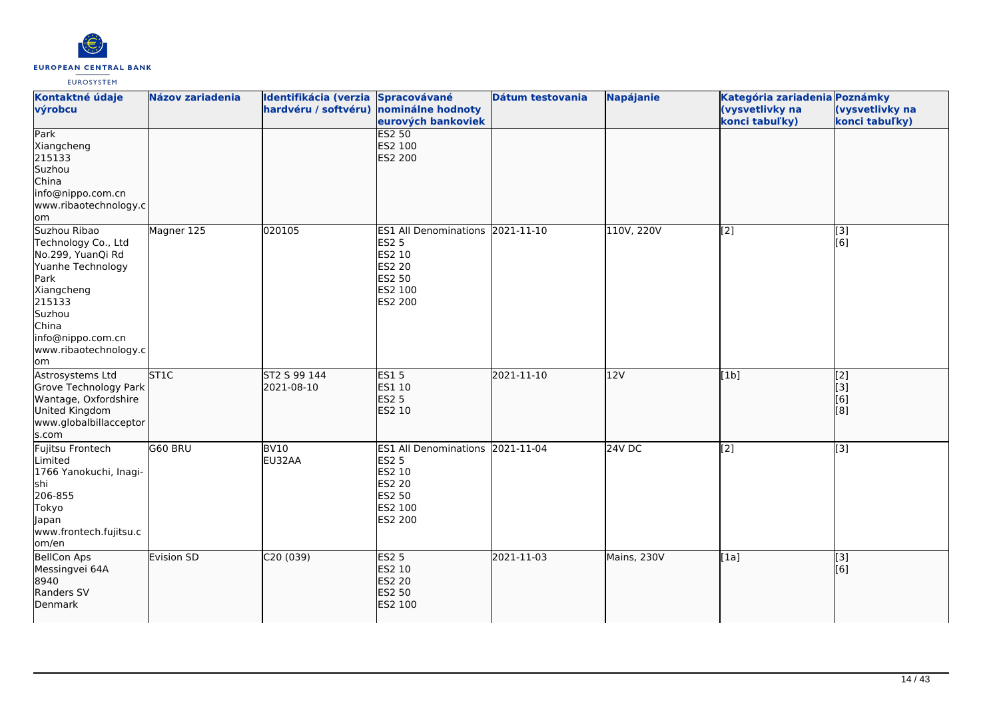

| Kontaktné údaje<br>výrobcu                                                                                                                                                            | <b>Názov zariadenia</b> | Identifikácia (verzia Spracovávané<br>hardvéru / softvéru) nominálne hodnoty | eurových bankoviek                                                                                             | Dátum testovania | Napájanie     | Kategória zariadenia Poznámky<br>(vysvetlivky na<br>konci tabuľky) | (vysvetlivky na<br>konci tabuľky)     |
|---------------------------------------------------------------------------------------------------------------------------------------------------------------------------------------|-------------------------|------------------------------------------------------------------------------|----------------------------------------------------------------------------------------------------------------|------------------|---------------|--------------------------------------------------------------------|---------------------------------------|
| Park<br>Xiangcheng<br>215133<br>Suzhou<br>China<br>info@nippo.com.cn<br>www.ribaotechnology.c<br>lom                                                                                  |                         |                                                                              | <b>ES2 50</b><br>ES2 100<br><b>ES2 200</b>                                                                     |                  |               |                                                                    |                                       |
| Suzhou Ribao<br>Technology Co., Ltd<br>No.299, YuanQi Rd<br>Yuanhe Technology<br>Park<br>Xiangcheng<br>215133<br>Suzhou<br>China<br>info@nippo.com.cn<br>www.ribaotechnology.c<br>lom | Magner 125              | 020105                                                                       | ES1 All Denominations 2021-11-10<br><b>ES2 5</b><br>ES2 10<br><b>ES2 20</b><br>ES2 50<br>ES2 100<br>ES2 200    |                  | 110V, 220V    | $\overline{[2]}$                                                   | $\overline{[3]}$<br>[6]               |
| Astrosystems Ltd<br>Grove Technology Park<br>Wantage, Oxfordshire<br>United Kingdom<br>www.globalbillacceptor<br>s.com                                                                | ST <sub>1C</sub>        | ST2 S 99 144<br>2021-08-10                                                   | <b>ES15</b><br>ES1 10<br><b>ES2 5</b><br>ES2 10                                                                | 2021-11-10       | 12V           | [1b]                                                               | $\overline{[2]}$<br>[3]<br>[6]<br>[8] |
| Fujitsu Frontech<br>Limited<br>1766 Yanokuchi, Inagi-<br>shi<br>206-855<br>Tokyo<br>Japan<br>www.frontech.fujitsu.c<br>om/en                                                          | G60 BRU                 | <b>BV10</b><br>EU32AA                                                        | <b>ES1 All Denominations</b><br><b>ES2 5</b><br>ES2 10<br><b>ES2 20</b><br><b>ES2 50</b><br>ES2 100<br>ES2 200 | 2021-11-04       | <b>24V DC</b> | $\left[$ [2]                                                       | $\overline{[3]}$                      |
| <b>BellCon Aps</b><br>Messingvei 64A<br>8940<br>Randers SV<br>Denmark                                                                                                                 | Evision SD              | C20 (039)                                                                    | <b>ES2 5</b><br>ES2 10<br>ES2 20<br><b>ES2 50</b><br>ES2 100                                                   | 2021-11-03       | Mains, 230V   | [1a]                                                               | $\vert$ [3]<br>[6]                    |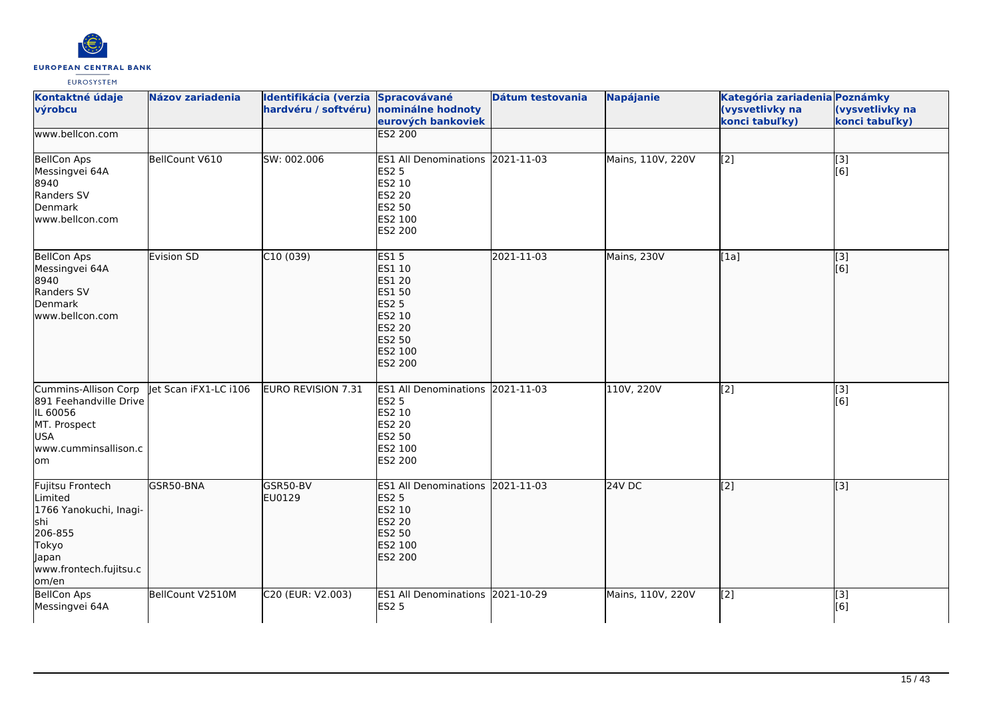

| Kontaktné údaje<br>výrobcu                                                                                                    | <b>Názov zariadenia</b> | Identifikácia (verzia Spracovávané<br>hardvéru / softvéru) | nominálne hodnoty<br>eurových bankoviek                                                                                            | Dátum testovania | <b>Napájanie</b>  | Kategória zariadenia Poznámky<br>(vysvetlivky na<br>konci tabuľky) | (vysvetlivky na<br>konci tabuľky)      |
|-------------------------------------------------------------------------------------------------------------------------------|-------------------------|------------------------------------------------------------|------------------------------------------------------------------------------------------------------------------------------------|------------------|-------------------|--------------------------------------------------------------------|----------------------------------------|
| www.bellcon.com                                                                                                               |                         |                                                            | <b>ES2 200</b>                                                                                                                     |                  |                   |                                                                    |                                        |
| <b>BellCon Aps</b><br>Messingvei 64A<br>8940<br>Randers SV<br>Denmark<br>lwww.bellcon.com                                     | BellCount V610          | SW: 002.006                                                | ES1 All Denominations 2021-11-03<br><b>ES2 5</b><br>ES2 10<br>ES2 20<br>ES2 50<br>ES2 100<br>ES2 200                               |                  | Mains, 110V, 220V | $\overline{[2]}$                                                   | $\begin{bmatrix} 3 \\ 6 \end{bmatrix}$ |
| <b>BellCon Aps</b><br>Messingvei 64A<br>8940<br>Randers SV<br>Denmark<br>lwww.bellcon.com                                     | Evision SD              | C10(039)                                                   | <b>ES15</b><br>ES1 10<br>ES1 20<br><b>ES1 50</b><br><b>ES2 5</b><br>ES2 10<br><b>ES2 20</b><br>ES2 50<br>ES2 100<br><b>ES2 200</b> | 2021-11-03       | Mains, 230V       | [1a]                                                               | $\overline{[3]}$<br>[6]                |
| Cummins-Allison Corp<br>891 Feehandville Drive<br>IL 60056<br>MT. Prospect<br><b>USA</b><br>www.cumminsallison.c<br>lom       | let Scan iFX1-LC i106   | <b>EURO REVISION 7.31</b>                                  | ES1 All Denominations 2021-11-03<br><b>ES2 5</b><br>ES2 10<br><b>ES2 20</b><br>ES2 50<br>ES2 100<br>ES2 200                        |                  | 110V, 220V        | $\overline{[2]}$                                                   | [3]<br>[6]                             |
| Fujitsu Frontech<br>Limited<br>1766 Yanokuchi, Inagi-<br>lshi<br>206-855<br>Tokyo<br>Japan<br>www.frontech.fujitsu.c<br>om/en | GSR50-BNA               | GSR50-BV<br>EU0129                                         | ES1 All Denominations 2021-11-03<br><b>ES2 5</b><br>ES2 10<br><b>ES2 20</b><br>ES2 50<br>ES2 100<br><b>ES2 200</b>                 |                  | $24V$ DC          | $\left[2\right]$                                                   | $\overline{[3]}$                       |
| <b>BellCon Aps</b><br>Messingvei 64A                                                                                          | BellCount V2510M        | C20 (EUR: V2.003)                                          | ES1 All Denominations 2021-10-29<br><b>ES2 5</b>                                                                                   |                  | Mains, 110V, 220V | [2]                                                                | [3]<br>[6]                             |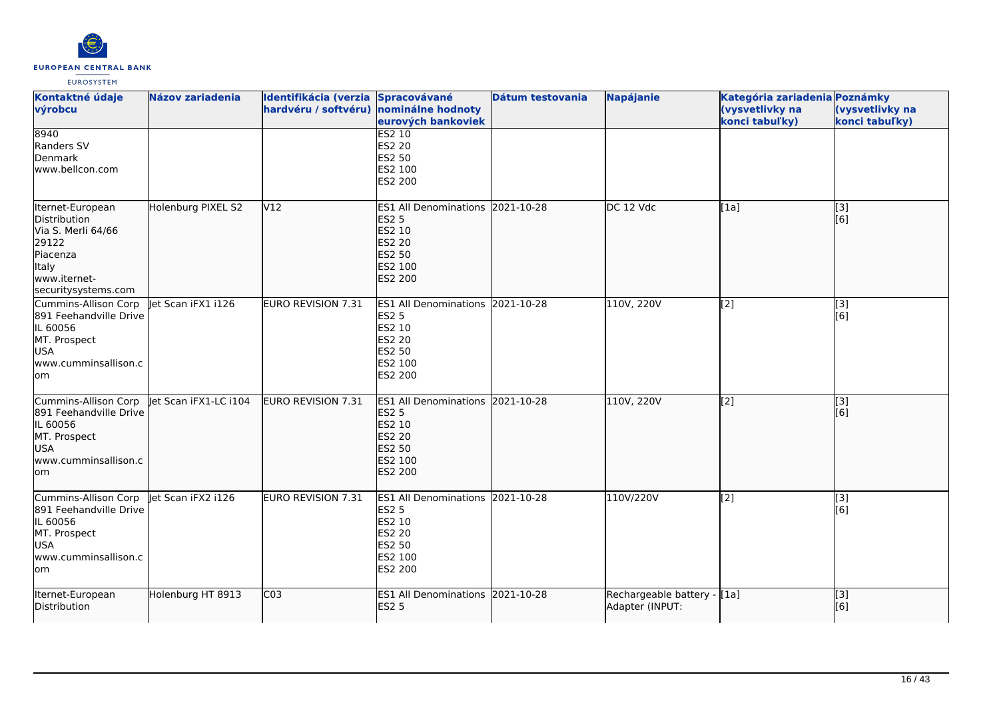

| Kontaktné údaje<br>výrobcu                                                                                                  | <b>Názov zariadenia</b> | Identifikácia (verzia Spracovávané<br>hardvéru / softvéru) nominálne hodnoty | eurových bankoviek                                                                                                 | Dátum testovania | Napájanie                                      | Kategória zariadenia Poznámky<br>(vysvetlivky na<br>konci tabuľky) | (vysvetlivky na<br>konci tabuľky) |
|-----------------------------------------------------------------------------------------------------------------------------|-------------------------|------------------------------------------------------------------------------|--------------------------------------------------------------------------------------------------------------------|------------------|------------------------------------------------|--------------------------------------------------------------------|-----------------------------------|
| 8940<br>Randers SV<br>Denmark<br>www.bellcon.com                                                                            |                         |                                                                              | <b>ES2 10</b><br>ES2 20<br><b>ES2 50</b><br>ES2 100<br>ES2 200                                                     |                  |                                                |                                                                    |                                   |
| Iternet-European<br>Distribution<br>Via S. Merli 64/66<br>29122<br>Piacenza<br>Italy<br>www.iternet-<br>securitysystems.com | Holenburg PIXEL S2      | V <sub>12</sub>                                                              | ES1 All Denominations 2021-10-28<br><b>ES2 5</b><br>ES2 10<br><b>ES2 20</b><br>ES2 50<br>ES2 100<br><b>ES2 200</b> |                  | DC 12 Vdc                                      | [1a]                                                               | [[3]<br>[[6]                      |
| Cummins-Allison Corp<br>891 Feehandville Drive<br>IL 60056<br>MT. Prospect<br><b>USA</b><br>www.cumminsallison.c<br>lom.    | let Scan iFX1 i126      | <b>EURO REVISION 7.31</b>                                                    | ES1 All Denominations 2021-10-28<br><b>ES2 5</b><br>ES2 10<br>ES2 20<br>ES2 50<br>ES2 100<br>ES2 200               |                  | 110V, 220V                                     | $\left[$ [2]                                                       | $\overline{[3]}$<br>[6]           |
| Cummins-Allison Corp<br>891 Feehandville Drive<br>IL 60056<br>MT. Prospect<br>USA<br>lwww.cumminsallison.c<br>lom           | let Scan iFX1-LC i104   | EURO REVISION 7.31                                                           | ES1 All Denominations 2021-10-28<br><b>ES2 5</b><br>ES2 10<br><b>ES2 20</b><br>ES2 50<br>ES2 100<br><b>ES2 200</b> |                  | 110V, 220V                                     | $\overline{[2]}$                                                   | $\overline{[}3]$<br>[6]           |
| Cummins-Allison Corp<br>891 Feehandville Drive<br>IL 60056<br>MT. Prospect<br><b>USA</b><br>www.cumminsallison.c<br>lom     | let Scan iFX2 i126      | EURO REVISION 7.31                                                           | <b>ES1 All Denominations</b><br><b>ES2 5</b><br>ES2 10<br>ES2 20<br>ES2 50<br>ES2 100<br>ES2 200                   | 2021-10-28       | 110V/220V                                      | $\sqrt{2}$                                                         | [3]<br>[6]                        |
| Iternet-European<br>Distribution                                                                                            | Holenburg HT 8913       | CO <sub>3</sub>                                                              | ES1 All Denominations 2021-10-28<br><b>ES2 5</b>                                                                   |                  | Rechargeable battery - [1a]<br>Adapter (INPUT: |                                                                    | $\overline{[}3]$<br>[6]           |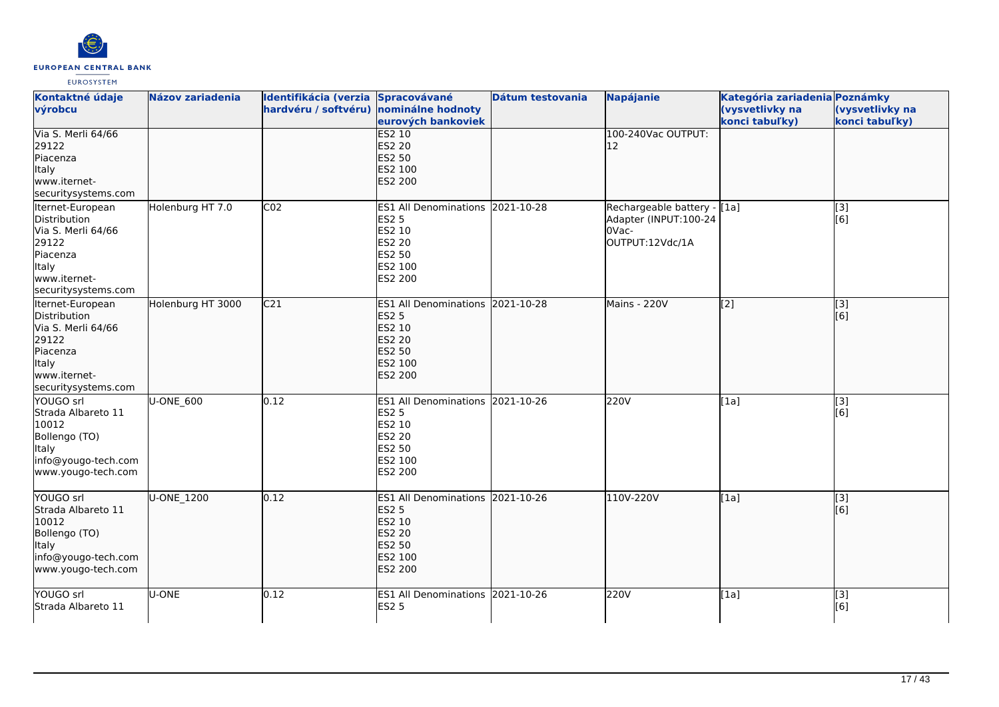

| Kontaktné údaje<br>výrobcu                                                                                                         | <b>Názov zariadenia</b> | Identifikácia (verzia Spracovávané<br>hardvéru / softvéru) nominálne hodnoty | eurových bankoviek                                                                                                 | Dátum testovania | <b>Napájanie</b>                                                                  | Kategória zariadenia Poznámky<br>(vysvetlivky na<br>konci tabuľky) | (vysvetlivky na<br>konci tabuľky) |
|------------------------------------------------------------------------------------------------------------------------------------|-------------------------|------------------------------------------------------------------------------|--------------------------------------------------------------------------------------------------------------------|------------------|-----------------------------------------------------------------------------------|--------------------------------------------------------------------|-----------------------------------|
| Via S. Merli 64/66<br>29122<br>Piacenza<br>Italy<br>www.iternet-<br>securitysystems.com                                            |                         |                                                                              | <b>ES2 10</b><br><b>ES2 20</b><br>ES2 50<br>ES2 100<br>ES2 200                                                     |                  | 100-240Vac OUTPUT:<br>12                                                          |                                                                    |                                   |
| Iternet-European<br>Distribution<br>Via S. Merli 64/66<br>29122<br>Piacenza<br>Italy<br>www.iternet-<br>securitysystems.com        | Holenburg HT 7.0        | CO <sub>2</sub>                                                              | ES1 All Denominations 2021-10-28<br><b>ES2 5</b><br>ES2 10<br>ES2 20<br>ES2 50<br>ES2 100<br>ES2 200               |                  | Rechargeable battery - [[1a]<br>Adapter (INPUT:100-24<br>0Vac-<br>OUTPUT:12Vdc/1A |                                                                    | [3]<br>[6]                        |
| Iternet-European<br>Distribution<br>Via S. Merli 64/66<br>29122<br>Piacenza<br><b>Italy</b><br>www.iternet-<br>securitysystems.com | Holenburg HT 3000       | C <sub>21</sub>                                                              | ES1 All Denominations 2021-10-28<br><b>ES2 5</b><br>ES2 10<br><b>ES2 20</b><br>ES2 50<br>ES2 100<br><b>ES2 200</b> |                  | Mains - 220V                                                                      | $\left[ \begin{matrix} 2 \end{matrix} \right]$                     | $\overline{[}3]$<br>[6]           |
| YOUGO srl<br>Strada Albareto 11<br>10012<br>Bollengo (TO)<br>Italy<br>info@yougo-tech.com<br>www.yougo-tech.com                    | U-ONE_600               | 0.12                                                                         | ES1 All Denominations 2021-10-26<br><b>ES2 5</b><br>ES2 10<br>ES2 20<br>ES2 50<br>ES2 100<br>ES2 200               |                  | 220V                                                                              | [1a]                                                               | [3]<br>[6]                        |
| YOUGO srl<br>Strada Albareto 11<br>10012<br>Bollengo (TO)<br><b>Italy</b><br>info@yougo-tech.com<br>www.yougo-tech.com             | U-ONE_1200              | 0.12                                                                         | ES1 All Denominations 2021-10-26<br><b>ES2 5</b><br>ES2 10<br><b>ES2 20</b><br>ES2 50<br>ES2 100<br>ES2 200        |                  | 110V-220V                                                                         | [1a]                                                               | [[3]<br>[6]                       |
| YOUGO srl<br>Strada Albareto 11                                                                                                    | U-ONE                   | 0.12                                                                         | ES1 All Denominations 2021-10-26<br><b>ES2 5</b>                                                                   |                  | 220V                                                                              | [1a]                                                               | [3]<br>[6]                        |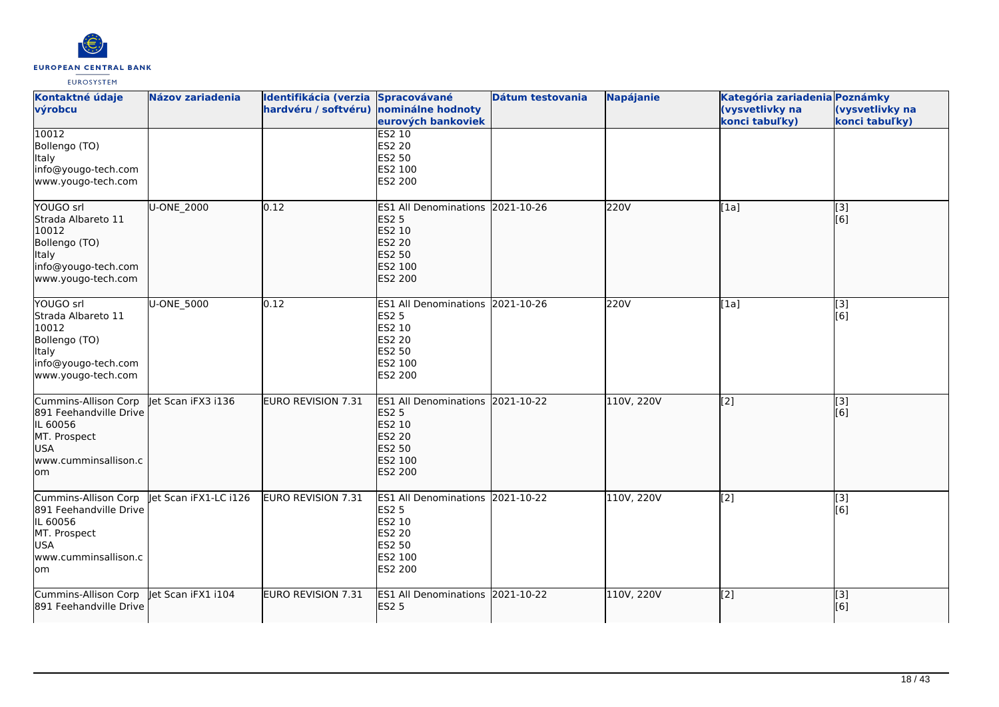

| Kontaktné údaje<br>výrobcu                                                                                              | Názov zariadenia      | Identifikácia (verzia Spracovávané<br>hardvéru / softvéru) nominálne hodnoty | eurových bankoviek                                                                                                        | Dátum testovania | <b>Napájanie</b> | Kategória zariadenia Poznámky<br>(vysvetlivky na<br>konci tabuľky) | (vysvetlivky na<br>konci tabuľky)  |
|-------------------------------------------------------------------------------------------------------------------------|-----------------------|------------------------------------------------------------------------------|---------------------------------------------------------------------------------------------------------------------------|------------------|------------------|--------------------------------------------------------------------|------------------------------------|
| 10012<br>Bollengo (TO)<br><b>Italy</b><br>info@yougo-tech.com<br>www.yougo-tech.com                                     |                       |                                                                              | <b>ES2 10</b><br>ES2 20<br><b>ES2 50</b><br>ES2 100<br>ES2 200                                                            |                  |                  |                                                                    |                                    |
| YOUGO srl<br>Strada Albareto 11<br>10012<br>Bollengo (TO)<br>Italy<br>info@yougo-tech.com<br>www.yougo-tech.com         | U-ONE 2000            | 0.12                                                                         | <b>ES1 All Denominations</b><br><b>ES2 5</b><br>ES2 10<br><b>ES2 20</b><br>ES2 50<br>ES2 100<br><b>ES2 200</b>            | 2021-10-26       | 220V             | [1a]                                                               | [3]<br>$\overline{[}6\overline{]}$ |
| YOUGO srl<br>Strada Albareto 11<br>10012<br>Bollengo (TO)<br>Italy<br>info@yougo-tech.com<br>www.yougo-tech.com         | U-ONE_5000            | 0.12                                                                         | ES1 All Denominations 2021-10-26<br><b>ES2 5</b><br>ES2 10<br>ES2 20<br>ES2 50<br>ES2 100<br>ES2 200                      |                  | 220V             | [1a]                                                               | [3]<br>[6]                         |
| Cummins-Allison Corp<br>891 Feehandville Drive<br>IL 60056<br>MT. Prospect<br><b>USA</b><br>www.cumminsallison.c<br>lom | let Scan iFX3 i136    | EURO REVISION 7.31                                                           | ES1 All Denominations 2021-10-22<br><b>ES2 5</b><br>ES2 10<br><b>ES2 20</b><br><b>ES2 50</b><br>ES2 100<br><b>ES2 200</b> |                  | 110V, 220V       | [2]                                                                | [3]<br>[6]                         |
| Cummins-Allison Corp<br>891 Feehandville Drive<br>IL 60056<br>MT. Prospect<br><b>USA</b><br>www.cumminsallison.c<br>lom | Jet Scan iFX1-LC i126 | EURO REVISION 7.31                                                           | ES1 All Denominations 2021-10-22<br><b>ES2 5</b><br>ES2 10<br><b>ES2 20</b><br><b>ES2 50</b><br>ES2 100<br>ES2 200        |                  | 110V, 220V       | [2]                                                                | [3]<br>[6]                         |
| Cummins-Allison Corp<br>891 Feehandville Drive                                                                          | Jet Scan iFX1 i104    | EURO REVISION 7.31                                                           | ES1 All Denominations 2021-10-22<br><b>ES2 5</b>                                                                          |                  | 110V, 220V       | $\overline{[2]}$                                                   | [3]<br>[6]                         |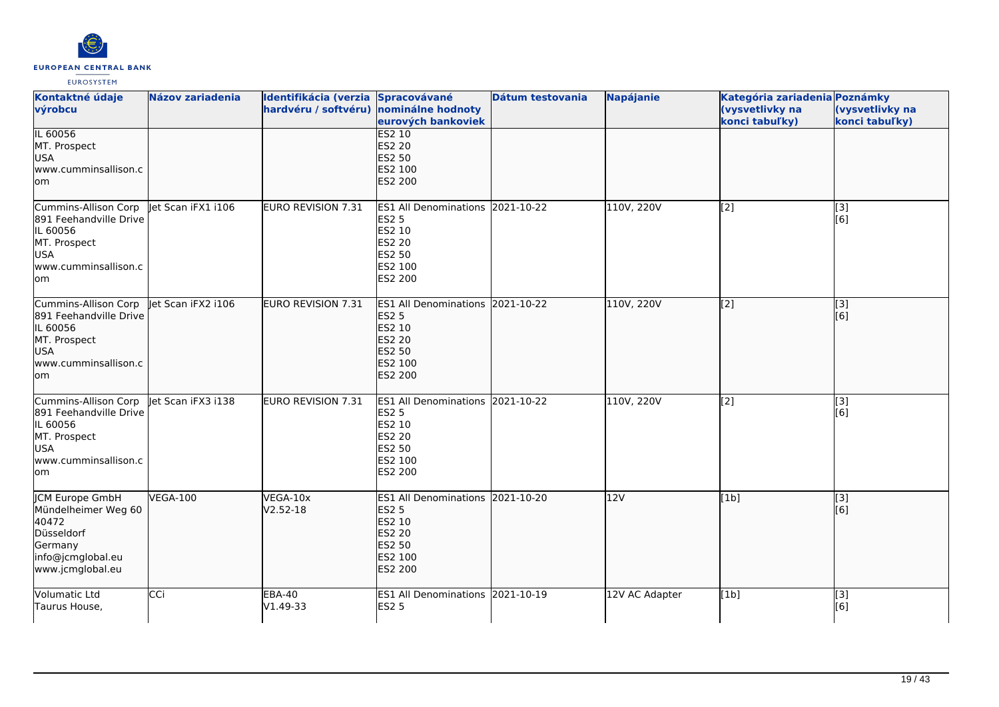

| Kontaktné údaje<br>výrobcu                                                                                              | <b>Názov zariadenia</b> | Identifikácia (verzia Spracovávané<br>hardvéru / softvéru) nominálne hodnoty | eurových bankoviek                                                                                                 | Dátum testovania | <b>Napájanie</b> | Kategória zariadenia Poznámky<br>(vysvetlivky na<br>konci tabuľky) | (vysvetlivky na<br>konci tabuľky) |
|-------------------------------------------------------------------------------------------------------------------------|-------------------------|------------------------------------------------------------------------------|--------------------------------------------------------------------------------------------------------------------|------------------|------------------|--------------------------------------------------------------------|-----------------------------------|
| IL 60056<br>MT. Prospect<br><b>USA</b><br>www.cumminsallison.c<br>lom                                                   |                         |                                                                              | ES2 10<br><b>ES2 20</b><br><b>ES2 50</b><br>ES2 100<br>ES2 200                                                     |                  |                  |                                                                    |                                   |
| Cummins-Allison Corp<br>891 Feehandville Drive<br>IL 60056<br>MT. Prospect<br><b>USA</b><br>www.cumminsallison.c<br>lom | let Scan iFX1 i106      | <b>EURO REVISION 7.31</b>                                                    | <b>ES1 All Denominations</b><br><b>ES2 5</b><br>ES2 10<br><b>ES2 20</b><br><b>ES2 50</b><br>ES2 100<br>ES2 200     | 2021-10-22       | 110V, 220V       | $\left[$ [2]                                                       | [3]<br>[6]                        |
| Cummins-Allison Corp<br>891 Feehandville Drive<br>IL 60056<br>MT. Prospect<br>USA<br>www.cumminsallison.c<br>lom        | let Scan iFX2 i106      | <b>EURO REVISION 7.31</b>                                                    | ES1 All Denominations 2021-10-22<br><b>ES2 5</b><br>ES2 10<br>ES2 20<br>ES2 50<br>ES2 100<br>ES2 200               |                  | 110V, 220V       | $\left[$ [2]                                                       | [3]<br>[6]                        |
| Cummins-Allison Corp<br>891 Feehandville Drive<br>IL 60056<br>MT. Prospect<br><b>USA</b><br>www.cumminsallison.c<br>lom | let Scan iFX3 i138      | <b>EURO REVISION 7.31</b>                                                    | ES1 All Denominations 2021-10-22<br><b>ES2 5</b><br>ES2 10<br><b>ES2 20</b><br><b>ES2 50</b><br>ES2 100<br>ES2 200 |                  | 110V, 220V       | [2]                                                                | [3]<br>[6]                        |
| JCM Europe GmbH<br>Mündelheimer Weg 60<br>40472<br>Düsseldorf<br>Germany<br>info@jcmglobal.eu<br>www.jcmglobal.eu       | <b>VEGA-100</b>         | VEGA-10x<br>$V2.52 - 18$                                                     | ES1 All Denominations 2021-10-20<br><b>ES2 5</b><br>ES2 10<br><b>ES2 20</b><br>ES2 50<br>ES2 100<br>ES2 200        |                  | 12V              | [1b]                                                               | [[3]<br>[[6]                      |
| <b>Volumatic Ltd</b><br>Taurus House,                                                                                   | <b>CCi</b>              | <b>EBA-40</b><br>V1.49-33                                                    | ES1 All Denominations 2021-10-19<br><b>ES2 5</b>                                                                   |                  | 12V AC Adapter   | [1b]                                                               | $\overline{[3]}$<br>[6]           |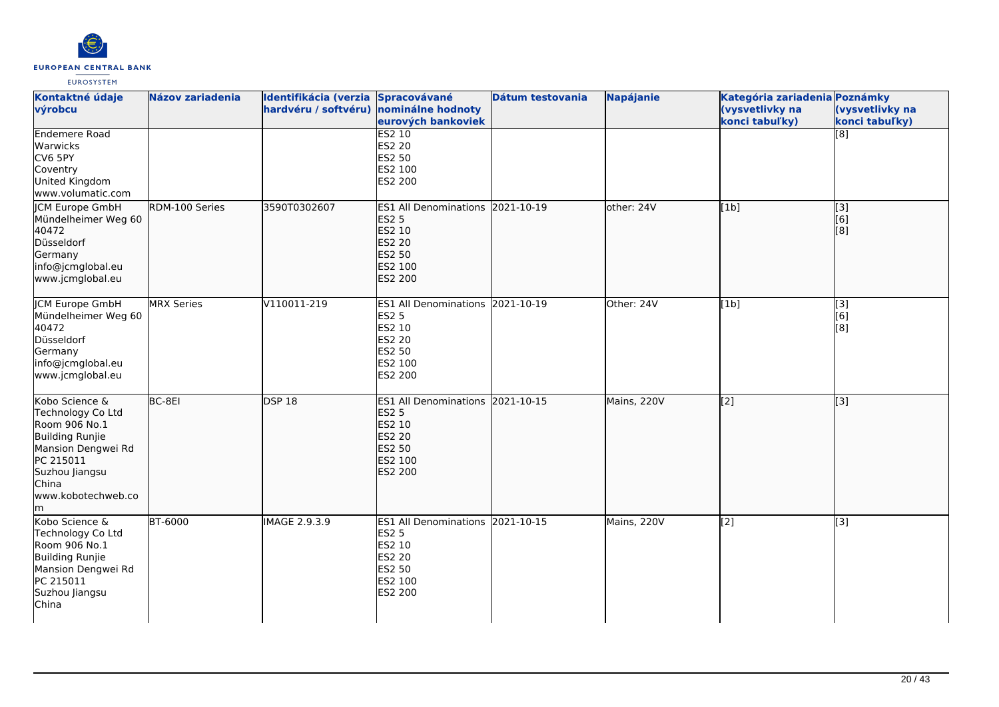

| Kontaktné údaje<br>výrobcu                                                                                                                                         | <b>Názov zariadenia</b> | Identifikácia (verzia Spracovávané<br>hardvéru / softvéru) nominálne hodnoty | eurových bankoviek                                                                                                 | Dátum testovania | <b>Napájanie</b> | Kategória zariadenia Poznámky<br>(vysvetlivky na<br>konci tabuľky) | (vysvetlivky na<br>konci tabuľky) |
|--------------------------------------------------------------------------------------------------------------------------------------------------------------------|-------------------------|------------------------------------------------------------------------------|--------------------------------------------------------------------------------------------------------------------|------------------|------------------|--------------------------------------------------------------------|-----------------------------------|
| Endemere Road<br>Warwicks<br>CV6 5PY<br>Coventry<br>United Kingdom<br>www.volumatic.com                                                                            |                         |                                                                              | ES2 10<br><b>ES2 20</b><br>ES2 50<br>ES2 100<br>ES2 200                                                            |                  |                  |                                                                    | $\overline{[8]}$                  |
| JCM Europe GmbH<br>Mündelheimer Weg 60<br>40472<br>Düsseldorf<br>Germany<br>info@jcmglobal.eu<br>www.jcmglobal.eu                                                  | RDM-100 Series          | 3590T0302607                                                                 | <b>ES1 All Denominations</b><br><b>ES2 5</b><br>ES2 10<br><b>ES2 20</b><br><b>ES2 50</b><br>ES2 100<br>ES2 200     | 2021-10-19       | other: 24V       | [1b]                                                               | [3]<br>[6]<br>[8]                 |
| <b>JCM Europe GmbH</b><br>Mündelheimer Weg 60<br>40472<br>Düsseldorf<br>Germany<br>info@jcmglobal.eu<br>www.jcmglobal.eu                                           | <b>MRX Series</b>       | V110011-219                                                                  | ES1 All Denominations 2021-10-19<br><b>ES2 5</b><br>ES2 10<br><b>ES2 20</b><br>ES2 50<br>ES2 100<br>ES2 200        |                  | Other: 24V       | [1b]                                                               | [3]<br>[6]<br>[8]                 |
| Kobo Science &<br>Technology Co Ltd<br>Room 906 No.1<br>Building Runjie<br>Mansion Dengwei Rd<br>PC 215011<br>Suzhou Jiangsu<br>China<br>www.kobotechweb.co<br>lm. | BC-8EI                  | <b>DSP 18</b>                                                                | ES1 All Denominations 2021-10-15<br><b>ES2 5</b><br>ES2 10<br><b>ES2 20</b><br><b>ES2 50</b><br>ES2 100<br>ES2 200 |                  | Mains, 220V      | [2]                                                                | [3]                               |
| Kobo Science &<br>Technology Co Ltd<br>Room 906 No.1<br><b>Building Runjie</b><br>Mansion Dengwei Rd<br>PC 215011<br>Suzhou Jiangsu<br>China                       | <b>BT-6000</b>          | IMAGE 2.9.3.9                                                                | ES1 All Denominations 2021-10-15<br><b>ES2 5</b><br>ES2 10<br><b>ES2 20</b><br><b>ES2 50</b><br>ES2 100<br>ES2 200 |                  | Mains, 220V      | [2]                                                                | [3]                               |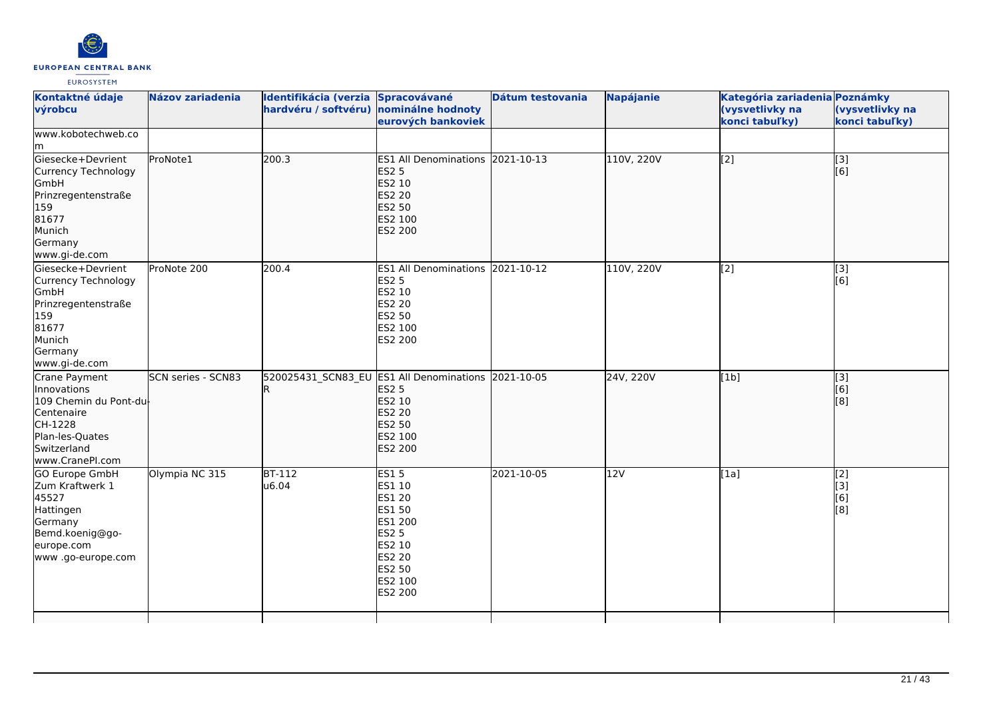

| Kontaktné údaje<br>výrobcu                                                                                                           | <b>Názov zariadenia</b>   | Identifikácia (verzia Spracovávané<br>hardvéru / softvéru) nominálne hodnoty | eurových bankoviek                                                                                                                     | Dátum testovania | <b>Napájanie</b> | Kategória zariadenia Poznámky<br>(vysvetlivky na<br>konci tabuľky) | (vysvetlivky na<br>konci tabuľky)         |
|--------------------------------------------------------------------------------------------------------------------------------------|---------------------------|------------------------------------------------------------------------------|----------------------------------------------------------------------------------------------------------------------------------------|------------------|------------------|--------------------------------------------------------------------|-------------------------------------------|
| www.kobotechweb.co<br>lm.                                                                                                            |                           |                                                                              |                                                                                                                                        |                  |                  |                                                                    |                                           |
| Giesecke+Devrient<br>Currency Technology<br>GmbH<br>Prinzregentenstraße<br>159<br>81677<br>Munich<br>Germany<br>www.gi-de.com        | ProNote1                  | 200.3                                                                        | ES1 All Denominations 2021-10-13<br><b>ES2 5</b><br>ES2 10<br><b>ES2 20</b><br>ES2 50<br>ES2 100<br><b>ES2 200</b>                     |                  | 110V, 220V       | [2]                                                                | [3]<br>[6]                                |
| Giesecke+Devrient<br>Currency Technology<br>GmbH<br>Prinzregentenstraße<br>159<br>81677<br>Munich<br>Germany<br>www.gi-de.com        | ProNote 200               | 200.4                                                                        | ES1 All Denominations 2021-10-12<br><b>ES2 5</b><br>ES2 10<br>ES2 20<br>ES2 50<br>ES2 100<br>ES2 200                                   |                  | 110V, 220V       | [2]                                                                | [3]<br>[6]                                |
| Crane Payment<br>Innovations<br>109 Chemin du Pont-du-<br>Centenaire<br>CH-1228<br>Plan-les-Quates<br>Switzerland<br>www.CranePI.com | <b>SCN series - SCN83</b> |                                                                              | 520025431 SCN83 EU ES1 All Denominations 2021-10-05<br><b>ES2 5</b><br>ES2 10<br>ES2 20<br><b>ES2 50</b><br>ES2 100<br><b>ES2 200</b>  |                  | 24V, 220V        | [1b]                                                               | [3]<br>$\overline{[}6\overline{)}$<br>[8] |
| <b>GO Europe GmbH</b><br>Zum Kraftwerk 1<br>45527<br>Hattingen<br>Germany<br>Bemd.koenig@go-<br>europe.com<br>www.go-europe.com      | Olympia NC 315            | $BT-112$<br>u6.04                                                            | <b>ES15</b><br>ES1 10<br><b>ES1 20</b><br><b>ES1 50</b><br>ES1 200<br><b>ES2 5</b><br>ES2 10<br>ES2 20<br>ES2 50<br>ES2 100<br>ES2 200 | 2021-10-05       | 12V              | [1a]                                                               | $\overline{[2]}$<br>[3]<br>[6]<br>[8]     |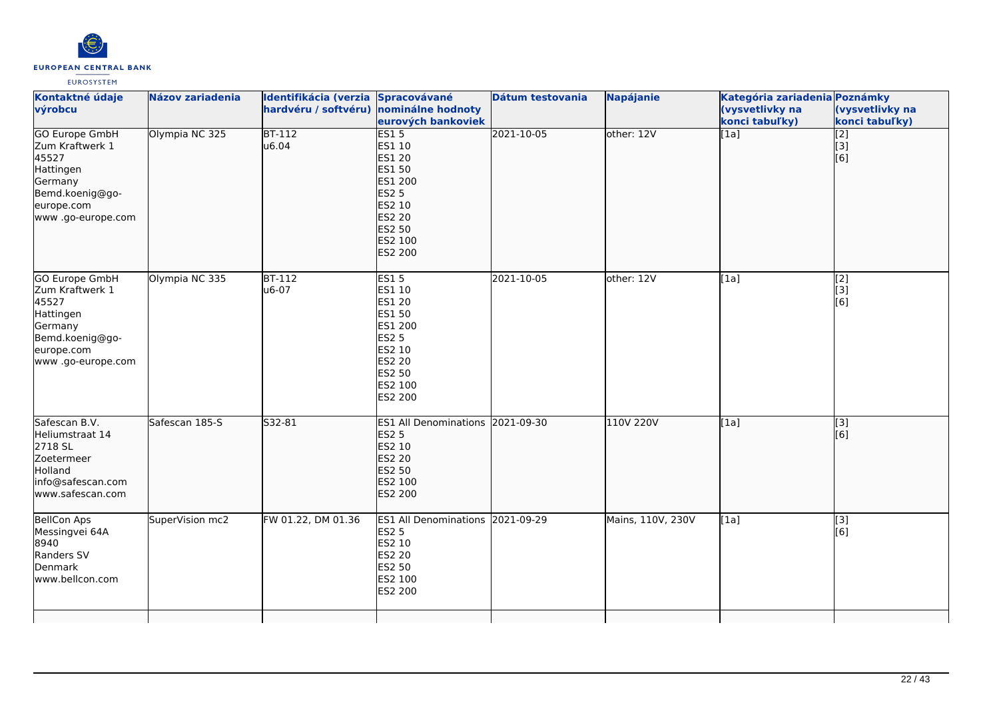

| Kontaktné údaje<br>výrobcu                                                                                                      | Názov zariadenia | Identifikácia (verzia Spracovávané<br>hardvéru / softvéru) nominálne hodnoty | eurových bankoviek                                                                                                              | <b>Dátum testovania</b> | <b>Napájanie</b>  | Kategória zariadenia Poznámky<br>(vysvetlivky na<br>konci tabuľky) | (vysvetlivky na<br>konci tabuľky)         |
|---------------------------------------------------------------------------------------------------------------------------------|------------------|------------------------------------------------------------------------------|---------------------------------------------------------------------------------------------------------------------------------|-------------------------|-------------------|--------------------------------------------------------------------|-------------------------------------------|
| <b>GO Europe GmbH</b><br>Zum Kraftwerk 1<br>45527<br>Hattingen<br>Germany<br>Bemd.koenig@go-<br>europe.com<br>www.go-europe.com | Olympia NC 325   | $BT-112$<br>u6.04                                                            | ES15<br>ES1 10<br><b>ES1 20</b><br>ES1 50<br>ES1 200<br><b>ES2 5</b><br>ES2 10<br><b>ES2 20</b><br>ES2 50<br>ES2 100<br>ES2 200 | 2021-10-05              | other: 12V        | [1a]                                                               | $\overline{[2]}$<br>[3]<br>[6]            |
| GO Europe GmbH<br>Zum Kraftwerk 1<br>45527<br>Hattingen<br>Germany<br>Bemd.koenig@go-<br>europe.com<br>www.go-europe.com        | Olympia NC 335   | BT-112<br>u6-07                                                              | <b>ES15</b><br>ES1 10<br>ES1 20<br>ES1 50<br>ES1 200<br><b>ES2 5</b><br>ES2 10<br>ES2 20<br>ES2 50<br>ES2 100<br>ES2 200        | 2021-10-05              | other: 12V        | [1a]                                                               | [2]<br>$\overline{[}3\overline{]}$<br>[6] |
| Safescan B.V.<br>Heliumstraat 14<br>2718 SL<br>Zoetermeer<br>Holland<br>info@safescan.com<br>www.safescan.com                   | Safescan 185-S   | S32-81                                                                       | ES1 All Denominations 2021-09-30<br><b>ES2 5</b><br>ES2 10<br><b>ES2 20</b><br>ES2 50<br>ES2 100<br>ES2 200                     |                         | 110V 220V         | [1a]                                                               | $\overline{[3]}$<br>[6]                   |
| <b>BellCon Aps</b><br>Messingvei 64A<br>8940<br>Randers SV<br>Denmark<br>www.bellcon.com                                        | SuperVision mc2  | FW 01.22, DM 01.36                                                           | <b>ES1 All Denominations 2021-09-29</b><br><b>ES2 5</b><br>ES2 10<br><b>ES2 20</b><br>ES2 50<br>ES2 100<br>ES2 200              |                         | Mains, 110V, 230V | [1a]                                                               | [3]<br>[6]                                |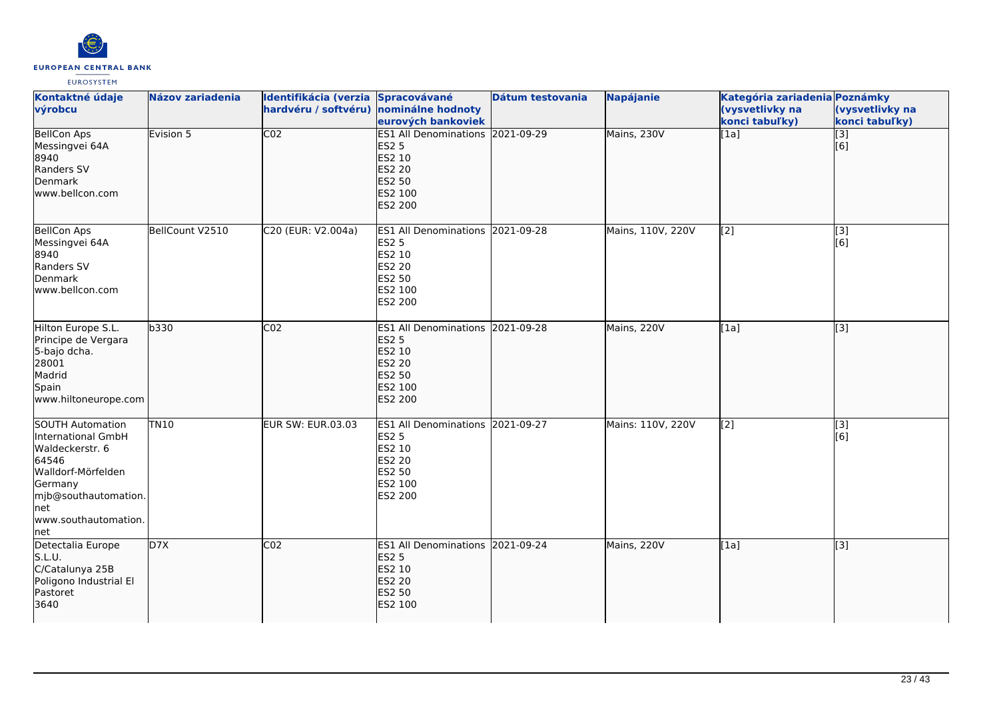

| Kontaktné údaje<br>výrobcu                                                                                                                                                | Názov zariadenia | Identifikácia (verzia Spracovávané<br>hardvéru / softvéru) nominálne hodnoty | eurových bankoviek                                                                                                        | Dátum testovania | <b>Napájanie</b>  | Kategória zariadenia Poznámky<br>(vysvetlivky na<br>konci tabuľky) | (vysvetlivky na<br>konci tabuľky) |
|---------------------------------------------------------------------------------------------------------------------------------------------------------------------------|------------------|------------------------------------------------------------------------------|---------------------------------------------------------------------------------------------------------------------------|------------------|-------------------|--------------------------------------------------------------------|-----------------------------------|
| <b>BellCon Aps</b><br>Messingvei 64A<br>8940<br>Randers SV<br>Denmark<br>www.bellcon.com                                                                                  | Evision 5        | $\overline{CO2}$                                                             | ES1 All Denominations 2021-09-29<br><b>ES2 5</b><br>ES2 10<br><b>ES2 20</b><br><b>ES2 50</b><br>ES2 100<br>ES2 200        |                  | Mains, 230V       | [1a]                                                               | $\overline{[}3]$<br>[6]           |
| <b>BellCon Aps</b><br>Messingvei 64A<br>8940<br>Randers SV<br>Denmark<br>lwww.bellcon.com                                                                                 | BellCount V2510  | C20 (EUR: V2.004a)                                                           | ES1 All Denominations 2021-09-28<br><b>ES2 5</b><br>ES2 10<br>ES2 20<br>ES2 50<br>ES2 100<br>ES2 200                      |                  | Mains, 110V, 220V | [2]                                                                | $\overline{[3]}$<br>[6]           |
| Hilton Europe S.L.<br>Principe de Vergara<br>5-bajo dcha.<br>28001<br>Madrid<br>Spain<br>www.hiltoneurope.com                                                             | b330             | CO <sub>2</sub>                                                              | ES1 All Denominations 2021-09-28<br><b>ES2 5</b><br>ES2 10<br><b>ES2 20</b><br><b>ES2 50</b><br>ES2 100<br><b>ES2 200</b> |                  | Mains, 220V       | [1a]                                                               | $\overline{[}3]$                  |
| <b>SOUTH Automation</b><br>International GmbH<br>Waldeckerstr. 6<br>64546<br>Walldorf-Mörfelden<br>Germany<br>mjb@southautomation.<br>Inet<br>www.southautomation.<br>net | <b>TN10</b>      | EUR SW: EUR.03.03                                                            | ES1 All Denominations 2021-09-27<br><b>ES2 5</b><br>ES2 10<br><b>ES2 20</b><br>ES2 50<br>ES2 100<br>ES2 200               |                  | Mains: 110V, 220V | [2]                                                                | $\overline{[3]}$<br>[6]           |
| Detectalia Europe<br>S.L.U.<br>C/Catalunya 25B<br>Poligono Industrial El<br>Pastoret<br>3640                                                                              | D7X              | CO <sub>2</sub>                                                              | ES1 All Denominations 2021-09-24<br><b>ES2 5</b><br>ES2 10<br><b>ES2 20</b><br>ES2 50<br>ES2 100                          |                  | Mains, 220V       | [1a]                                                               | $\overline{[3]}$                  |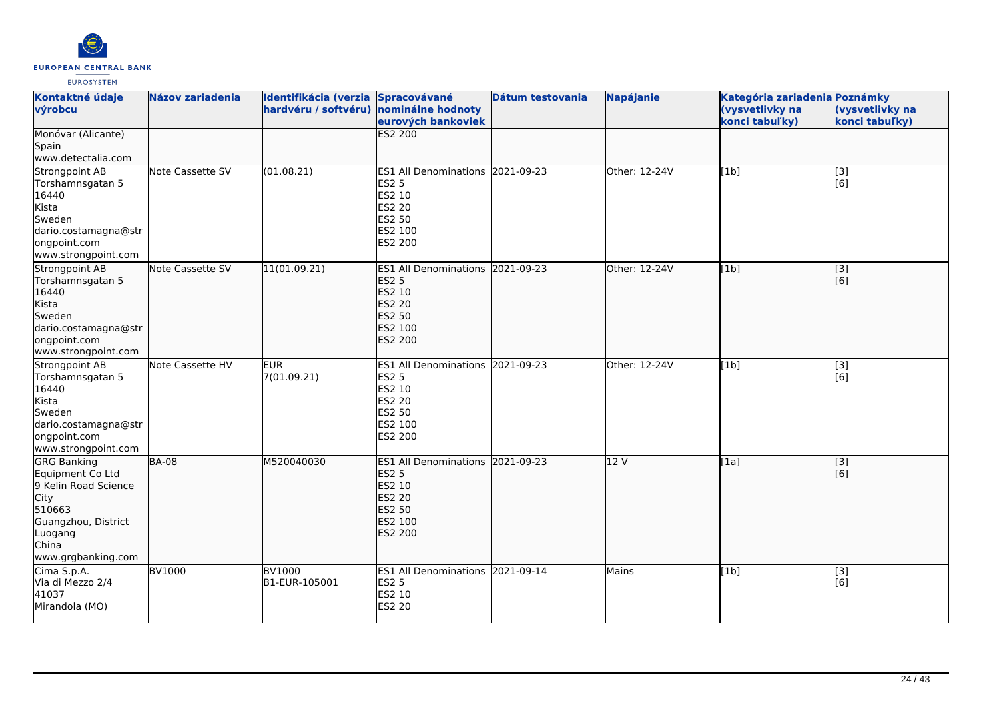

| Kontaktné údaje             | <b>Názov zariadenia</b> | <b>Identifikácia (verzia</b> | <b>Spracovávané</b>              | Dátum testovania | <b>Napájanie</b> | Kategória zariadenia Poznámky |                  |
|-----------------------------|-------------------------|------------------------------|----------------------------------|------------------|------------------|-------------------------------|------------------|
| výrobcu                     |                         | hardvéru / softvéru)         | nominálne hodnoty                |                  |                  | (vysvetlivky na               | (vysvetlivky na  |
|                             |                         |                              | eurových bankoviek               |                  |                  | konci tabuľky)                | konci tabuľky)   |
| Monóvar (Alicante)          |                         |                              | <b>ES2 200</b>                   |                  |                  |                               |                  |
| Spain                       |                         |                              |                                  |                  |                  |                               |                  |
| www.detectalia.com          |                         |                              |                                  |                  |                  |                               |                  |
| Strongpoint AB              | Note Cassette SV        | (01.08.21)                   | ES1 All Denominations 2021-09-23 |                  | Other: 12-24V    | [1b]                          | [3]              |
| Torshamnsgatan 5            |                         |                              | <b>ES2 5</b>                     |                  |                  |                               | [6]              |
| 16440                       |                         |                              | ES2 10                           |                  |                  |                               |                  |
| Kista                       |                         |                              | <b>ES2 20</b>                    |                  |                  |                               |                  |
| Sweden                      |                         |                              | ES2 50                           |                  |                  |                               |                  |
| dario.costamagna@str        |                         |                              | ES2 100                          |                  |                  |                               |                  |
| ongpoint.com                |                         |                              | ES2 200                          |                  |                  |                               |                  |
| www.strongpoint.com         |                         |                              |                                  |                  |                  |                               |                  |
| Strongpoint AB              | Note Cassette SV        | 11(01.09.21)                 | ES1 All Denominations 2021-09-23 |                  | Other: 12-24V    | [1b]                          | $\overline{[3]}$ |
| Torshamnsgatan 5            |                         |                              | <b>ES2 5</b>                     |                  |                  |                               | [6]              |
| 16440                       |                         |                              | ES2 10                           |                  |                  |                               |                  |
| Kista                       |                         |                              | <b>ES2 20</b>                    |                  |                  |                               |                  |
| Sweden                      |                         |                              | <b>ES2 50</b>                    |                  |                  |                               |                  |
| dario.costamagna@str        |                         |                              | ES2 100                          |                  |                  |                               |                  |
| ongpoint.com                |                         |                              | ES2 200                          |                  |                  |                               |                  |
| www.strongpoint.com         |                         |                              |                                  |                  |                  |                               |                  |
| Strongpoint AB              | Note Cassette HV        | <b>EUR</b>                   | ES1 All Denominations 2021-09-23 |                  | Other: 12-24V    | [1b]                          | [3]              |
| Torshamnsgatan 5            |                         | 7(01.09.21)                  | <b>ES2 5</b>                     |                  |                  |                               | [6]              |
| 16440                       |                         |                              | ES2 10                           |                  |                  |                               |                  |
| Kista                       |                         |                              | ES2 20                           |                  |                  |                               |                  |
| Sweden                      |                         |                              | ES2 50                           |                  |                  |                               |                  |
| dario.costamagna@str        |                         |                              | ES2 100                          |                  |                  |                               |                  |
| ongpoint.com                |                         |                              | ES2 200                          |                  |                  |                               |                  |
| www.strongpoint.com         |                         |                              |                                  |                  |                  |                               |                  |
| <b>GRG Banking</b>          | <b>BA-08</b>            | M520040030                   | ES1 All Denominations 2021-09-23 |                  | 12 V             | [1a]                          | $\left[$ [3]     |
| Equipment Co Ltd            |                         |                              | <b>ES2 5</b>                     |                  |                  |                               | [6]              |
| 9 Kelin Road Science        |                         |                              | <b>ES2 10</b>                    |                  |                  |                               |                  |
| <b>City</b>                 |                         |                              | <b>ES2 20</b>                    |                  |                  |                               |                  |
| 510663                      |                         |                              | ES2 50                           |                  |                  |                               |                  |
| Guangzhou, District         |                         |                              | ES2 100                          |                  |                  |                               |                  |
| Luogang                     |                         |                              | <b>ES2 200</b>                   |                  |                  |                               |                  |
| China<br>www.grgbanking.com |                         |                              |                                  |                  |                  |                               |                  |
|                             |                         |                              |                                  |                  |                  |                               |                  |
| Cima S.p.A.                 | <b>BV1000</b>           | <b>BV1000</b>                | ES1 All Denominations 2021-09-14 |                  | Mains            | [1b]                          | [3]              |
| Via di Mezzo 2/4<br>41037   |                         | B1-EUR-105001                | <b>ES2 5</b><br>ES2 10           |                  |                  |                               | [6]              |
| Mirandola (MO)              |                         |                              | ES2 20                           |                  |                  |                               |                  |
|                             |                         |                              |                                  |                  |                  |                               |                  |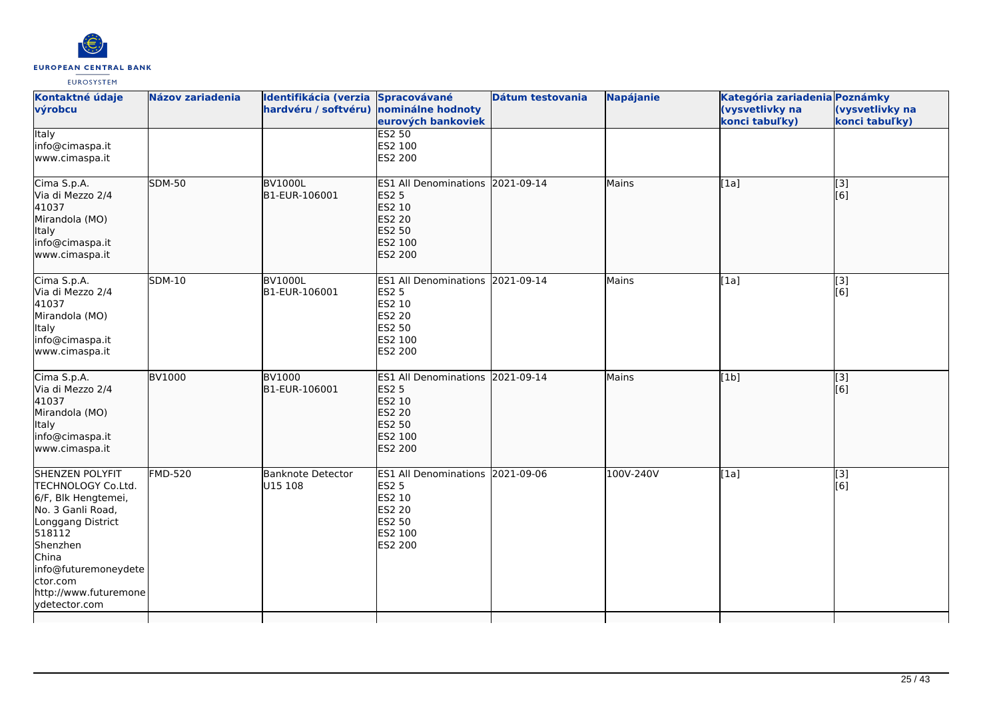

| Kontaktné údaje<br>výrobcu                                                                                                                                                                                          | Názov zariadenia | Identifikácia (verzia Spracovávané<br>hardvéru / softvéru) nominálne hodnoty | eurových bankoviek                                                                                                    | Dátum testovania | <b>Napájanie</b> | Kategória zariadenia Poznámky<br>(vysvetlivky na<br>konci tabuľky) | (vysvetlivky na<br>konci tabuľky) |
|---------------------------------------------------------------------------------------------------------------------------------------------------------------------------------------------------------------------|------------------|------------------------------------------------------------------------------|-----------------------------------------------------------------------------------------------------------------------|------------------|------------------|--------------------------------------------------------------------|-----------------------------------|
| <b>Italy</b><br>info@cimaspa.it<br>www.cimaspa.it                                                                                                                                                                   |                  |                                                                              | <b>ES2 50</b><br>ES2 100<br>ES2 200                                                                                   |                  |                  |                                                                    |                                   |
| Cima S.p.A.<br>Via di Mezzo 2/4<br>41037<br>Mirandola (MO)<br>Italy<br>info@cimaspa.it<br>www.cimaspa.it                                                                                                            | <b>SDM-50</b>    | <b>BV1000L</b><br>B1-EUR-106001                                              | <b>ES1 All Denominations</b><br><b>ES2 5</b><br>ES2 10<br><b>ES2 20</b><br><b>ES2 50</b><br>ES2 100<br>ES2 200        | 2021-09-14       | Mains            | [[1a]                                                              | $\overline{[}3]$<br>[6]           |
| Cima S.p.A.<br>Via di Mezzo 2/4<br>41037<br>Mirandola (MO)<br>Italy<br>info@cimaspa.it<br>www.cimaspa.it                                                                                                            | <b>SDM-10</b>    | <b>BV1000L</b><br>B1-EUR-106001                                              | <b>ES1 All Denominations</b><br><b>ES2 5</b><br>ES2 10<br><b>ES2 20</b><br><b>ES2 50</b><br>ES2 100<br><b>ES2 200</b> | 2021-09-14       | Mains            | [1a]                                                               | [3]<br>[6]                        |
| Cima S.p.A.<br>Via di Mezzo 2/4<br>41037<br>Mirandola (MO)<br>Italy<br>info@cimaspa.it<br>www.cimaspa.it                                                                                                            | <b>BV1000</b>    | <b>BV1000</b><br>B1-EUR-106001                                               | <b>ES1 All Denominations</b><br><b>ES2 5</b><br>ES2 10<br>ES2 20<br><b>ES2 50</b><br>ES2 100<br><b>ES2 200</b>        | 2021-09-14       | Mains            | [1b]                                                               | [[3]<br>[[6]                      |
| SHENZEN POLYFIT<br>TECHNOLOGY Co.Ltd.<br>6/F, Blk Hengtemei,<br>No. 3 Ganli Road,<br>Longgang District<br>518112<br>Shenzhen<br>China<br>info@futuremoneydete<br>ctor.com<br>http://www.futuremone<br>ydetector.com | <b>FMD-520</b>   | Banknote Detector<br>U15 108                                                 | <b>ES1 All Denominations</b><br><b>ES2 5</b><br>ES2 10<br><b>ES2 20</b><br>ES2 50<br>ES2 100<br>ES2 200               | 2021-09-06       | 100V-240V        | [1a]                                                               | $\overline{[3]}$<br>[6]           |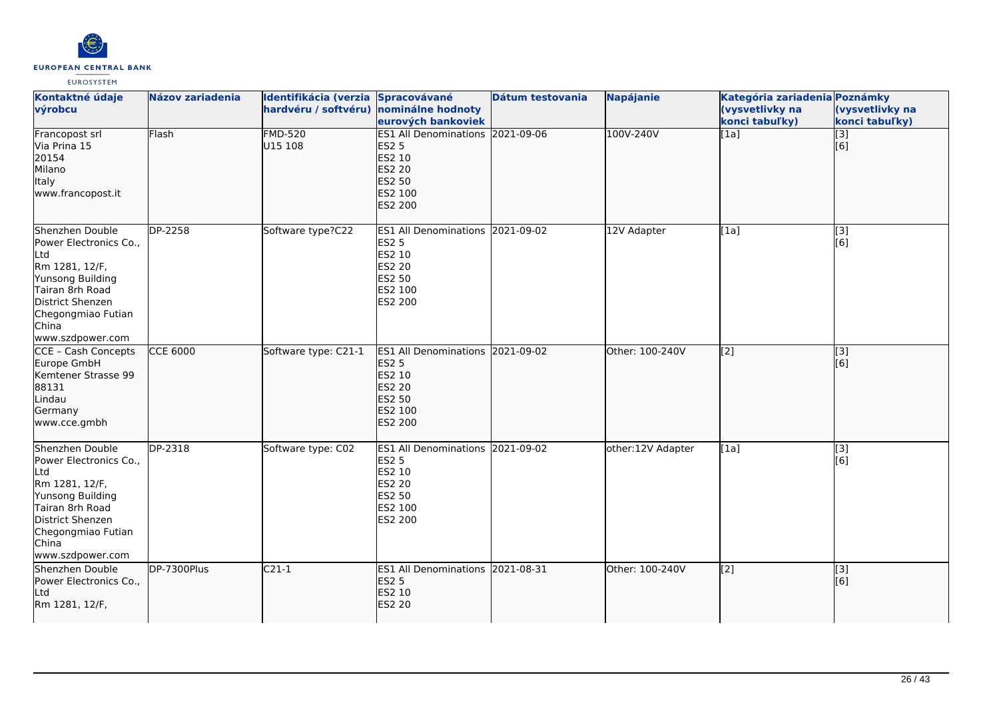

| Kontaktné údaje<br>výrobcu                                                                                                                                                               | Názov zariadenia      | Identifikácia (verzia Spracovávané<br>hardvéru / softvéru) nominálne hodnoty | eurových bankoviek                                                                                                        | Dátum testovania | Napájanie         | Kategória zariadenia Poznámky<br>(vysvetlivky na<br>konci tabuľky) | (vysvetlivky na<br>konci tabuľky) |
|------------------------------------------------------------------------------------------------------------------------------------------------------------------------------------------|-----------------------|------------------------------------------------------------------------------|---------------------------------------------------------------------------------------------------------------------------|------------------|-------------------|--------------------------------------------------------------------|-----------------------------------|
| Francopost srl<br>Via Prina 15<br>20154<br>Milano<br>Italy<br>www.francopost.it                                                                                                          | Flash                 | <b>FMD-520</b><br>U15 108                                                    | ES1 All Denominations 2021-09-06<br><b>ES2 5</b><br>ES2 10<br><b>ES2 20</b><br><b>ES2 50</b><br>ES2 100<br><b>ES2 200</b> |                  | 100V-240V         | [1a]                                                               | $\overline{[}3]$<br>[6]           |
| Shenzhen Double<br>Power Electronics Co.,<br><b>L</b> td<br>Rm 1281, 12/F,<br>Yunsong Building<br>Tairan 8rh Road<br>District Shenzen<br>Chegongmiao Futian<br>China<br>www.szdpower.com | DP-2258               | Software type?C22                                                            | ES1 All Denominations 2021-09-02<br><b>ES2 5</b><br>ES2 10<br><b>ES2 20</b><br><b>ES2 50</b><br>ES2 100<br>ES2 200        |                  | 12V Adapter       | [1a]                                                               | [3]<br>[6]                        |
| CCE - Cash Concepts<br>Europe GmbH<br>Kemtener Strasse 99<br>88131<br>Lindau<br>Germany<br>www.cce.gmbh                                                                                  | <b>CCE 6000</b>       | Software type: C21-1                                                         | <b>ES1 All Denominations</b><br><b>ES2 5</b><br>ES2 10<br><b>ES2 20</b><br><b>ES2 50</b><br>ES2 100<br><b>ES2 200</b>     | 2021-09-02       | Other: 100-240V   | $\overline{[2]}$                                                   | $\overline{[}$ [3]<br>[6]         |
| Shenzhen Double<br>Power Electronics Co.,<br>Ltd<br>Rm 1281, 12/F,<br>Yunsong Building<br>Tairan 8rh Road<br>District Shenzen<br>Chegongmiao Futian<br>China<br>www.szdpower.com         | $\overline{DP}$ -2318 | Software type: C02                                                           | <b>IES1 All Denominations</b><br><b>ES2 5</b><br>ES2 10<br><b>ES2 20</b><br><b>ES2 50</b><br>ES2 100<br><b>ES2 200</b>    | 2021-09-02       | other:12V Adapter | [1a]                                                               | [3]<br>[6]                        |
| Shenzhen Double<br>Power Electronics Co.,<br><b>Ltd</b><br>Rm 1281, 12/F,                                                                                                                | DP-7300Plus           | $C21-1$                                                                      | ES1 All Denominations 2021-08-31<br><b>ES2 5</b><br>ES2 10<br><b>ES2 20</b>                                               |                  | Other: 100-240V   | $\left[2\right]$                                                   | [[3]<br>[[6]                      |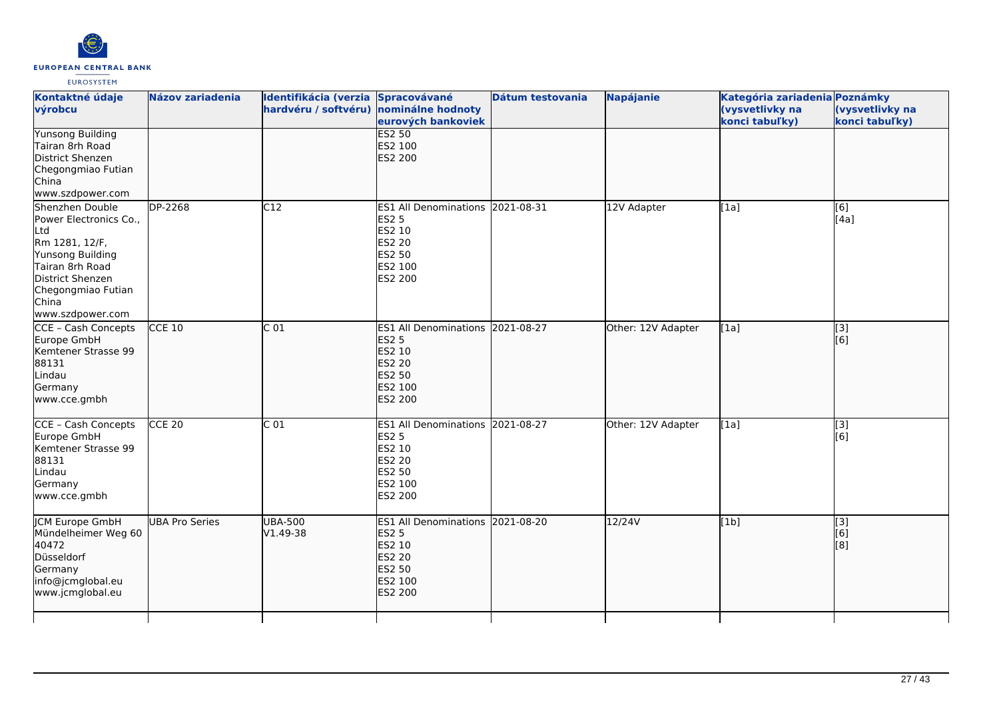

| Kontaktné údaje<br>výrobcu                                                                                                                                                       | <b>Názov zariadenia</b> | Identifikácia (verzia Spracovávané<br>hardvéru / softvéru) nominálne hodnoty | eurových bankoviek                                                                                                 | Dátum testovania | <b>Napájanie</b>   | Kategória zariadenia Poznámky<br>(vysvetlivky na<br>konci tabuľky) | (vysvetlivky na<br>konci tabuľky) |
|----------------------------------------------------------------------------------------------------------------------------------------------------------------------------------|-------------------------|------------------------------------------------------------------------------|--------------------------------------------------------------------------------------------------------------------|------------------|--------------------|--------------------------------------------------------------------|-----------------------------------|
| <b>Yunsong Building</b><br>Tairan 8rh Road<br>District Shenzen<br>Chegongmiao Futian<br>China<br>www.szdpower.com                                                                |                         |                                                                              | <b>ES2 50</b><br>ES2 100<br><b>ES2 200</b>                                                                         |                  |                    |                                                                    |                                   |
| Shenzhen Double<br>Power Electronics Co.,<br>Ltd<br>Rm 1281, 12/F,<br>Yunsong Building<br>Tairan 8rh Road<br>District Shenzen<br>Chegongmiao Futian<br>China<br>www.szdpower.com | DP-2268                 | C12                                                                          | ES1 All Denominations 2021-08-31<br><b>ES2 5</b><br>ES2 10<br><b>ES2 20</b><br>ES2 50<br>ES2 100<br>ES2 200        |                  | 12V Adapter        | [1a]                                                               | [6]<br>[4a]                       |
| CCE - Cash Concepts<br>Europe GmbH<br>Kemtener Strasse 99<br>88131<br>Lindau<br>Germany<br>www.cce.gmbh                                                                          | $CCE$ 10                | $\overline{C}$ 01                                                            | ES1 All Denominations 2021-08-27<br><b>ES2 5</b><br>ES2 10<br><b>ES2 20</b><br><b>ES2 50</b><br>ES2 100<br>ES2 200 |                  | Other: 12V Adapter | [1a]                                                               | $\overline{[}3]$<br>[6]           |
| CCE - Cash Concepts<br>Europe GmbH<br>Kemtener Strasse 99<br>88131<br>Lindau<br>Germany<br>www.cce.gmbh                                                                          | $CCE$ 20                | $\overline{C}$ 01                                                            | ES1 All Denominations 2021-08-27<br><b>ES2 5</b><br>ES2 10<br><b>ES2 20</b><br>ES2 50<br>ES2 100<br>ES2 200        |                  | Other: 12V Adapter | [1a]                                                               | $\overline{[3]}$<br>[6]           |
| <b>ICM Europe GmbH</b><br>Mündelheimer Weg 60<br>40472<br>Düsseldorf<br>Germany<br>info@jcmglobal.eu<br>www.jcmglobal.eu                                                         | <b>UBA Pro Series</b>   | <b>UBA-500</b><br>V1.49-38                                                   | ES1 All Denominations 2021-08-20<br><b>ES2 5</b><br>ES2 10<br><b>ES2 20</b><br>ES2 50<br>ES2 100<br><b>ES2 200</b> |                  | $\frac{12}{24V}$   | [1b]                                                               | [3]<br>[6]<br>[8]                 |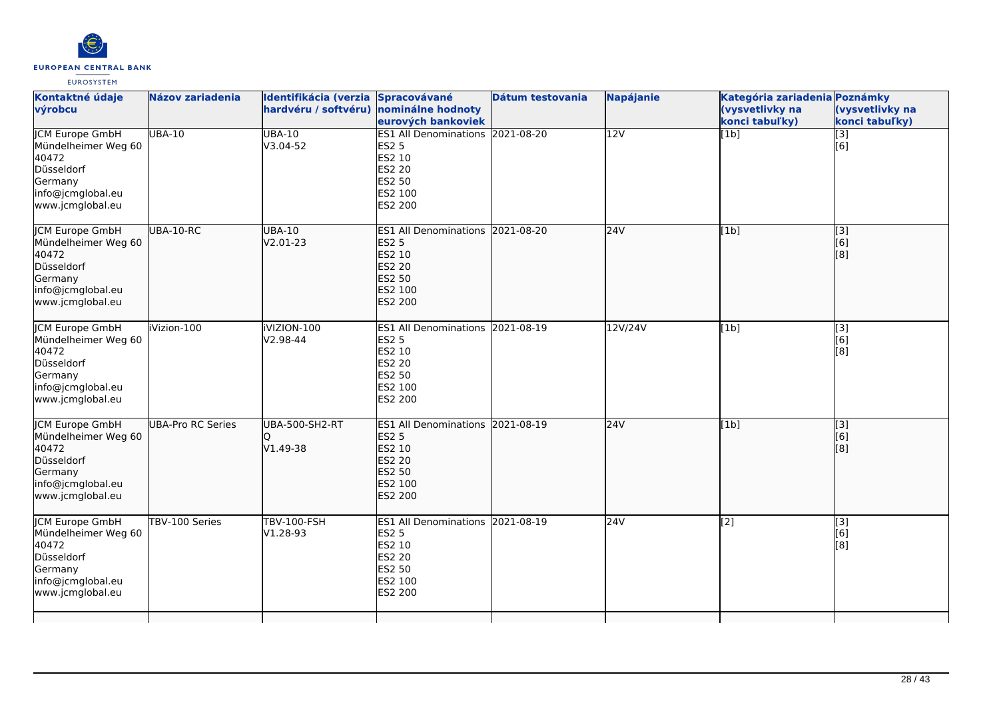

| Kontaktné údaje<br>výrobcu                                                                                               | <b>Názov zariadenia</b>  | Identifikácia (verzia Spracovávané<br>hardvéru / softvéru) nominálne hodnoty | eurových bankoviek                                                                                                 | Dátum testovania | <b>Napájanie</b> | Kategória zariadenia Poznámky<br>(vysvetlivky na<br>konci tabuľky) | (vysvetlivky na<br>konci tabuľky) |
|--------------------------------------------------------------------------------------------------------------------------|--------------------------|------------------------------------------------------------------------------|--------------------------------------------------------------------------------------------------------------------|------------------|------------------|--------------------------------------------------------------------|-----------------------------------|
| <b>JCM Europe GmbH</b><br>Mündelheimer Weg 60<br>40472<br>Düsseldorf<br>Germany<br>info@jcmglobal.eu<br>www.jcmglobal.eu | <b>UBA-10</b>            | <b>UBA-10</b><br>V3.04-52                                                    | ES1 All Denominations 2021-08-20<br>ES2 5<br>ES2 10<br>ES2 20<br>ES2 50<br>ES2 100<br>ES2 200                      |                  | $\overline{12V}$ | [1b]                                                               | $\overline{[}3]$<br>[6]           |
| JCM Europe GmbH<br>Mündelheimer Weg 60<br>40472<br>Düsseldorf<br>Germany<br>info@jcmglobal.eu<br>www.jcmglobal.eu        | UBA-10-RC                | <b>UBA-10</b><br>V2.01-23                                                    | ES1 All Denominations 2021-08-20<br><b>ES2 5</b><br>ES2 10<br><b>ES2 20</b><br><b>ES2 50</b><br>ES2 100<br>ES2 200 |                  | 24V              | [1b]                                                               | [3]<br>[6]<br>[8]                 |
| JCM Europe GmbH<br>Mündelheimer Weg 60<br>40472<br>Düsseldorf<br>Germany<br>info@jcmglobal.eu<br>www.jcmglobal.eu        | iVizion-100              | iVIZION-100<br>V2.98-44                                                      | <b>ES1 All Denominations</b><br>ES2 5<br>ES2 10<br>ES2 20<br>ES2 50<br>ES2 100<br>ES2 200                          | 2021-08-19       | 12V/24V          | [1b]                                                               | [3]<br>[6]<br>[8]                 |
| JCM Europe GmbH<br>Mündelheimer Weg 60<br>40472<br>Düsseldorf<br>Germany<br>info@jcmglobal.eu<br>www.jcmglobal.eu        | <b>UBA-Pro RC Series</b> | UBA-500-SH2-RT<br>V1.49-38                                                   | ES1 All Denominations 2021-08-19<br><b>ES2 5</b><br>ES2 10<br><b>ES2 20</b><br><b>ES2 50</b><br>ES2 100<br>ES2 200 |                  | 24V              | [1b]                                                               | $\overline{[}3]$<br>[6]<br>[8]    |
| JCM Europe GmbH<br>Mündelheimer Weg 60<br>40472<br>Düsseldorf<br>Germany<br>info@jcmglobal.eu<br>www.jcmglobal.eu        | TBV-100 Series           | <b>TBV-100-FSH</b><br>V1.28-93                                               | <b>ES1 All Denominations</b><br>ES2 5<br>ES2 10<br>ES2 20<br>ES2 50<br>ES2 100<br>ES2 200                          | 2021-08-19       | 24V              | $[2]$                                                              | [3]<br>[6]<br>[8]                 |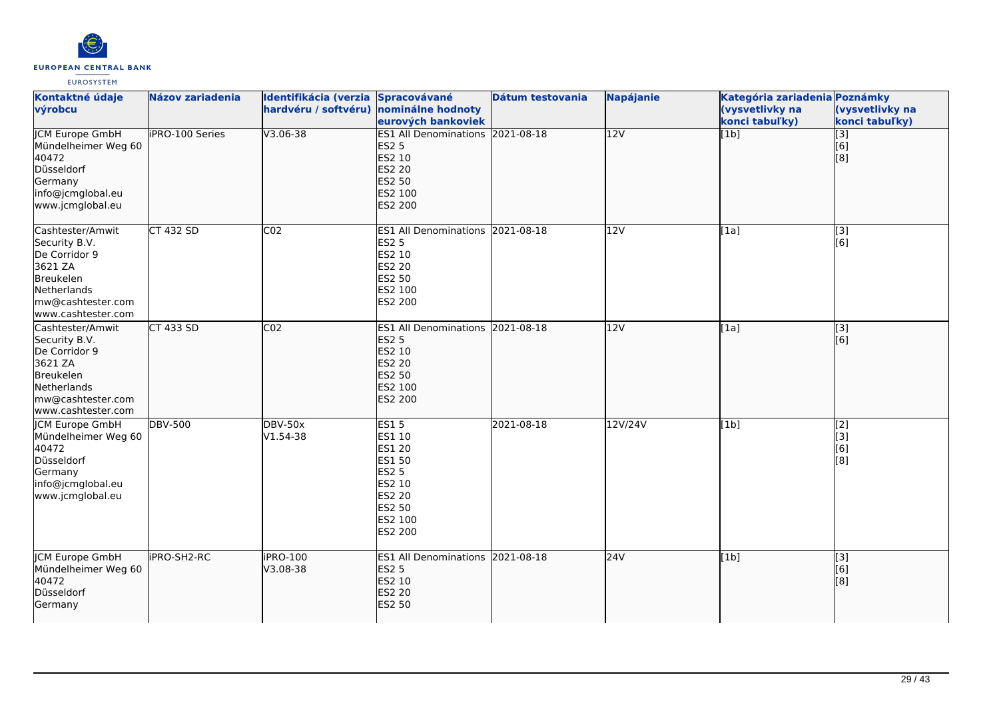

| Kontaktné údaje<br>výrobcu                                                                                                           | Názov zariadenia       | Identifikácia (verzia Spracovávané<br>hardvéru / softvéru) nominálne hodnoty | eurových bankoviek                                                                                                          | Dátum testovania | <b>Napájanie</b> | Kategória zariadenia Poznámky<br>(vysvetlivky na<br>konci tabuľky) | (vysvetlivky na<br>konci tabuľky)                          |
|--------------------------------------------------------------------------------------------------------------------------------------|------------------------|------------------------------------------------------------------------------|-----------------------------------------------------------------------------------------------------------------------------|------------------|------------------|--------------------------------------------------------------------|------------------------------------------------------------|
| <b>JCM Europe GmbH</b><br>Mündelheimer Weg 60<br>40472<br>Düsseldorf<br>Germany<br>info@jcmglobal.eu<br>www.jcmglobal.eu             | <b>IPRO-100 Series</b> | $V3.06 - 38$                                                                 | <b>ES1 All Denominations 2021-08-18</b><br><b>ES2 5</b><br>ES2 10<br>ES2 20<br>ES2 50<br>ES2 100<br>ES2 200                 |                  | 12V              | [1b]                                                               | $\begin{bmatrix} 13 \ 6 \end{bmatrix}$<br>$\overline{[}8]$ |
| Cashtester/Amwit<br>Security B.V.<br>De Corridor 9<br>3621 ZA<br>Breukelen<br>Netherlands<br>mw@cashtester.com<br>www.cashtester.com | <b>CT 432 SD</b>       | CO <sub>2</sub>                                                              | ES1 All Denominations 2021-08-18<br><b>ES2 5</b><br>ES2 10<br><b>ES2 20</b><br>ES2 50<br>ES2 100<br>ES2 200                 |                  | 12V              | [1a]                                                               | $\overline{[3]}$<br>[6]                                    |
| Cashtester/Amwit<br>Security B.V.<br>De Corridor 9<br>3621 ZA<br>Breukelen<br>Netherlands<br>mw@cashtester.com<br>www.cashtester.com | CT 433 SD              | CO <sub>2</sub>                                                              | ES1 All Denominations 2021-08-18<br><b>ES2 5</b><br>ES2 10<br>ES2 20<br>ES2 50<br>ES2 100<br>ES2 200                        |                  | 12V              | [1a]                                                               | [3]<br>[6]                                                 |
| <b>JCM Europe GmbH</b><br>Mündelheimer Weg 60<br>40472<br>Düsseldorf<br>Germany<br>info@jcmglobal.eu<br>www.jcmglobal.eu             | <b>DBV-500</b>         | <b>DBV-50x</b><br>V1.54-38                                                   | <b>ES15</b><br>ES1 10<br><b>ES1 20</b><br><b>ES1 50</b><br><b>ES2 5</b><br>ES2 10<br>ES2 20<br>ES2 50<br>ES2 100<br>ES2 200 | 2021-08-18       | 12V/24V          | [1b]                                                               | [2]<br>[3]<br>[6]<br>$\overline{[}8\overline{]}$           |
| <b>JCM Europe GmbH</b><br>Mündelheimer Weg 60<br>40472<br>Düsseldorf<br>Germany                                                      | <b>IPRO-SH2-RC</b>     | iPRO-100<br>V3.08-38                                                         | ES1 All Denominations 2021-08-18<br><b>ES2 5</b><br>ES2 10<br><b>ES2 20</b><br>ES2 50                                       |                  | 24V              | [1b]                                                               | $\begin{bmatrix} 3 \\ 6 \end{bmatrix}$<br>[8]              |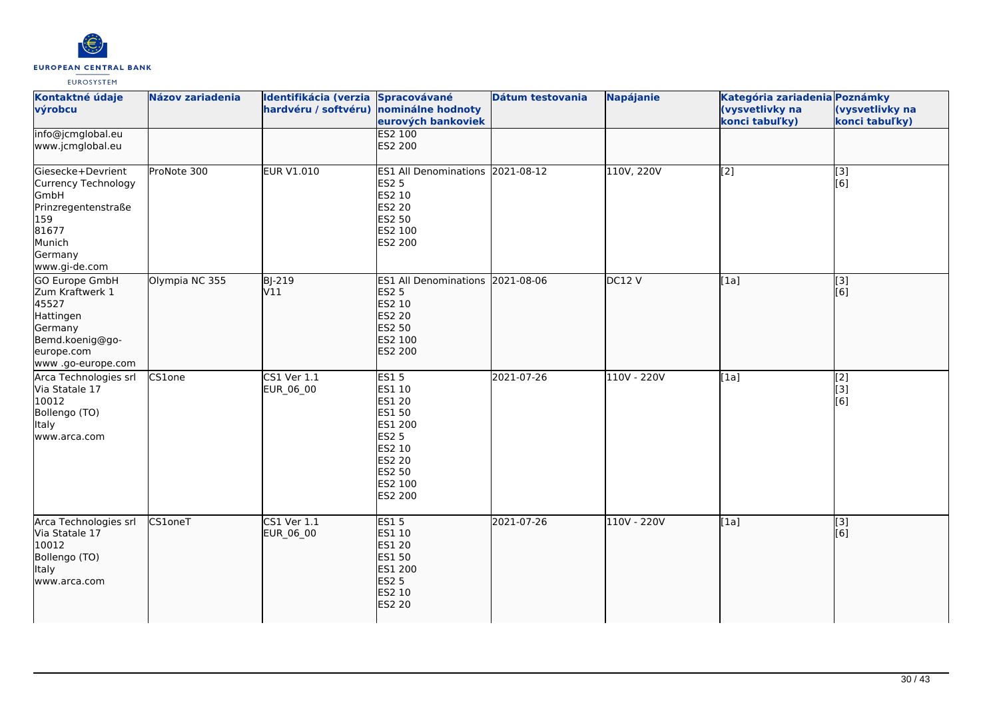

| Kontaktné údaje<br>výrobcu                                                                                                      | <b>Názov zariadenia</b> | Identifikácia (verzia Spracovávané<br>hardvéru / softvéru) nominálne hodnoty | eurových bankoviek                                                                                                                            | Dátum testovania | Napájanie   | Kategória zariadenia Poznámky<br>(vysvetlivky na<br>konci tabuľky) | (vysvetlivky na<br>konci tabuľky) |
|---------------------------------------------------------------------------------------------------------------------------------|-------------------------|------------------------------------------------------------------------------|-----------------------------------------------------------------------------------------------------------------------------------------------|------------------|-------------|--------------------------------------------------------------------|-----------------------------------|
| info@jcmglobal.eu<br>www.jcmglobal.eu                                                                                           |                         |                                                                              | <b>ES2 100</b><br>ES2 200                                                                                                                     |                  |             |                                                                    |                                   |
| Giesecke+Devrient<br>Currency Technology<br>GmbH<br>Prinzregentenstraße<br>159<br>81677<br>Munich<br>Germany<br>www.gi-de.com   | ProNote 300             | <b>EUR V1.010</b>                                                            | ES1 All Denominations 2021-08-12<br><b>ES2 5</b><br>ES2 10<br><b>ES2 20</b><br>ES2 50<br>ES2 100<br>ES2 200                                   |                  | 110V, 220V  | $\overline{[2]}$                                                   | [3]<br>[6]                        |
| <b>GO Europe GmbH</b><br>Zum Kraftwerk 1<br>45527<br>Hattingen<br>Germany<br>Bemd.koenig@go-<br>europe.com<br>www.go-europe.com | Olympia NC 355          | <b>BJ-219</b><br>V11                                                         | ES1 All Denominations 2021-08-06<br><b>ES2 5</b><br>ES2 10<br><b>ES2 20</b><br><b>ES2 50</b><br>ES2 100<br>ES2 200                            |                  | DC12V       | [1a]                                                               | $\overline{[3]}$<br>[6]           |
| Arca Technologies srl<br>Via Statale 17<br>10012<br>Bollengo (TO)<br>Italy<br>www.arca.com                                      | CS1one                  | <b>CS1 Ver 1.1</b><br>EUR_06_00                                              | <b>ES15</b><br>ES1 10<br>ES1 20<br><b>ES1 50</b><br>ES1 200<br><b>ES2 5</b><br>ES2 10<br><b>ES2 20</b><br><b>ES2 50</b><br>ES2 100<br>ES2 200 | 2021-07-26       | 110V - 220V | [1a]                                                               | [2]<br>[3]<br>[6]                 |
| Arca Technologies srl<br>Via Statale 17<br>10012<br>Bollengo (TO)<br>Italy<br>www.arca.com                                      | <b>CS1oneT</b>          | CS1 Ver 1.1<br>EUR_06_00                                                     | <b>ES15</b><br>ES1 10<br><b>ES1 20</b><br>ES1 50<br>ES1 200<br><b>ES2 5</b><br>ES2 10<br><b>ES2 20</b>                                        | 2021-07-26       | 110V - 220V | [1a]                                                               | $\overline{[}3]$<br>[6]           |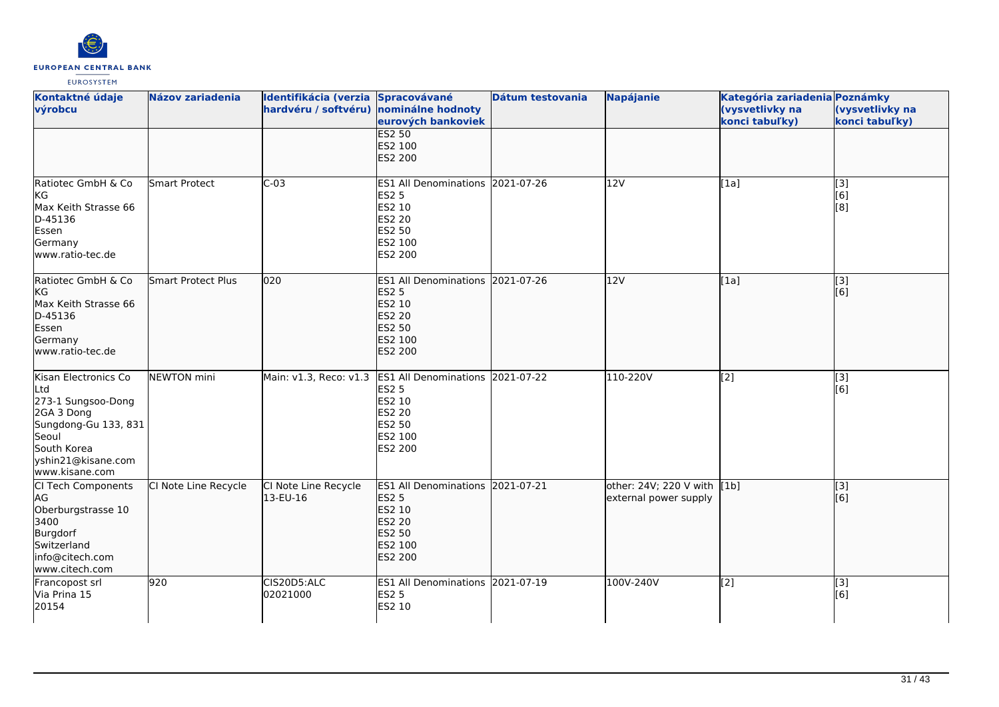

| Kontaktné údaje<br>výrobcu                                                                                                                              | <b>Názov zariadenia</b> | Identifikácia (verzia Spracovávané<br>hardvéru / softvéru) nominálne hodnoty | eurových bankoviek                                                                                                 | Dátum testovania | <b>Napájanie</b>                                     | Kategória zariadenia Poznámky<br>(vysvetlivky na<br>konci tabuľky) | (vysvetlivky na<br>konci tabuľky) |
|---------------------------------------------------------------------------------------------------------------------------------------------------------|-------------------------|------------------------------------------------------------------------------|--------------------------------------------------------------------------------------------------------------------|------------------|------------------------------------------------------|--------------------------------------------------------------------|-----------------------------------|
|                                                                                                                                                         |                         |                                                                              | <b>ES2 50</b><br>ES2 100<br><b>ES2 200</b>                                                                         |                  |                                                      |                                                                    |                                   |
| Ratiotec GmbH & Co<br>KG<br>Max Keith Strasse 66<br>D-45136<br>Essen<br>Germany<br>www.ratio-tec.de                                                     | <b>Smart Protect</b>    | $C-03$                                                                       | ES1 All Denominations 2021-07-26<br><b>ES2 5</b><br>ES2 10<br>ES2 20<br>ES2 50<br>ES2 100<br>ES2 200               |                  | 12V                                                  | [1a]                                                               | [3]<br>[6]<br>[8]                 |
| Ratiotec GmbH & Co<br>kg<br>Max Keith Strasse 66<br>D-45136<br>Essen<br>Germany<br>www.ratio-tec.de                                                     | Smart Protect Plus      | 020                                                                          | ES1 All Denominations 2021-07-26<br><b>ES2 5</b><br>ES2 10<br><b>ES2 20</b><br><b>ES2 50</b><br>ES2 100<br>ES2 200 |                  | 12V                                                  | [1a]                                                               | [3]<br>[6]                        |
| Kisan Electronics Co<br>Ltd<br>273-1 Sungsoo-Dong<br>2GA 3 Dong<br>Sungdong-Gu 133, 831<br>Seoul<br>South Korea<br>yshin21@kisane.com<br>www.kisane.com | <b>NEWTON</b> mini      | Main: v1.3, Reco: v1.3                                                       | <b>ES1 All Denominations</b><br><b>ES2 5</b><br>ES2 10<br><b>ES2 20</b><br>ES2 50<br>ES2 100<br>ES2 200            | 2021-07-22       | 110-220V                                             | [2]                                                                | [3]<br>[6]                        |
| Cl Tech Components<br>AG<br>Oberburgstrasse 10<br>3400<br>Burgdorf<br>Switzerland<br>info@citech.com<br>www.citech.com                                  | CI Note Line Recycle    | CI Note Line Recycle<br>13-EU-16                                             | <b>ES1 All Denominations</b><br><b>ES2 5</b><br>ES2 10<br>ES2 20<br>ES2 50<br>ES2 100<br><b>ES2 200</b>            | 2021-07-21       | other: 24V; 220 V with [1b]<br>external power supply |                                                                    | [3]<br>[6]                        |
| Francopost srl<br>Via Prina 15<br>20154                                                                                                                 | 920                     | CIS20D5:ALC<br>02021000                                                      | <b>ES1 All Denominations</b><br><b>ES2 5</b><br>ES2 10                                                             | 2021-07-19       | 100V-240V                                            | [2]                                                                | [3]<br>[6]                        |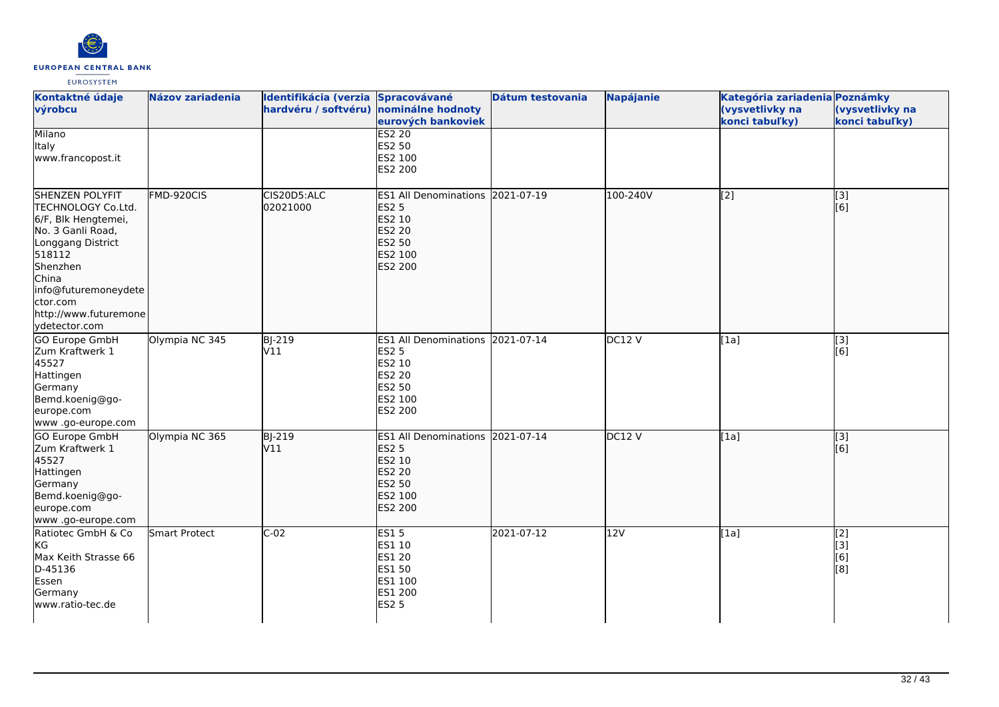

| Kontaktné údaje<br>výrobcu                                                                                                                                                                                          | Názov zariadenia | Identifikácia (verzia Spracovávané<br>hardvéru / softvéru) nominálne hodnoty | eurových bankoviek                                                                                                        | Dátum testovania | <b>Napájanie</b> | Kategória zariadenia Poznámky<br>(vysvetlivky na<br>konci tabuľky) | (vysvetlivky na<br>konci tabuľky) |
|---------------------------------------------------------------------------------------------------------------------------------------------------------------------------------------------------------------------|------------------|------------------------------------------------------------------------------|---------------------------------------------------------------------------------------------------------------------------|------------------|------------------|--------------------------------------------------------------------|-----------------------------------|
| Milano<br>Italy<br>www.francopost.it                                                                                                                                                                                |                  |                                                                              | <b>ES2 20</b><br>ES2 50<br>ES2 100<br>ES2 200                                                                             |                  |                  |                                                                    |                                   |
| SHENZEN POLYFIT<br>TECHNOLOGY Co.Ltd.<br>6/F, Blk Hengtemei,<br>No. 3 Ganli Road,<br>Longgang District<br>518112<br>Shenzhen<br>China<br>info@futuremoneydete<br>ctor.com<br>http://www.futuremone<br>ydetector.com | FMD-920CIS       | CIS20D5:ALC<br>02021000                                                      | ES1 All Denominations 2021-07-19<br><b>ES2 5</b><br>ES2 10<br><b>ES2 20</b><br>ES2 50<br>ES2 100<br>ES2 200               |                  | 100-240V         | [2]                                                                | [3]<br>[6]                        |
| <b>GO Europe GmbH</b><br>Zum Kraftwerk 1<br>45527<br>Hattingen<br>Germany<br>Bemd.koenig@go-<br>europe.com<br>www .go-europe.com                                                                                    | Olympia NC 345   | <b>BJ-219</b><br>V11                                                         | ES1 All Denominations 2021-07-14<br><b>ES2 5</b><br>ES2 10<br><b>ES2 20</b><br><b>ES2 50</b><br>ES2 100<br>ES2 200        |                  | DC12V            | [1a]                                                               | $\overline{[3]}$<br>[6]           |
| GO Europe GmbH<br>Zum Kraftwerk 1<br>45527<br>Hattingen<br>Germany<br>Bemd.koenig@go-<br>europe.com<br>www .go-europe.com                                                                                           | Olympia NC 365   | <b>BJ-219</b><br>V11                                                         | ES1 All Denominations 2021-07-14<br><b>ES2 5</b><br>ES2 10<br><b>ES2 20</b><br><b>ES2 50</b><br>ES2 100<br><b>ES2 200</b> |                  | DC12V            | [1a]                                                               | [3]<br>[6]                        |
| Ratiotec GmbH & Co<br>KG<br>Max Keith Strasse 66<br>D-45136<br>Essen<br>Germany<br>www.ratio-tec.de                                                                                                                 | Smart Protect    | $C-02$                                                                       | <b>ES15</b><br>ES1 10<br><b>ES1 20</b><br><b>ES1 50</b><br>ES1 100<br>ES1 200<br><b>ES2 5</b>                             | 2021-07-12       | 12V              | [1a]                                                               | [2]<br>[3]<br>[6]<br>[8]          |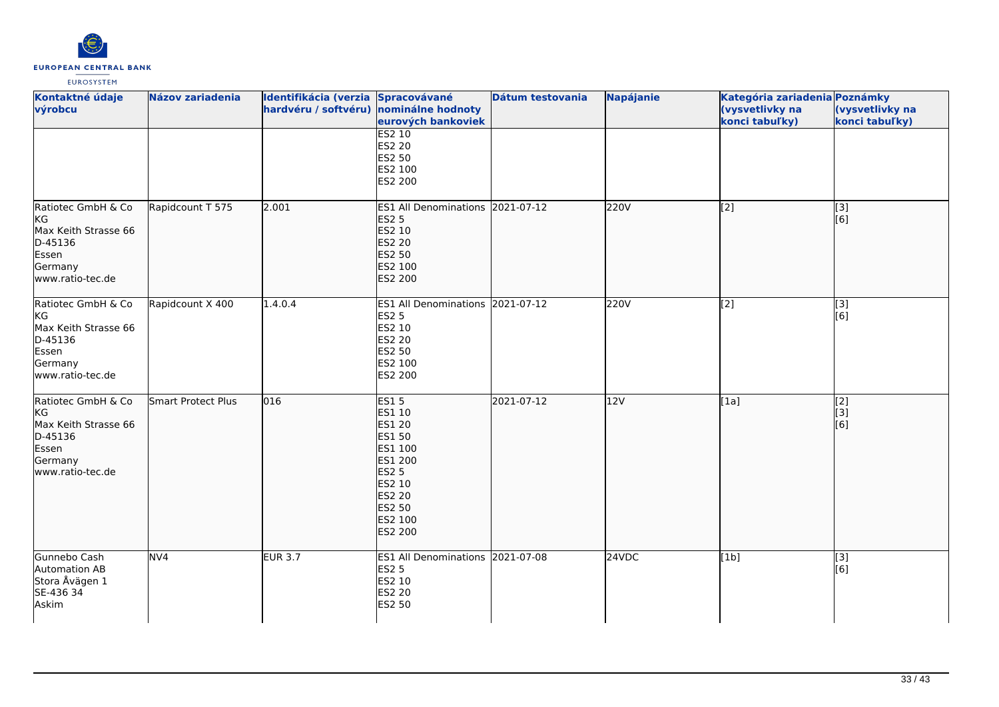

| Kontaktné údaje<br>výrobcu                                                                          | Názov zariadenia   | Identifikácia (verzia Spracovávané<br>hardvéru / softvéru) nominálne hodnoty | eurových bankoviek                                                                                                                                | Dátum testovania | Napájanie | Kategória zariadenia Poznámky<br>(vysvetlivky na<br>konci tabuľky) | (vysvetlivky na<br>konci tabuľky) |
|-----------------------------------------------------------------------------------------------------|--------------------|------------------------------------------------------------------------------|---------------------------------------------------------------------------------------------------------------------------------------------------|------------------|-----------|--------------------------------------------------------------------|-----------------------------------|
|                                                                                                     |                    |                                                                              | <b>ES2 10</b><br>ES2 20<br>ES2 50<br>ES2 100<br>ES2 200                                                                                           |                  |           |                                                                    |                                   |
| Ratiotec GmbH & Co<br>KG<br>Max Keith Strasse 66<br>D-45136<br>Essen<br>Germany<br>www.ratio-tec.de | Rapidcount T 575   | 2.001                                                                        | ES1 All Denominations 2021-07-12<br><b>ES2 5</b><br>ES2 10<br>ES2 20<br>ES2 50<br>ES2 100<br>ES2 200                                              |                  | 220V      | $\left[$ [2]                                                       | [3]<br>[6]                        |
| Ratiotec GmbH & Co<br>KG<br>Max Keith Strasse 66<br>D-45136<br>Essen<br>Germany<br>www.ratio-tec.de | Rapidcount X 400   | 1.4.0.4                                                                      | ES1 All Denominations 2021-07-12<br><b>ES2 5</b><br>ES2 10<br>ES2 20<br>ES2 50<br>ES2 100<br>ES2 200                                              |                  | 220V      | [2]                                                                | $\overline{[}3]$<br>[6]           |
| Ratiotec GmbH & Co<br>KG<br>Max Keith Strasse 66<br>D-45136<br>Essen<br>Germany<br>www.ratio-tec.de | Smart Protect Plus | 016                                                                          | <b>ES15</b><br>ES1 10<br>ES1 20<br><b>ES1 50</b><br>ES1 100<br>ES1 200<br><b>ES2 5</b><br>ES2 10<br><b>ES2 20</b><br>ES2 50<br>ES2 100<br>ES2 200 | 2021-07-12       | 12V       | [1a]                                                               | [2]<br>[3]<br>[6]                 |
| Gunnebo Cash<br>Automation AB<br>Stora Åvägen 1<br>SE-436 34<br>Askim                               | NV <sub>4</sub>    | <b>EUR 3.7</b>                                                               | ES1 All Denominations 2021-07-08<br>ES2 5<br>ES2 10<br>ES2 20<br>ES2 50                                                                           |                  | 24VDC     | [1b]                                                               | [3]<br>[6]                        |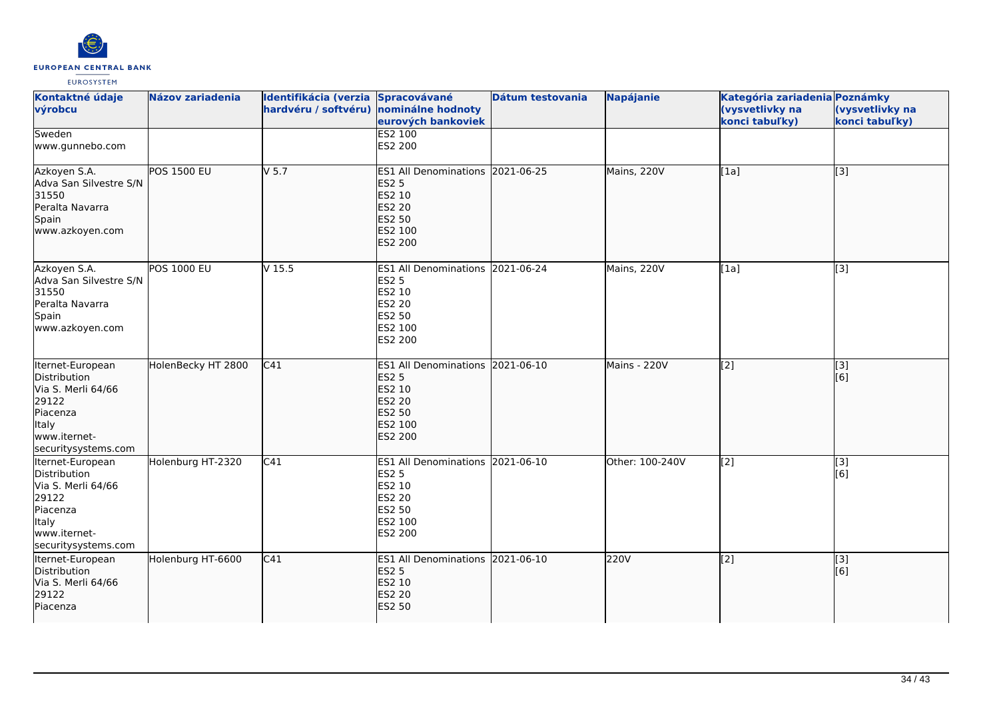

| Kontaktné údaje<br>výrobcu                                                                                                  | <b>Názov zariadenia</b> | Identifikácia (verzia Spracovávané<br>hardvéru / softvéru) nominálne hodnoty | eurových bankoviek                                                                                                 | Dátum testovania | <b>Napájanie</b> | Kategória zariadenia Poznámky<br>(vysvetlivky na<br>konci tabuľky) | (vysvetlivky na<br>konci tabuľky) |
|-----------------------------------------------------------------------------------------------------------------------------|-------------------------|------------------------------------------------------------------------------|--------------------------------------------------------------------------------------------------------------------|------------------|------------------|--------------------------------------------------------------------|-----------------------------------|
| Sweden<br>www.gunnebo.com                                                                                                   |                         |                                                                              | <b>ES2 100</b><br>ES2 200                                                                                          |                  |                  |                                                                    |                                   |
| Azkoyen S.A.<br>Adva San Silvestre S/N<br>31550<br>Peralta Navarra<br>Spain<br>www.azkoyen.com                              | <b>POS 1500 EU</b>      | $V$ 5.7                                                                      | ES1 All Denominations 2021-06-25<br><b>ES2 5</b><br>ES2 10<br>ES2 20<br>ES2 50<br>ES2 100<br><b>ES2 200</b>        |                  | Mains, 220V      | [1a]                                                               | $\overline{[}3]$                  |
| Azkoyen S.A.<br>Adva San Silvestre S/N<br>31550<br>Peralta Navarra<br>Spain<br>www.azkoyen.com                              | <b>POS 1000 EU</b>      | V <sub>15.5</sub>                                                            | ES1 All Denominations 2021-06-24<br><b>ES2 5</b><br>ES2 10<br>ES2 20<br>ES2 50<br>ES2 100<br>ES2 200               |                  | Mains, 220V      | [1a]                                                               | $\overline{[3]}$                  |
| Iternet-European<br>Distribution<br>Via S. Merli 64/66<br>29122<br>Piacenza<br>Italy<br>www.iternet-<br>securitysystems.com | HolenBecky HT 2800      | C41                                                                          | ES1 All Denominations 2021-06-10<br><b>ES2 5</b><br>ES2 10<br><b>ES2 20</b><br>ES2 50<br>ES2 100<br><b>ES2 200</b> |                  | Mains - 220V     | [2]                                                                | [3]<br>[6]                        |
| Iternet-European<br>Distribution<br>Via S. Merli 64/66<br>29122<br>Piacenza<br>Italy<br>www.iternet-<br>securitysystems.com | Holenburg HT-2320       | C <sub>41</sub>                                                              | ES1 All Denominations 2021-06-10<br><b>ES2 5</b><br>ES2 10<br>ES2 20<br>ES2 50<br>ES2 100<br>ES2 200               |                  | Other: 100-240V  | $\overline{[2]}$                                                   | [3]<br>[6]                        |
| Iternet-European<br>Distribution<br>Via S. Merli 64/66<br>29122<br>Piacenza                                                 | Holenburg HT-6600       | $\overline{C41}$                                                             | ES1 All Denominations 2021-06-10<br><b>ES2 5</b><br><b>ES2 10</b><br><b>ES2 20</b><br><b>ES2 50</b>                |                  | 220V             | $\overline{[2]}$                                                   | $\overline{[}3]$<br>[6]           |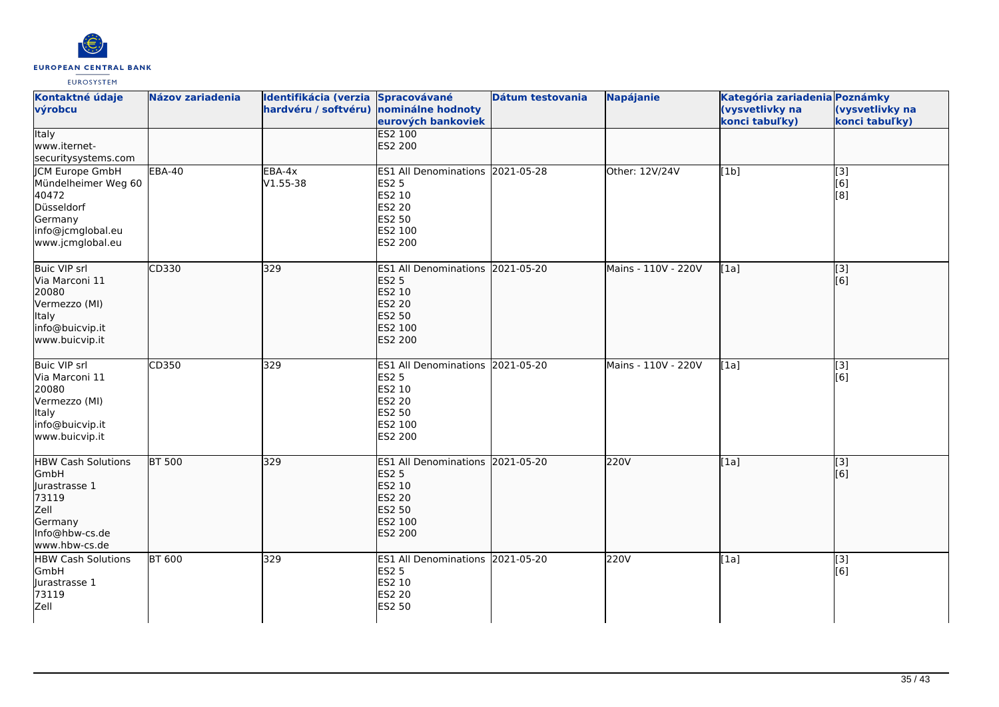

| Kontaktné údaje<br>výrobcu                                                                                               | <b>Názov zariadenia</b> | Identifikácia (verzia Spracovávané<br>hardvéru / softvéru) nominálne hodnoty | eurových bankoviek                                                                                                 | Dátum testovania | <b>Napájanie</b>    | Kategória zariadenia Poznámky<br>(vysvetlivky na<br>konci tabuľky) | (vysvetlivky na<br>konci tabuľky) |
|--------------------------------------------------------------------------------------------------------------------------|-------------------------|------------------------------------------------------------------------------|--------------------------------------------------------------------------------------------------------------------|------------------|---------------------|--------------------------------------------------------------------|-----------------------------------|
| <b>Italy</b><br>lwww.iternet-<br>securitysystems.com                                                                     |                         |                                                                              | <b>ES2 100</b><br><b>ES2 200</b>                                                                                   |                  |                     |                                                                    |                                   |
| <b>ICM Europe GmbH</b><br>Mündelheimer Weg 60<br>40472<br>Düsseldorf<br>Germany<br>info@jcmglobal.eu<br>www.jcmglobal.eu | <b>EBA-40</b>           | EBA-4x<br>V1.55-38                                                           | ES1 All Denominations 2021-05-28<br><b>ES2 5</b><br>ES2 10<br><b>ES2 20</b><br>ES2 50<br>ES2 100<br>ES2 200        |                  | Other: 12V/24V      | [1b]                                                               | $\overline{[3]}$<br>[6]<br>[8]    |
| <b>Buic VIP srl</b><br>Via Marconi 11<br>20080<br>Vermezzo (MI)<br>Italy<br>info@buicvip.it<br>www.buicvip.it            | CD330                   | 329                                                                          | ES1 All Denominations 2021-05-20<br><b>ES2 5</b><br>ES2 10<br><b>ES2 20</b><br><b>ES2 50</b><br>ES2 100<br>ES2 200 |                  | Mains - 110V - 220V | [1a]                                                               | $\overline{[}3]$<br>[6]           |
| <b>Buic VIP srl</b><br>Via Marconi 11<br>20080<br>Vermezzo (MI)<br>Italy<br>info@buicvip.it<br>www.buicvip.it            | CD350                   | 329                                                                          | ES1 All Denominations 2021-05-20<br><b>ES2 5</b><br>ES2 10<br><b>ES2 20</b><br>ES2 50<br>ES2 100<br>ES2 200        |                  | Mains - 110V - 220V | [1a]                                                               | $\overline{[3]}$<br>[6]           |
| <b>HBW Cash Solutions</b><br>GmbH<br>lurastrasse 1<br>73119<br>Zell<br>Germany<br>Info@hbw-cs.de<br>www.hbw-cs.de        | <b>BT 500</b>           | 329                                                                          | <b>ES1 All Denominations</b><br><b>ES2 5</b><br>ES2 10<br><b>ES2 20</b><br><b>ES2 50</b><br>ES2 100<br>ES2 200     | 2021-05-20       | 220V                | [1a]                                                               | [3]<br>[6]                        |
| <b>HBW Cash Solutions</b><br>GmbH<br>Jurastrasse 1<br>73119<br>Zell                                                      | <b>BT 600</b>           | 329                                                                          | ES1 All Denominations 2021-05-20<br><b>ES2 5</b><br>ES2 10<br><b>ES2 20</b><br><b>ES2 50</b>                       |                  | 220V                | [1a]                                                               | [3]<br>[6]                        |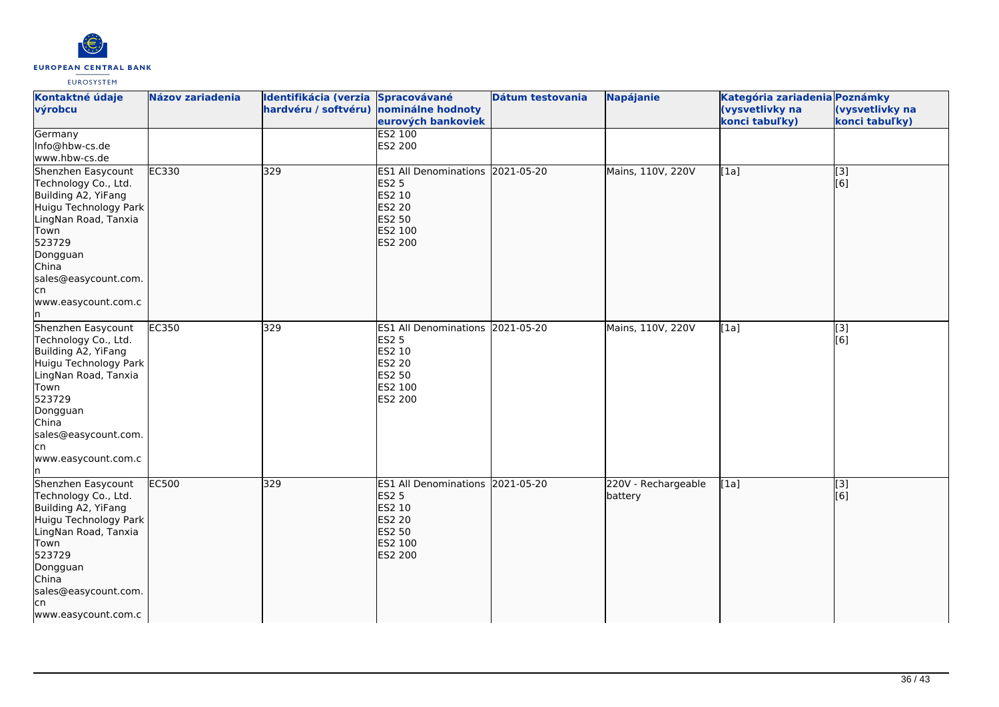

| Kontaktné údaje<br>výrobcu                                                                                                                                                                                             | <b>Názov zariadenia</b> | Identifikácia (verzia Spracovávané<br>hardvéru / softvéru) nominálne hodnoty | eurových bankoviek                                                                                                        | Dátum testovania | <b>Napájanie</b>               | Kategória zariadenia Poznámky<br>(vysvetlivky na<br>konci tabuľky) | (vysvetlivky na<br>konci tabuľky) |
|------------------------------------------------------------------------------------------------------------------------------------------------------------------------------------------------------------------------|-------------------------|------------------------------------------------------------------------------|---------------------------------------------------------------------------------------------------------------------------|------------------|--------------------------------|--------------------------------------------------------------------|-----------------------------------|
| Germany<br>Info@hbw-cs.de<br>www.hbw-cs.de                                                                                                                                                                             |                         |                                                                              | <b>ES2 100</b><br>ES2 200                                                                                                 |                  |                                |                                                                    |                                   |
| Shenzhen Easycount<br>Technology Co., Ltd.<br>Building A2, YiFang<br>Huigu Technology Park<br>LingNan Road, Tanxia<br>Town<br>523729<br>Dongguan<br>China<br>sales@easycount.com.<br>lcn<br>www.easycount.com.c<br>ln. | EC330                   | 329                                                                          | ES1 All Denominations 2021-05-20<br><b>ES2 5</b><br>ES2 10<br><b>ES2 20</b><br><b>ES2 50</b><br>ES2 100<br><b>ES2 200</b> |                  | Mains, 110V, 220V              | [1a]                                                               | $\overline{[}3]$<br>[6]           |
| Shenzhen Easycount<br>Technology Co., Ltd.<br>Building A2, YiFang<br>Huigu Technology Park<br>LingNan Road, Tanxia<br>Town<br>523729<br>Dongguan<br>China<br>sales@easycount.com.<br>lcn<br>www.easycount.com.c<br>ln. | EC350                   | 329                                                                          | <b>ES1 All Denominations</b><br><b>ES2 5</b><br>ES2 10<br><b>ES2 20</b><br>ES2 50<br>ES2 100<br>ES2 200                   | 2021-05-20       | Mains, 110V, 220V              | [1a]                                                               | [3]<br>[6]                        |
| Shenzhen Easycount<br>Technology Co., Ltd.<br>Building A2, YiFang<br>Huigu Technology Park<br>LingNan Road, Tanxia<br>Town<br>523729<br>Dongguan<br>China<br>sales@easycount.com.<br>lcn<br>www.easycount.com.c        | EC500                   | 329                                                                          | <b>ES1 All Denominations</b><br><b>ES2 5</b><br>ES2 10<br><b>ES2 20</b><br><b>ES2 50</b><br>ES2 100<br><b>ES2 200</b>     | 2021-05-20       | 220V - Rechargeable<br>battery | [1a]                                                               | [[3]<br>[6]                       |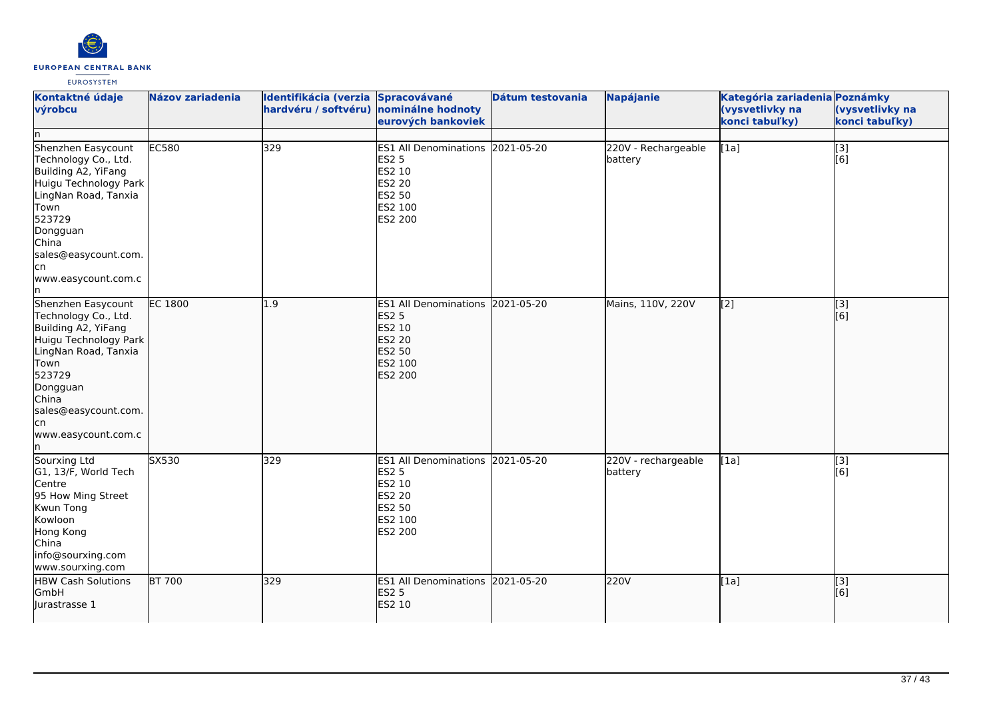

| Kontaktné údaje<br>výrobcu<br>In                                                                                                                                                                                     | <b>Názov zariadenia</b> | Identifikácia (verzia Spracovávané<br>hardvéru / softvéru) | nominálne hodnoty<br>eurových bankoviek                                                                     | Dátum testovania | <b>Napájanie</b>               | Kategória zariadenia Poznámky<br>(vysvetlivky na<br>konci tabuľky) | (vysvetlivky na<br>konci tabuľky) |
|----------------------------------------------------------------------------------------------------------------------------------------------------------------------------------------------------------------------|-------------------------|------------------------------------------------------------|-------------------------------------------------------------------------------------------------------------|------------------|--------------------------------|--------------------------------------------------------------------|-----------------------------------|
| Shenzhen Easycount<br>Technology Co., Ltd.<br>Building A2, YiFang<br>Huigu Technology Park<br>LingNan Road, Tanxia<br>Town<br>523729<br>Dongguan<br>China<br>sales@easycount.com.<br>cn<br>www.easycount.com.c<br>'n | <b>EC580</b>            | 329                                                        | ES1 All Denominations 2021-05-20<br><b>ES2 5</b><br>ES2 10<br><b>ES2 20</b><br>ES2 50<br>ES2 100<br>ES2 200 |                  | 220V - Rechargeable<br>battery | [1a]                                                               | $\overline{[}3]$<br>[6]           |
| Shenzhen Easycount<br>Technology Co., Ltd.<br>Building A2, YiFang<br>Huigu Technology Park<br>LingNan Road, Tanxia<br>Town<br>523729<br>Dongguan<br>China<br>sales@easycount.com.<br>cn<br>www.easycount.com.c<br>n  | <b>EC 1800</b>          | 1.9                                                        | ES1 All Denominations 2021-05-20<br><b>ES2 5</b><br>ES2 10<br><b>ES2 20</b><br>ES2 50<br>ES2 100<br>ES2 200 |                  | Mains, 110V, 220V              | [[2]                                                               | $\overline{[}3]$<br>[6]           |
| Sourxing Ltd<br>G1, 13/F, World Tech<br>Centre<br>95 How Ming Street<br>Kwun Tong<br>Kowloon<br>Hong Kong<br>China<br>info@sourxing.com<br>www.sourxing.com                                                          | S <sub>X</sub> 530      | 329                                                        | ES1 All Denominations 2021-05-20<br><b>ES2 5</b><br>ES2 10<br><b>ES2 20</b><br>ES2 50<br>ES2 100<br>ES2 200 |                  | 220V - rechargeable<br>battery | [1a]                                                               | [3]<br>[6]                        |
| <b>HBW Cash Solutions</b><br>GmbH<br>Jurastrasse 1                                                                                                                                                                   | <b>BT 700</b>           | 329                                                        | ES1 All Denominations 2021-05-20<br><b>ES2 5</b><br>ES2 10                                                  |                  | 220V                           | [1a]                                                               | [3]<br>[6]                        |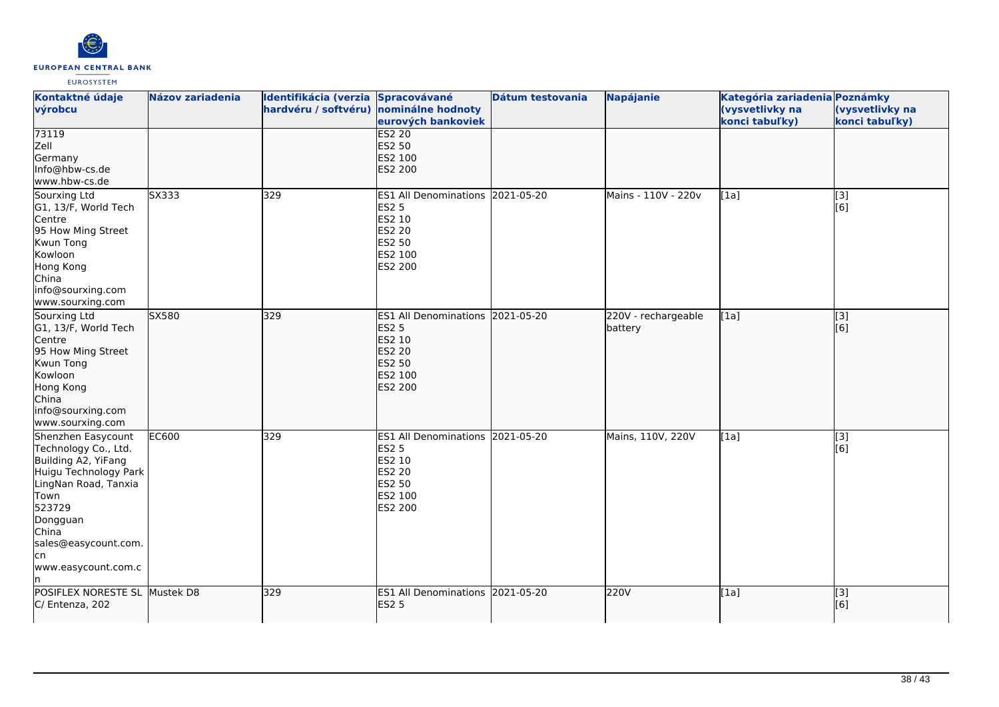

| Kontaktné údaje<br>výrobcu                                                                                                                                                                                      | <b>Názov zariadenia</b> | Identifikácia (verzia Spracovávané<br>hardvéru / softvéru) nominálne hodnoty | eurových bankoviek                                                                                          | Dátum testovania | <b>Napájanie</b>               | Kategória zariadenia Poznámky<br>(vysvetlivky na<br>konci tabuľky) | (vysvetlivky na<br>konci tabuľky) |
|-----------------------------------------------------------------------------------------------------------------------------------------------------------------------------------------------------------------|-------------------------|------------------------------------------------------------------------------|-------------------------------------------------------------------------------------------------------------|------------------|--------------------------------|--------------------------------------------------------------------|-----------------------------------|
| 73119<br>Zell<br>Germany<br>Info@hbw-cs.de<br>www.hbw-cs.de                                                                                                                                                     |                         |                                                                              | <b>ES2 20</b><br>ES2 50<br>ES2 100<br><b>ES2 200</b>                                                        |                  |                                |                                                                    |                                   |
| Sourxing Ltd<br>G1, 13/F, World Tech<br>Centre<br>95 How Ming Street<br>Kwun Tong<br>Kowloon<br>Hong Kong<br>China<br>info@sourxing.com<br>www.sourxing.com                                                     | SX333                   | 329                                                                          | ES1 All Denominations 2021-05-20<br><b>ES2 5</b><br>ES2 10<br>ES2 20<br>ES2 50<br>ES2 100<br>ES2 200        |                  | Mains - 110V - 220v            | [1a]                                                               | [3]<br>[6]                        |
| Sourxing Ltd<br>G1, 13/F, World Tech<br>Centre<br>95 How Ming Street<br>Kwun Tong<br>Kowloon<br>Hong Kong<br>China<br>info@sourxing.com<br>www.sourxing.com                                                     | SX580                   | 329                                                                          | ES1 All Denominations 2021-05-20<br><b>ES2 5</b><br>ES2 10<br>ES2 20<br><b>ES2 50</b><br>ES2 100<br>ES2 200 |                  | 220V - rechargeable<br>battery | [1a]                                                               | [3]<br>[6]                        |
| Shenzhen Easycount<br>Technology Co., Ltd.<br>Building A2, YiFang<br>Huigu Technology Park<br>LingNan Road, Tanxia<br>Town<br>523729<br>Dongguan<br>China<br>sales@easycount.com.<br>lcn<br>www.easycount.com.c | <b>EC600</b>            | 329                                                                          | ES1 All Denominations 2021-05-20<br><b>ES2 5</b><br>ES2 10<br><b>ES2 20</b><br>ES2 50<br>ES2 100<br>ES2 200 |                  | Mains, 110V, 220V              | [1a]                                                               | $[3]$<br>[6]                      |
| POSIFLEX NORESTE SL Mustek D8<br>C/ Entenza, 202                                                                                                                                                                |                         | 329                                                                          | ES1 All Denominations 2021-05-20<br><b>ES2 5</b>                                                            |                  | 220V                           | [1a]                                                               | [3]<br>[6]                        |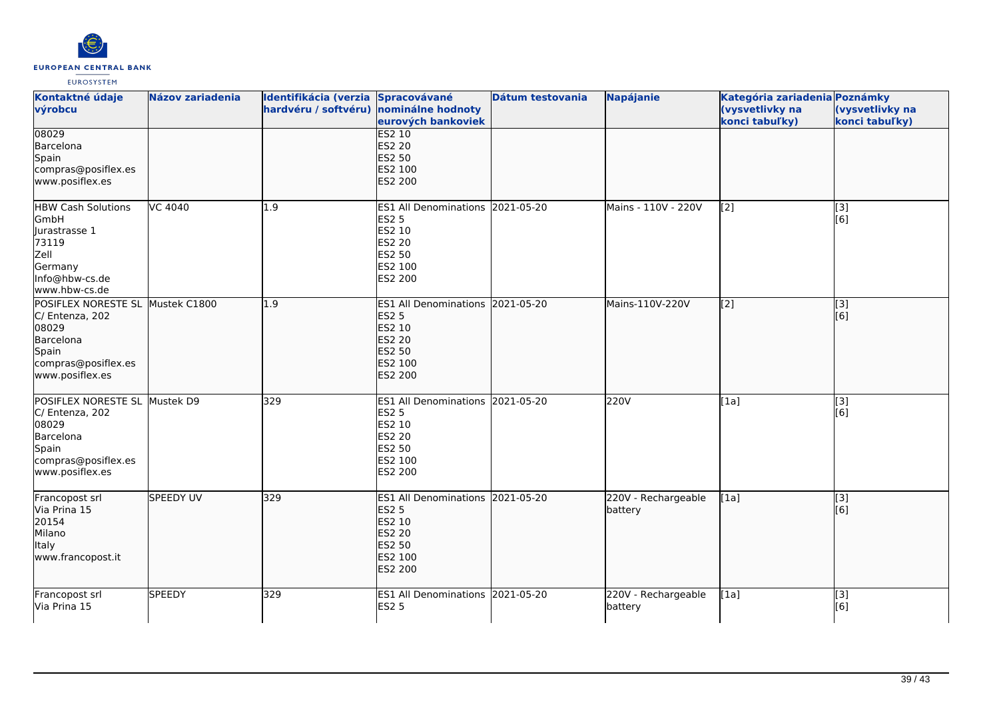

| Kontaktné údaje<br>výrobcu                                                                                                   | <b>Názov zariadenia</b> | Identifikácia (verzia<br>hardvéru / softvéru) nominálne hodnoty | Spracovávané<br>eurových bankoviek                                                                                 | Dátum testovania | Napájanie                      | Kategória zariadenia Poznámky<br>(vysvetlivky na<br>konci tabuľky) | (vysvetlivky na<br>konci tabuľky)  |
|------------------------------------------------------------------------------------------------------------------------------|-------------------------|-----------------------------------------------------------------|--------------------------------------------------------------------------------------------------------------------|------------------|--------------------------------|--------------------------------------------------------------------|------------------------------------|
| 08029<br>Barcelona<br>Spain<br>compras@posiflex.es<br>www.posiflex.es                                                        |                         |                                                                 | <b>ES2 10</b><br><b>ES2 20</b><br><b>ES2 50</b><br>ES2 100<br><b>ES2 200</b>                                       |                  |                                |                                                                    |                                    |
| <b>HBW Cash Solutions</b><br>GmbH<br>Jurastrasse 1<br>73119<br>Zell<br>Germany<br>Info@hbw-cs.de<br>www.hbw-cs.de            | VC 4040                 | 1.9                                                             | ES1 All Denominations 2021-05-20<br><b>ES2 5</b><br>ES2 10<br><b>ES2 20</b><br>ES2 50<br>ES2 100<br>ES2 200        |                  | Mains - 110V - 220V            | [2]                                                                | [3]<br>$\overline{[}6\overline{]}$ |
| POSIFLEX NORESTE SL Mustek C1800<br>C/ Entenza, 202<br>08029<br>Barcelona<br>Spain<br>compras@posiflex.es<br>www.posiflex.es |                         | 1.9                                                             | ES1 All Denominations 2021-05-20<br><b>ES2 5</b><br>ES2 10<br><b>ES2 20</b><br>ES2 50<br>ES2 100<br>ES2 200        |                  | Mains-110V-220V                | [2]                                                                | $\overline{[}3]$<br>[6]            |
| POSIFLEX NORESTE SL Mustek D9<br>C/ Entenza, 202<br>08029<br>Barcelona<br>Spain<br>compras@posiflex.es<br>www.posiflex.es    |                         | 329                                                             | ES1 All Denominations 2021-05-20<br><b>ES2 5</b><br>ES2 10<br><b>ES2 20</b><br><b>ES2 50</b><br>ES2 100<br>ES2 200 |                  | 220V                           | [1a]                                                               | $[3]$<br>[6]                       |
| Francopost srl<br>Via Prina 15<br>20154<br>Milano<br><b>Italy</b><br>www.francopost.it                                       | <b>SPEEDY UV</b>        | 329                                                             | ES1 All Denominations 2021-05-20<br><b>ES2 5</b><br>ES2 10<br>ES2 20<br>ES2 50<br>ES2 100<br>ES2 200               |                  | 220V - Rechargeable<br>battery | [1a]                                                               | [3]<br>[6]                         |
| Francopost srl<br>Via Prina 15                                                                                               | <b>SPEEDY</b>           | 329                                                             | ES1 All Denominations 2021-05-20<br><b>ES2 5</b>                                                                   |                  | 220V - Rechargeable<br>battery | [1a]                                                               | $\overline{[}3]$<br>[6]            |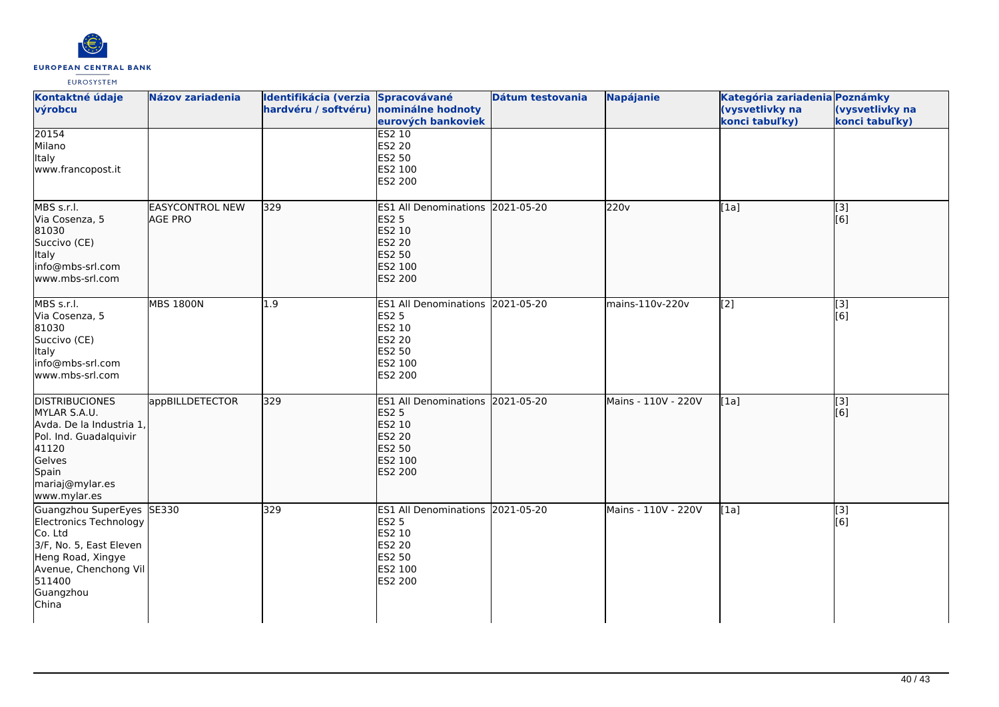

| Kontaktné údaje<br>výrobcu                                                                                                                                              | <b>Názov zariadenia</b>                  | Identifikácia (verzia Spracovávané<br>hardvéru / softvéru) nominálne hodnoty | eurových bankoviek                                                                                                 | Dátum testovania | <b>Napájanie</b>    | Kategória zariadenia Poznámky<br>(vysvetlivky na<br>konci tabuľky) | (vysvetlivky na<br>konci tabuľky) |
|-------------------------------------------------------------------------------------------------------------------------------------------------------------------------|------------------------------------------|------------------------------------------------------------------------------|--------------------------------------------------------------------------------------------------------------------|------------------|---------------------|--------------------------------------------------------------------|-----------------------------------|
| 20154<br>Milano<br>Italy<br>www.francopost.it                                                                                                                           |                                          |                                                                              | <b>ES2 10</b><br><b>ES2 20</b><br>ES2 50<br>ES2 100<br>ES2 200                                                     |                  |                     |                                                                    |                                   |
| MBS s.r.l.<br>Via Cosenza, 5<br>81030<br>Succivo (CE)<br>Italy<br>info@mbs-srl.com<br>www.mbs-srl.com                                                                   | <b>EASYCONTROL NEW</b><br><b>AGE PRO</b> | 329                                                                          | ES1 All Denominations 2021-05-20<br><b>ES2 5</b><br>ES2 10<br><b>ES2 20</b><br><b>ES2 50</b><br>ES2 100<br>ES2 200 |                  | 220v                | [1a]                                                               | [3]<br>[[6]                       |
| MBS s.r.l.<br>Via Cosenza, 5<br>81030<br>Succivo (CE)<br>Italy<br>info@mbs-srl.com<br>www.mbs-srl.com                                                                   | <b>MBS 1800N</b>                         | 1.9                                                                          | ES1 All Denominations 2021-05-20<br>ES2 5<br>ES2 10<br><b>ES2 20</b><br>ES2 50<br>ES2 100<br>ES2 200               |                  | mains-110v-220v     | [2]                                                                | [3]<br>[6]                        |
| <b>DISTRIBUCIONES</b><br>MYLAR S.A.U.<br>Avda. De la Industria 1,<br>Pol. Ind. Guadalquivir<br>41120<br>Gelves<br>Spain<br>mariaj@mylar.es<br>www.mylar.es              | appBILLDETECTOR                          | 329                                                                          | ES1 All Denominations 2021-05-20<br><b>ES2 5</b><br>ES2 10<br><b>ES2 20</b><br>ES2 50<br>ES2 100<br><b>ES2 200</b> |                  | Mains - 110V - 220V | [1a]                                                               | [3]<br>[6]                        |
| Guangzhou SuperEyes SE330<br>Electronics Technology<br>Co. Ltd<br>3/F, No. 5, East Eleven<br>Heng Road, Xingye<br>Avenue, Chenchong Vil<br>511400<br>Guangzhou<br>China |                                          | 329                                                                          | ES1 All Denominations 2021-05-20<br><b>ES2 5</b><br>ES2 10<br>ES2 20<br>ES2 50<br>ES2 100<br>ES2 200               |                  | Mains - 110V - 220V | [1a]                                                               | $\overline{[3]}$<br>[6]           |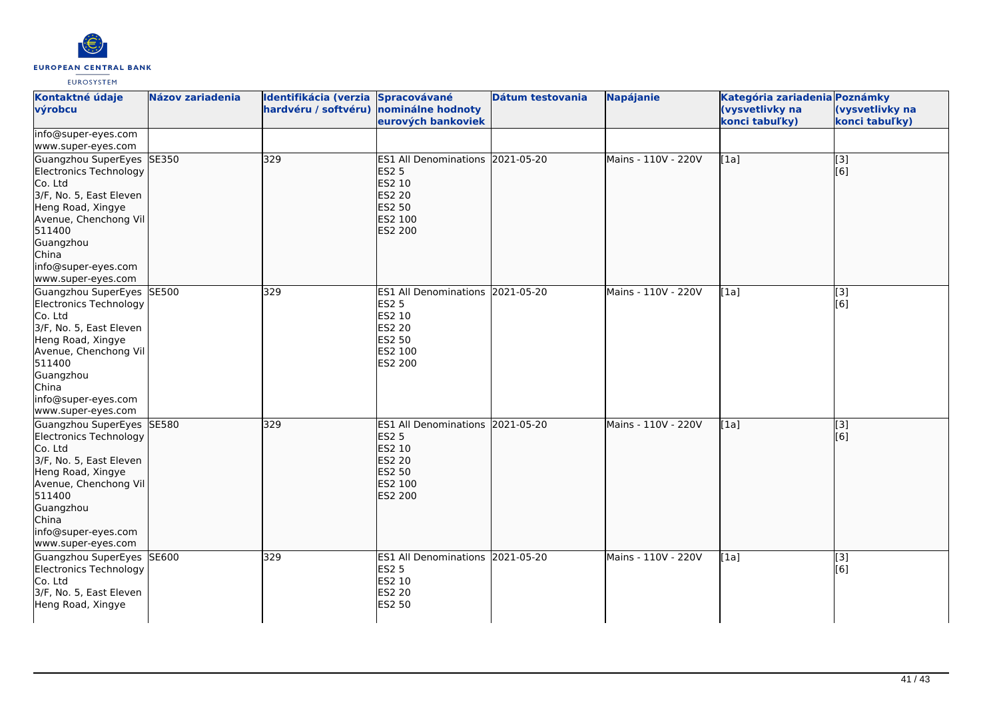

| Kontaktné údaje<br>výrobcu                                                                                                                                                                                           | <b>Názov zariadenia</b> | Identifikácia (verzia Spracovávané<br>hardvéru / softvéru) | nominálne hodnoty                                                                                                  | Dátum testovania | Napájanie           | Kategória zariadenia Poznámky<br>(vysvetlivky na | (vysvetlivky na         |
|----------------------------------------------------------------------------------------------------------------------------------------------------------------------------------------------------------------------|-------------------------|------------------------------------------------------------|--------------------------------------------------------------------------------------------------------------------|------------------|---------------------|--------------------------------------------------|-------------------------|
|                                                                                                                                                                                                                      |                         |                                                            | eurových bankoviek                                                                                                 |                  |                     | konci tabuľky)                                   | konci tabuľky)          |
| info@super-eyes.com<br>www.super-eyes.com                                                                                                                                                                            |                         |                                                            |                                                                                                                    |                  |                     |                                                  |                         |
| Guangzhou SuperEyes SE350<br>Electronics Technology<br>Co. Ltd<br>3/F, No. 5, East Eleven<br>Heng Road, Xingye<br>Avenue, Chenchong Vil<br>511400<br>Guangzhou<br>China<br>info@super-eyes.com<br>www.super-eyes.com |                         | 329                                                        | ES1 All Denominations 2021-05-20<br><b>ES2 5</b><br>ES2 10<br>ES2 20<br><b>ES2 50</b><br>ES2 100<br><b>ES2 200</b> |                  | Mains - 110V - 220V | [1a]                                             | $\overline{[3]}$<br>[6] |
| Guangzhou SuperEyes SE500<br>Electronics Technology<br>Co. Ltd<br>3/F, No. 5, East Eleven<br>Heng Road, Xingye<br>Avenue, Chenchong Vil<br>511400<br>Guangzhou<br>China<br>info@super-eyes.com<br>www.super-eyes.com |                         | 329                                                        | ES1 All Denominations 2021-05-20<br>ES2 5<br>ES2 10<br>ES2 20<br>ES2 50<br>ES2 100<br>ES2 200                      |                  | Mains - 110V - 220V | [1a]                                             | [3]<br>[6]              |
| Guangzhou SuperEyes SE580<br>Electronics Technology<br>Co. Ltd<br>3/F, No. 5, East Eleven<br>Heng Road, Xingye<br>Avenue, Chenchong Vil<br>511400<br>Guangzhou<br>China<br>info@super-eyes.com<br>www.super-eyes.com |                         | 329                                                        | ES1 All Denominations 2021-05-20<br><b>ES2 5</b><br>ES2 10<br>ES2 20<br>ES2 50<br>ES2 100<br><b>ES2 200</b>        |                  | Mains - 110V - 220V | [1a]                                             | $\overline{[3]}$<br>[6] |
| Guangzhou SuperEyes SE600<br>Electronics Technology<br>Co. Ltd<br>3/F, No. 5, East Eleven<br>Heng Road, Xingye                                                                                                       |                         | 329                                                        | ES1 All Denominations 2021-05-20<br><b>ES2 5</b><br>ES2 10<br><b>ES2 20</b><br><b>ES2 50</b>                       |                  | Mains - 110V - 220V | [1a]                                             | $\overline{[}3]$<br>[6] |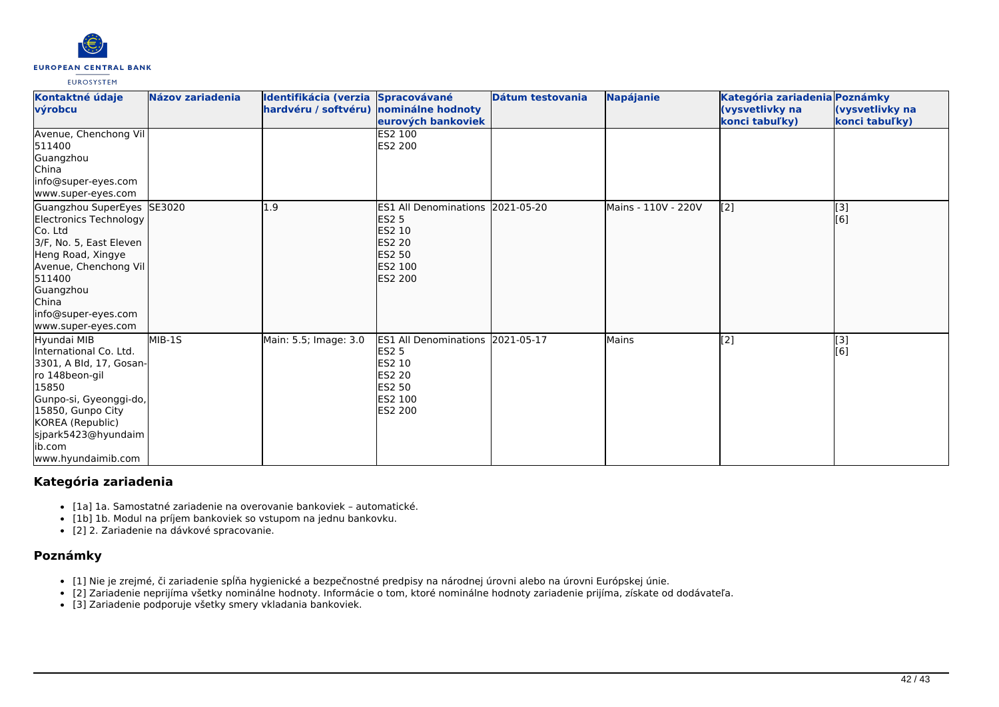

| Kontaktné údaje<br>výrobcu                                                                                                                                                                                             | <b>Názov zariadenia</b> | Identifikácia (verzia Spracovávané<br>hardvéru / softvéru) nominálne hodnoty | eurových bankoviek                                                                                                                       | Dátum testovania | <b>Napájanie</b>    | Kategória zariadenia Poznámky<br>(vysvetlivky na<br>konci tabuľky) | (vysvetlivky na<br>konci tabuľky) |
|------------------------------------------------------------------------------------------------------------------------------------------------------------------------------------------------------------------------|-------------------------|------------------------------------------------------------------------------|------------------------------------------------------------------------------------------------------------------------------------------|------------------|---------------------|--------------------------------------------------------------------|-----------------------------------|
| Avenue, Chenchong Vil<br>511400<br>Guangzhou<br>China<br>info@super-eyes.com<br>www.super-eyes.com                                                                                                                     |                         |                                                                              | ES2 100<br><b>ES2 200</b>                                                                                                                |                  |                     |                                                                    |                                   |
| Guangzhou SuperEyes SE3020<br>Electronics Technology<br>Co. Ltd<br>3/F, No. 5, East Eleven<br>Heng Road, Xingye<br>Avenue, Chenchong Vil<br>511400<br>Guangzhou<br>China<br>info@super-eyes.com<br>www.super-eyes.com  |                         | 1.9                                                                          | ES1 All Denominations 2021-05-20<br><b>ES2 5</b><br><b>ES2 10</b><br><b>ES2 20</b><br>ES2 50<br><b>ES2 100</b><br><b>ES2 200</b>         |                  | Mains - 110V - 220V | [2]                                                                | [3]<br>[6]                        |
| Hyundai MIB<br>International Co. Ltd.<br>3301, A Bld, 17, Gosan-<br>ro 148beon-gil<br>15850<br>Gunpo-si, Gyeonggi-do,<br>15850, Gunpo City<br>KOREA (Republic)<br>sjpark5423@hyundaim<br>lib.com<br>www.hyundaimib.com | MIB-1S                  | Main: 5.5; Image: 3.0                                                        | <b>ES1 All Denominations 2021-05-17</b><br><b>ES2 5</b><br>ES2 10<br><b>ES2 20</b><br><b>ES2 50</b><br><b>IES2 100</b><br><b>ES2 200</b> |                  | Mains               | [2]                                                                | $\overline{[3]}$<br>[6]           |

# **Kategória zariadenia**

- [1a] 1a. Samostatné zariadenie na overovanie bankoviek automatické.
- [1b] 1b. Modul na príjem bankoviek so vstupom na jednu bankovku.
- [2] 2. Zariadenie na dávkové spracovanie.

# **Poznámky**

- [1] Nie je zrejmé, či zariadenie spĺňa hygienické a bezpečnostné predpisy na národnej úrovni alebo na úrovni Európskej únie.
- [2] Zariadenie neprijíma všetky nominálne hodnoty. Informácie o tom, ktoré nominálne hodnoty zariadenie prijíma, získate od dodávateľa.
- [3] Zariadenie podporuje všetky smery vkladania bankoviek.